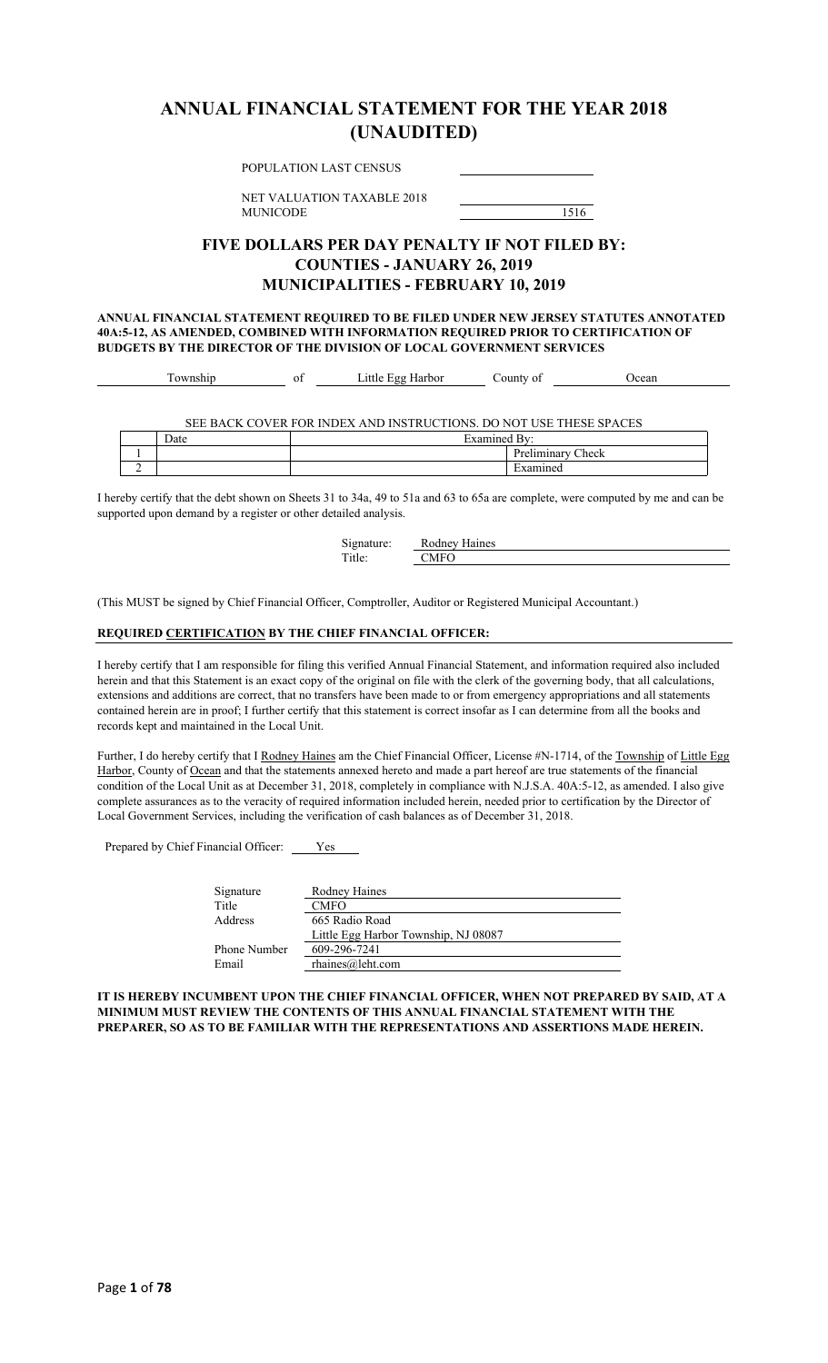### **ANNUAL FINANCIAL STATEMENT FOR THE YEAR 2018 (UNAUDITED)**

| POPULATION LAST CENSUS                                                                                                                                                                                                                            |           |       |
|---------------------------------------------------------------------------------------------------------------------------------------------------------------------------------------------------------------------------------------------------|-----------|-------|
| NET VALUATION TAXABLE 2018<br><b>MUNICODE</b>                                                                                                                                                                                                     | 1516      |       |
| FIVE DOLLARS PER DAY PENALTY IF NOT FILED BY:<br><b>COUNTIES - JANUARY 26, 2019</b><br><b>MUNICIPALITIES - FEBRUARY 10, 2019</b>                                                                                                                  |           |       |
| ANNUAL FINANCIAL STATEMENT REOUIRED TO BE FILED UNDER NEW JERSEY STATUTES ANNOTATED<br>40A:5-12, AS AMENDED, COMBINED WITH INFORMATION REQUIRED PRIOR TO CERTIFICATION OF<br>BUDGETS BY THE DIRECTOR OF THE DIVISION OF LOCAL GOVERNMENT SERVICES |           |       |
| Little Egg Harbor<br>Township<br>of                                                                                                                                                                                                               | County of | Ocean |

SEE BACK COVER FOR INDEX AND INSTRUCTIONS. DO NOT USE THESE SPACES

|   | Date | −<br><b>Livensend</b><br>•יים |                                                                          |
|---|------|-------------------------------|--------------------------------------------------------------------------|
|   |      |                               | $\sim$<br>$\mathbf{D}_{\mathbf{r}c}$<br>Check<br>13311300177<br>теппппаг |
| ∸ |      |                               | $\overline{\phantom{0}}$<br>$H$ vamin $\epsilon$                         |

I hereby certify that the debt shown on Sheets 31 to 34a, 49 to 51a and 63 to 65a are complete, were computed by me and can be supported upon demand by a register or other detailed analysis.

| Signature: | Rodney Haines |
|------------|---------------|
| Title:     | CMEO.         |

(This MUST be signed by Chief Financial Officer, Comptroller, Auditor or Registered Municipal Accountant.)

#### **REQUIRED CERTIFICATION BY THE CHIEF FINANCIAL OFFICER:**

I hereby certify that I am responsible for filing this verified Annual Financial Statement, and information required also included herein and that this Statement is an exact copy of the original on file with the clerk of the governing body, that all calculations, extensions and additions are correct, that no transfers have been made to or from emergency appropriations and all statements contained herein are in proof; I further certify that this statement is correct insofar as I can determine from all the books and records kept and maintained in the Local Unit.

Further, I do hereby certify that I Rodney Haines am the Chief Financial Officer, License #N-1714, of the Township of Little Egg Harbor, County of Ocean and that the statements annexed hereto and made a part hereof are true statements of the financial condition of the Local Unit as at December 31, 2018, completely in compliance with N.J.S.A. 40A:5-12, as amended. I also give complete assurances as to the veracity of required information included herein, needed prior to certification by the Director of Local Government Services, including the verification of cash balances as of December 31, 2018.

Prepared by Chief Financial Officer: Ves

| Signature    | Rodney Haines                        |
|--------------|--------------------------------------|
| Title        | <b>CMFO</b>                          |
| Address      | 665 Radio Road                       |
|              | Little Egg Harbor Township, NJ 08087 |
| Phone Number | 609-296-7241                         |
| Email        | $r$ haines@leht.com                  |

**IT IS HEREBY INCUMBENT UPON THE CHIEF FINANCIAL OFFICER, WHEN NOT PREPARED BY SAID, AT A MINIMUM MUST REVIEW THE CONTENTS OF THIS ANNUAL FINANCIAL STATEMENT WITH THE PREPARER, SO AS TO BE FAMILIAR WITH THE REPRESENTATIONS AND ASSERTIONS MADE HEREIN.**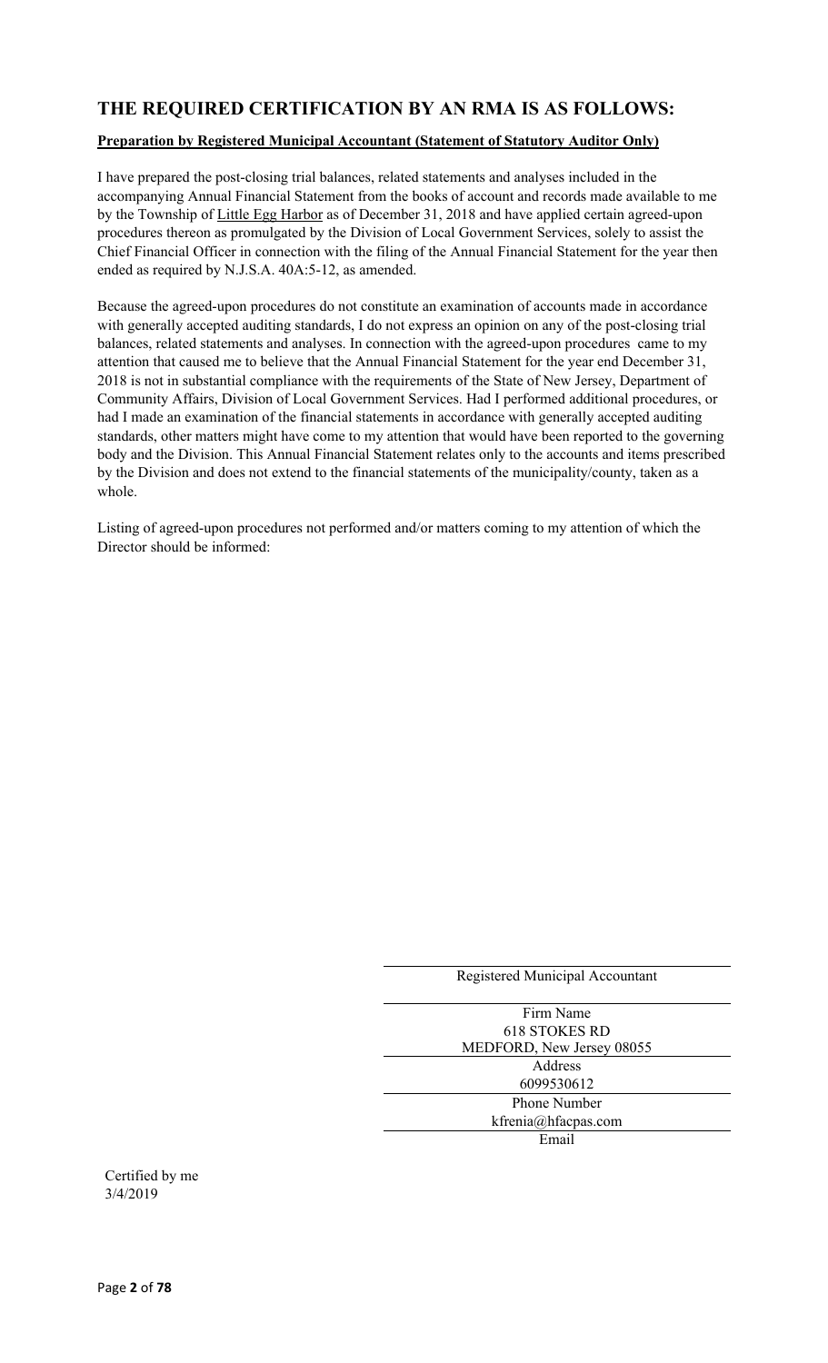### **THE REQUIRED CERTIFICATION BY AN RMA IS AS FOLLOWS:**

#### **Preparation by Registered Municipal Accountant (Statement of Statutory Auditor Only)**

I have prepared the post-closing trial balances, related statements and analyses included in the accompanying Annual Financial Statement from the books of account and records made available to me by the Township of Little Egg Harbor as of December 31, 2018 and have applied certain agreed-upon procedures thereon as promulgated by the Division of Local Government Services, solely to assist the Chief Financial Officer in connection with the filing of the Annual Financial Statement for the year then ended as required by N.J.S.A. 40A:5-12, as amended.

Because the agreed-upon procedures do not constitute an examination of accounts made in accordance with generally accepted auditing standards, I do not express an opinion on any of the post-closing trial balances, related statements and analyses. In connection with the agreed-upon procedures came to my attention that caused me to believe that the Annual Financial Statement for the year end December 31, 2018 is not in substantial compliance with the requirements of the State of New Jersey, Department of Community Affairs, Division of Local Government Services. Had I performed additional procedures, or had I made an examination of the financial statements in accordance with generally accepted auditing standards, other matters might have come to my attention that would have been reported to the governing body and the Division. This Annual Financial Statement relates only to the accounts and items prescribed by the Division and does not extend to the financial statements of the municipality/county, taken as a whole.

Listing of agreed-upon procedures not performed and/or matters coming to my attention of which the Director should be informed:

| Registered Municipal Accountant |
|---------------------------------|
| Firm Name                       |
| 618 STOKES RD                   |
| MEDFORD, New Jersey 08055       |
| Address                         |
| 6099530612                      |
| <b>Phone Number</b>             |
| $k$ frenia@hfacpas.com          |
| Email                           |
|                                 |

Certified by me 3/4/2019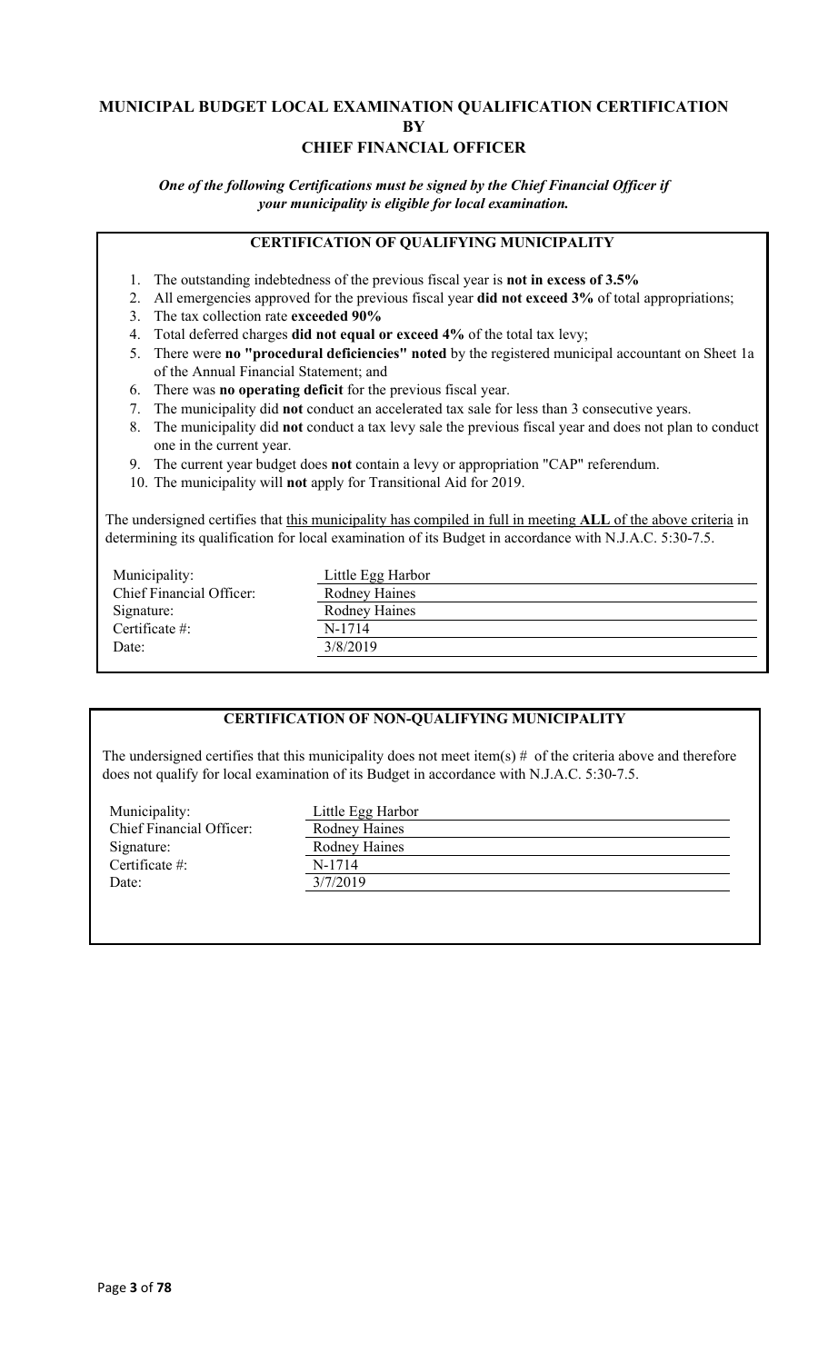### **MUNICIPAL BUDGET LOCAL EXAMINATION QUALIFICATION CERTIFICATION BY CHIEF FINANCIAL OFFICER**

*One of the following Certifications must be signed by the Chief Financial Officer if your municipality is eligible for local examination.*

### **CERTIFICATION OF QUALIFYING MUNICIPALITY**

- 1. The outstanding indebtedness of the previous fiscal year is **not in excess of 3.5%**
- 2. All emergencies approved for the previous fiscal year **did not exceed 3%** of total appropriations;
- 3. The tax collection rate **exceeded 90%**
- 4. Total deferred charges **did not equal or exceed 4%** of the total tax levy;
- 5. There were **no "procedural deficiencies" noted** by the registered municipal accountant on Sheet 1a of the Annual Financial Statement; and
- 6. There was **no operating deficit** for the previous fiscal year.
- 7. The municipality did **not** conduct an accelerated tax sale for less than 3 consecutive years.
- 8. The municipality did **not** conduct a tax levy sale the previous fiscal year and does not plan to conduct one in the current year.
- 9. The current year budget does **not** contain a levy or appropriation "CAP" referendum.
- 10. The municipality will **not** apply for Transitional Aid for 2019.

The undersigned certifies that this municipality has compiled in full in meeting **ALL** of the above criteria in determining its qualification for local examination of its Budget in accordance with N.J.A.C. 5:30-7.5.

| Municipality:            | Little Egg Harbor |
|--------------------------|-------------------|
| Chief Financial Officer: | Rodney Haines     |
| Signature:               | Rodney Haines     |
| Certificate $\#$ :       | N-1714            |
| Date:                    | 3/8/2019          |
|                          |                   |

### **CERTIFICATION OF NON-QUALIFYING MUNICIPALITY**

The undersigned certifies that this municipality does not meet item(s)  $#$  of the criteria above and therefore does not qualify for local examination of its Budget in accordance with N.J.A.C. 5:30-7.5.

| Municipality:            | Little Egg Harbor    |
|--------------------------|----------------------|
| Chief Financial Officer: | <b>Rodney Haines</b> |
| Signature:               | Rodney Haines        |
| Certificate $#$ :        | N-1714               |
| Date:                    | 3/7/2019             |
|                          |                      |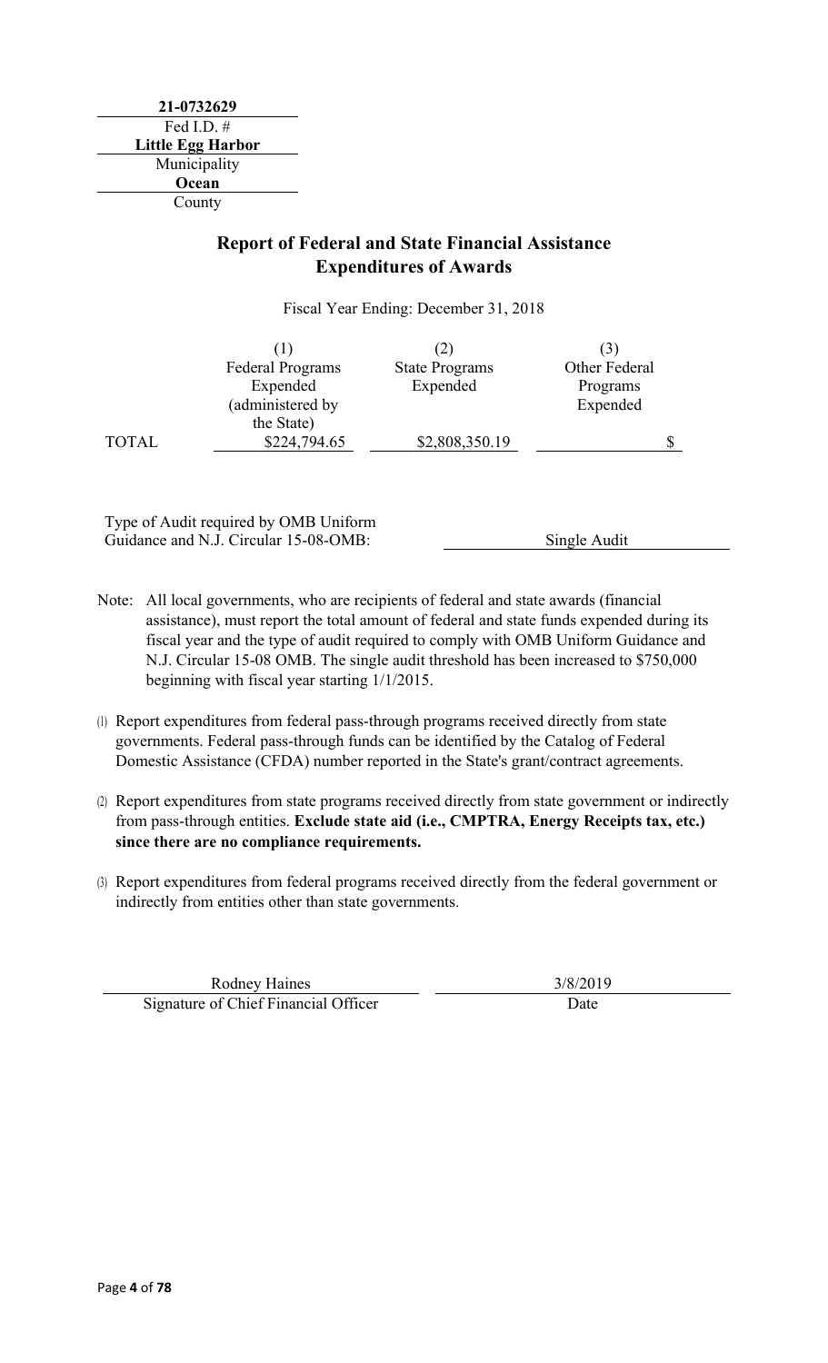**21-0732629** Fed I.D. # **Little Egg Harbor** Municipality **Ocean** County

### **Report of Federal and State Financial Assistance Expenditures of Awards**

Fiscal Year Ending: December 31, 2018

|              |                         | (2)                   |               |
|--------------|-------------------------|-----------------------|---------------|
|              | <b>Federal Programs</b> | <b>State Programs</b> | Other Federal |
|              | Expended                | Expended              | Programs      |
|              | (administered by        |                       | Expended      |
|              | the State)              |                       |               |
| <b>TOTAL</b> | \$224,794.65            | \$2,808,350.19        |               |

Type of Audit required by OMB Uniform Guidance and N.J. Circular 15-08-OMB: Single Audit

- Note: All local governments, who are recipients of federal and state awards (financial assistance), must report the total amount of federal and state funds expended during its fiscal year and the type of audit required to comply with OMB Uniform Guidance and N.J. Circular 15-08 OMB. The single audit threshold has been increased to \$750,000 beginning with fiscal year starting 1/1/2015.
- (1) Report expenditures from federal pass-through programs received directly from state governments. Federal pass-through funds can be identified by the Catalog of Federal Domestic Assistance (CFDA) number reported in the State's grant/contract agreements.
- (2) Report expenditures from state programs received directly from state government or indirectly from pass-through entities. **Exclude state aid (i.e., CMPTRA, Energy Receipts tax, etc.) since there are no compliance requirements.**
- (3) Report expenditures from federal programs received directly from the federal government or indirectly from entities other than state governments.

Rodney Haines 3/8/2019 Signature of Chief Financial Officer and Date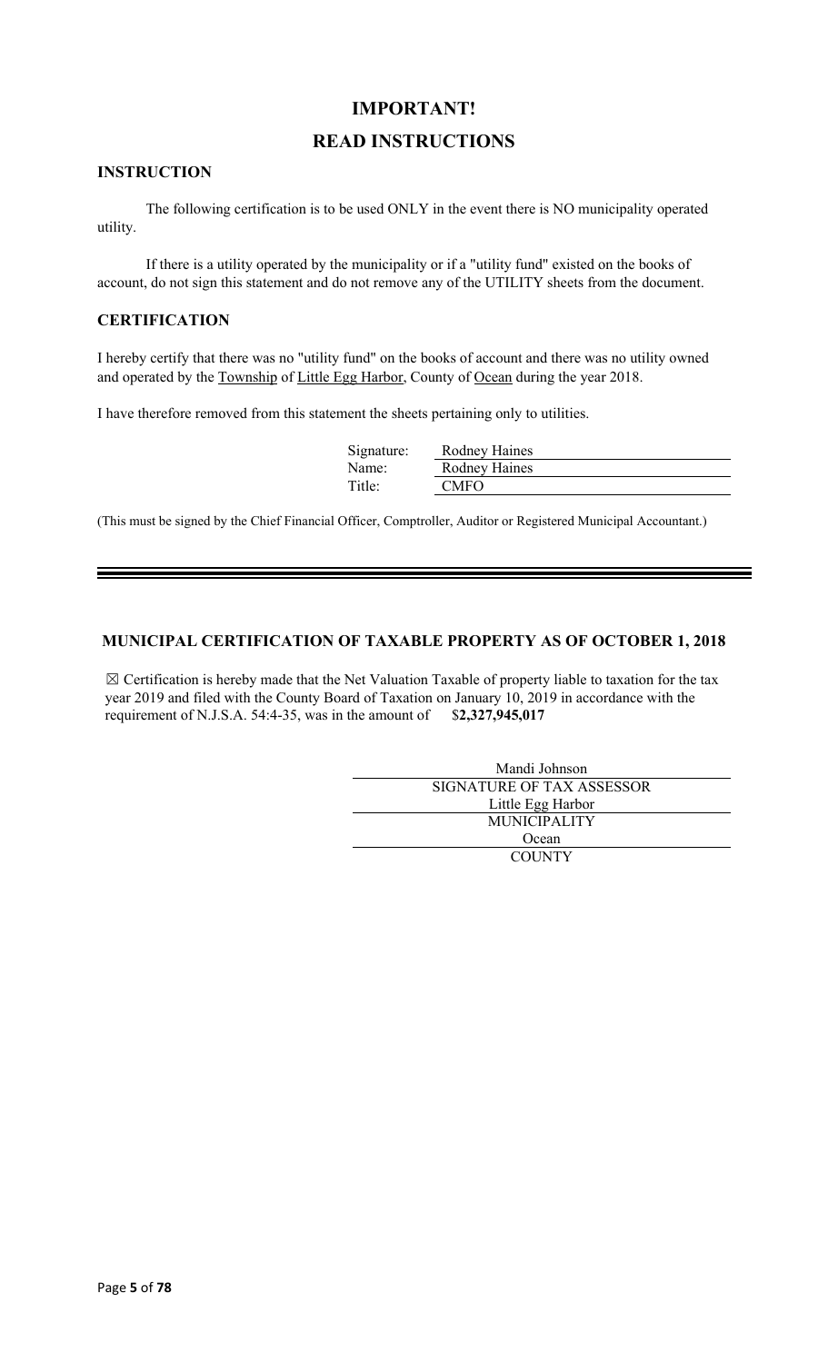### **IMPORTANT!**

### **READ INSTRUCTIONS**

#### **INSTRUCTION**

The following certification is to be used ONLY in the event there is NO municipality operated utility.

If there is a utility operated by the municipality or if a "utility fund" existed on the books of account, do not sign this statement and do not remove any of the UTILITY sheets from the document.

#### **CERTIFICATION**

I hereby certify that there was no "utility fund" on the books of account and there was no utility owned and operated by the Township of Little Egg Harbor, County of Ocean during the year 2018.

I have therefore removed from this statement the sheets pertaining only to utilities.

| Signature: | Rodney Haines |
|------------|---------------|
| Name:      | Rodney Haines |
| Title:     | <b>CMFO</b>   |

(This must be signed by the Chief Financial Officer, Comptroller, Auditor or Registered Municipal Accountant.)

### **MUNICIPAL CERTIFICATION OF TAXABLE PROPERTY AS OF OCTOBER 1, 2018**

 $\boxtimes$  Certification is hereby made that the Net Valuation Taxable of property liable to taxation for the tax year 2019 and filed with the County Board of Taxation on January 10, 2019 in accordance with the requirement of N.J.S.A. 54:4-35, was in the amount of \$**2,327,945,017**

| Mandi Johnson             |  |  |  |
|---------------------------|--|--|--|
| SIGNATURE OF TAX ASSESSOR |  |  |  |
| Little Egg Harbor         |  |  |  |
| <b>MUNICIPALITY</b>       |  |  |  |
| Ocean                     |  |  |  |
| <b>COUNTY</b>             |  |  |  |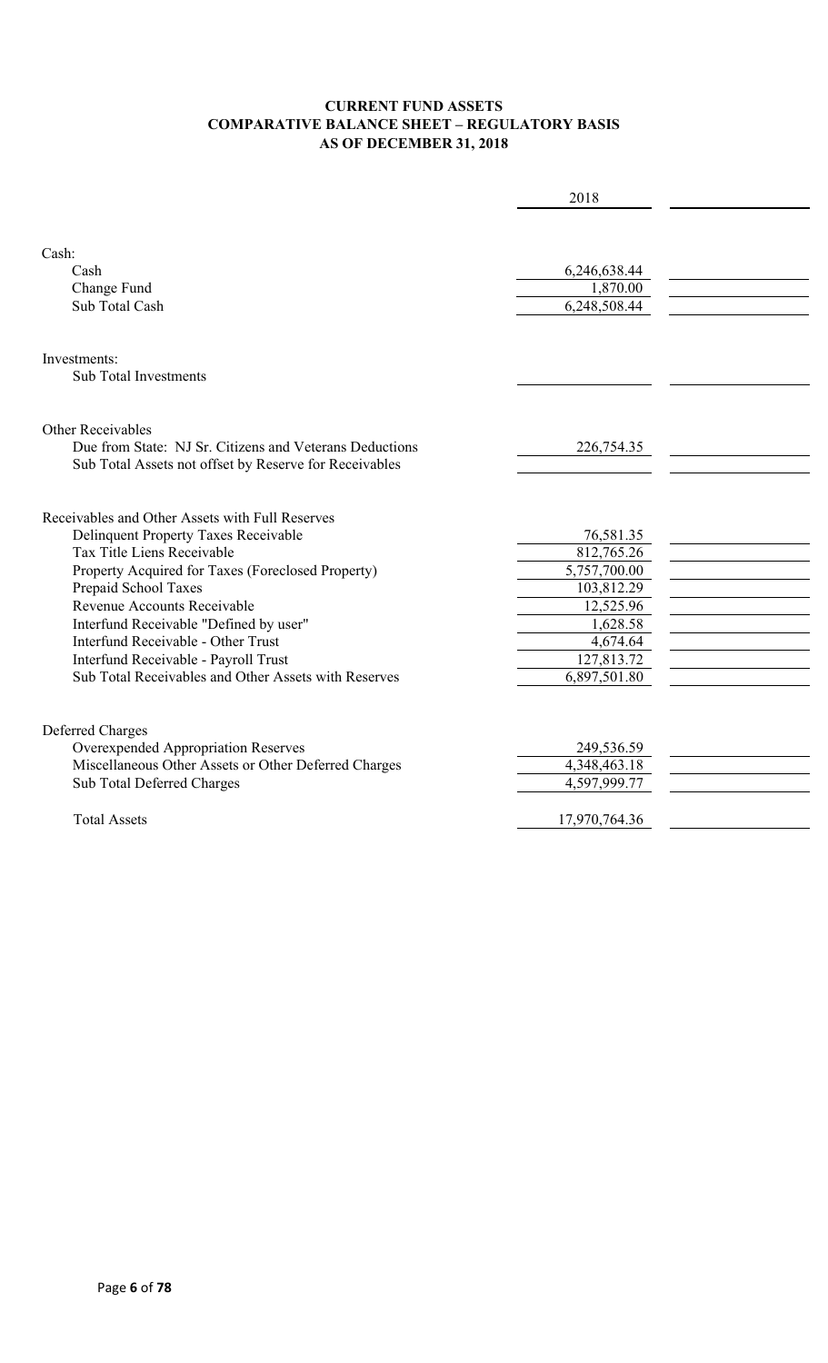### **CURRENT FUND ASSETS COMPARATIVE BALANCE SHEET – REGULATORY BASIS AS OF DECEMBER 31, 2018**

|                                                                                                                                                                                                                                                                                                                                                                                                                          | 2018                                                                                                                     |  |
|--------------------------------------------------------------------------------------------------------------------------------------------------------------------------------------------------------------------------------------------------------------------------------------------------------------------------------------------------------------------------------------------------------------------------|--------------------------------------------------------------------------------------------------------------------------|--|
| Cash:<br>Cash<br>Change Fund<br>Sub Total Cash                                                                                                                                                                                                                                                                                                                                                                           | 6,246,638.44<br>1,870.00<br>6,248,508.44                                                                                 |  |
| Investments:<br><b>Sub Total Investments</b>                                                                                                                                                                                                                                                                                                                                                                             |                                                                                                                          |  |
| Other Receivables<br>Due from State: NJ Sr. Citizens and Veterans Deductions<br>Sub Total Assets not offset by Reserve for Receivables                                                                                                                                                                                                                                                                                   | 226,754.35                                                                                                               |  |
| Receivables and Other Assets with Full Reserves<br>Delinquent Property Taxes Receivable<br>Tax Title Liens Receivable<br>Property Acquired for Taxes (Foreclosed Property)<br>Prepaid School Taxes<br>Revenue Accounts Receivable<br>Interfund Receivable "Defined by user"<br><b>Interfund Receivable - Other Trust</b><br>Interfund Receivable - Payroll Trust<br>Sub Total Receivables and Other Assets with Reserves | 76,581.35<br>812,765.26<br>5,757,700.00<br>103,812.29<br>12,525.96<br>1,628.58<br>4,674.64<br>127,813.72<br>6,897,501.80 |  |
| Deferred Charges<br>Overexpended Appropriation Reserves<br>Miscellaneous Other Assets or Other Deferred Charges<br>Sub Total Deferred Charges<br><b>Total Assets</b>                                                                                                                                                                                                                                                     | 249,536.59<br>4,348,463.18<br>4,597,999.77<br>17,970,764.36                                                              |  |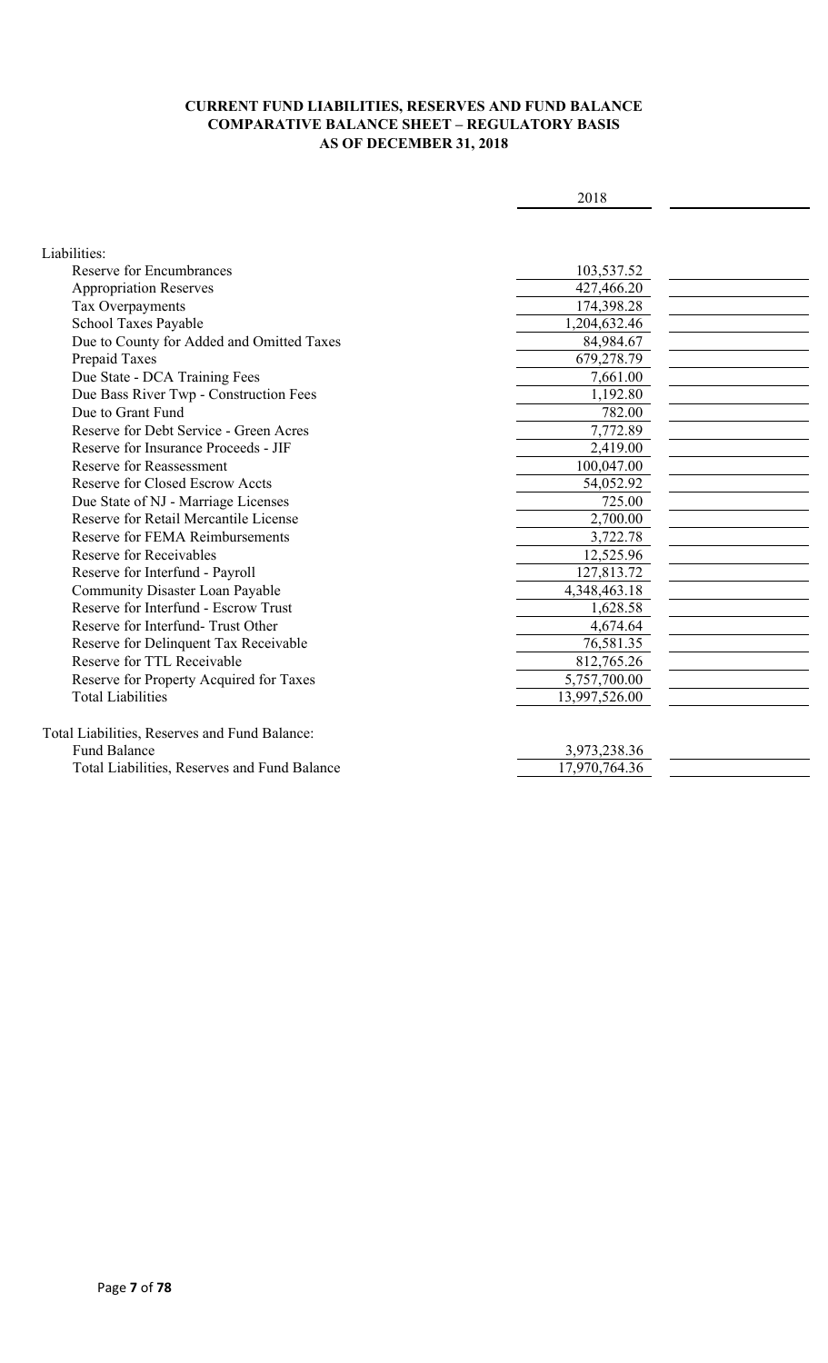### **CURRENT FUND LIABILITIES, RESERVES AND FUND BALANCE COMPARATIVE BALANCE SHEET – REGULATORY BASIS AS OF DECEMBER 31, 2018**

| I | I |
|---|---|
|   |   |

| Liabilities:                                  |               |  |
|-----------------------------------------------|---------------|--|
| <b>Reserve for Encumbrances</b>               | 103,537.52    |  |
| <b>Appropriation Reserves</b>                 | 427,466.20    |  |
| Tax Overpayments                              | 174,398.28    |  |
| School Taxes Payable                          | 1,204,632.46  |  |
| Due to County for Added and Omitted Taxes     | 84,984.67     |  |
| Prepaid Taxes                                 | 679,278.79    |  |
| Due State - DCA Training Fees                 | 7,661.00      |  |
| Due Bass River Twp - Construction Fees        | 1,192.80      |  |
| Due to Grant Fund                             | 782.00        |  |
| Reserve for Debt Service - Green Acres        | 7,772.89      |  |
| Reserve for Insurance Proceeds - JIF          | 2,419.00      |  |
| <b>Reserve for Reassessment</b>               | 100,047.00    |  |
| <b>Reserve for Closed Escrow Accts</b>        | 54,052.92     |  |
| Due State of NJ - Marriage Licenses           | 725.00        |  |
| Reserve for Retail Mercantile License         | 2,700.00      |  |
| Reserve for FEMA Reimbursements               | 3,722.78      |  |
| Reserve for Receivables                       | 12,525.96     |  |
| Reserve for Interfund - Payroll               | 127,813.72    |  |
| <b>Community Disaster Loan Payable</b>        | 4,348,463.18  |  |
| Reserve for Interfund - Escrow Trust          | 1,628.58      |  |
| Reserve for Interfund-Trust Other             | 4,674.64      |  |
| Reserve for Delinquent Tax Receivable         | 76,581.35     |  |
| Reserve for TTL Receivable                    | 812,765.26    |  |
| Reserve for Property Acquired for Taxes       | 5,757,700.00  |  |
| <b>Total Liabilities</b>                      | 13,997,526.00 |  |
| Total Liabilities, Reserves and Fund Balance: |               |  |
| <b>Fund Balance</b>                           | 3,973,238.36  |  |
| Total Liabilities, Reserves and Fund Balance  | 17,970,764.36 |  |
|                                               |               |  |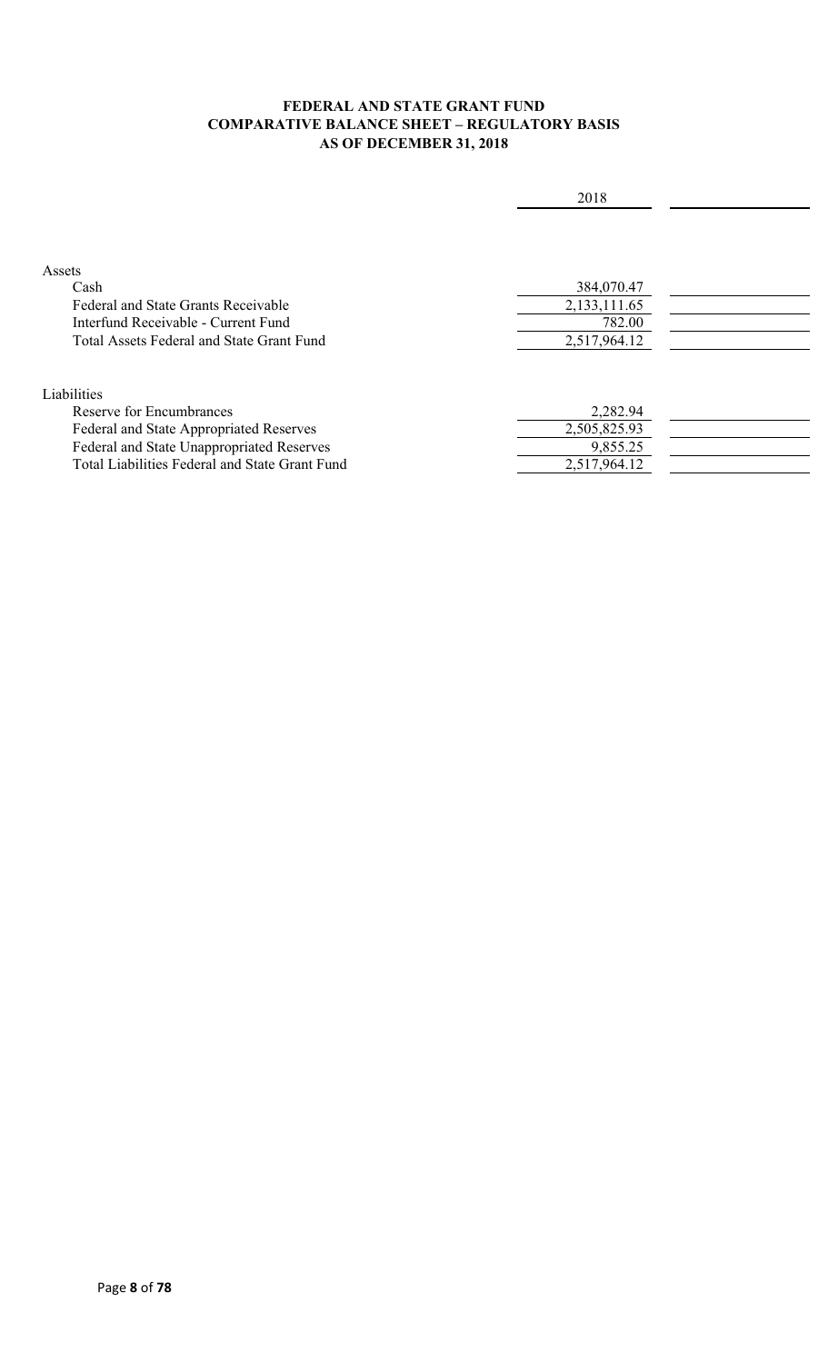### **FEDERAL AND STATE GRANT FUND COMPARATIVE BALANCE SHEET – REGULATORY BASIS AS OF DECEMBER 31, 2018**

|                                                | 2018         |  |
|------------------------------------------------|--------------|--|
|                                                |              |  |
|                                                |              |  |
| Assets                                         |              |  |
| Cash                                           | 384,070.47   |  |
| <b>Federal and State Grants Receivable</b>     | 2,133,111.65 |  |
| Interfund Receivable - Current Fund            | 782.00       |  |
| Total Assets Federal and State Grant Fund      | 2,517,964.12 |  |
|                                                |              |  |
| Liabilities                                    |              |  |
| Reserve for Encumbrances                       | 2,282.94     |  |
| Federal and State Appropriated Reserves        | 2,505,825.93 |  |
| Federal and State Unappropriated Reserves      | 9,855.25     |  |
| Total Liabilities Federal and State Grant Fund | 2,517,964.12 |  |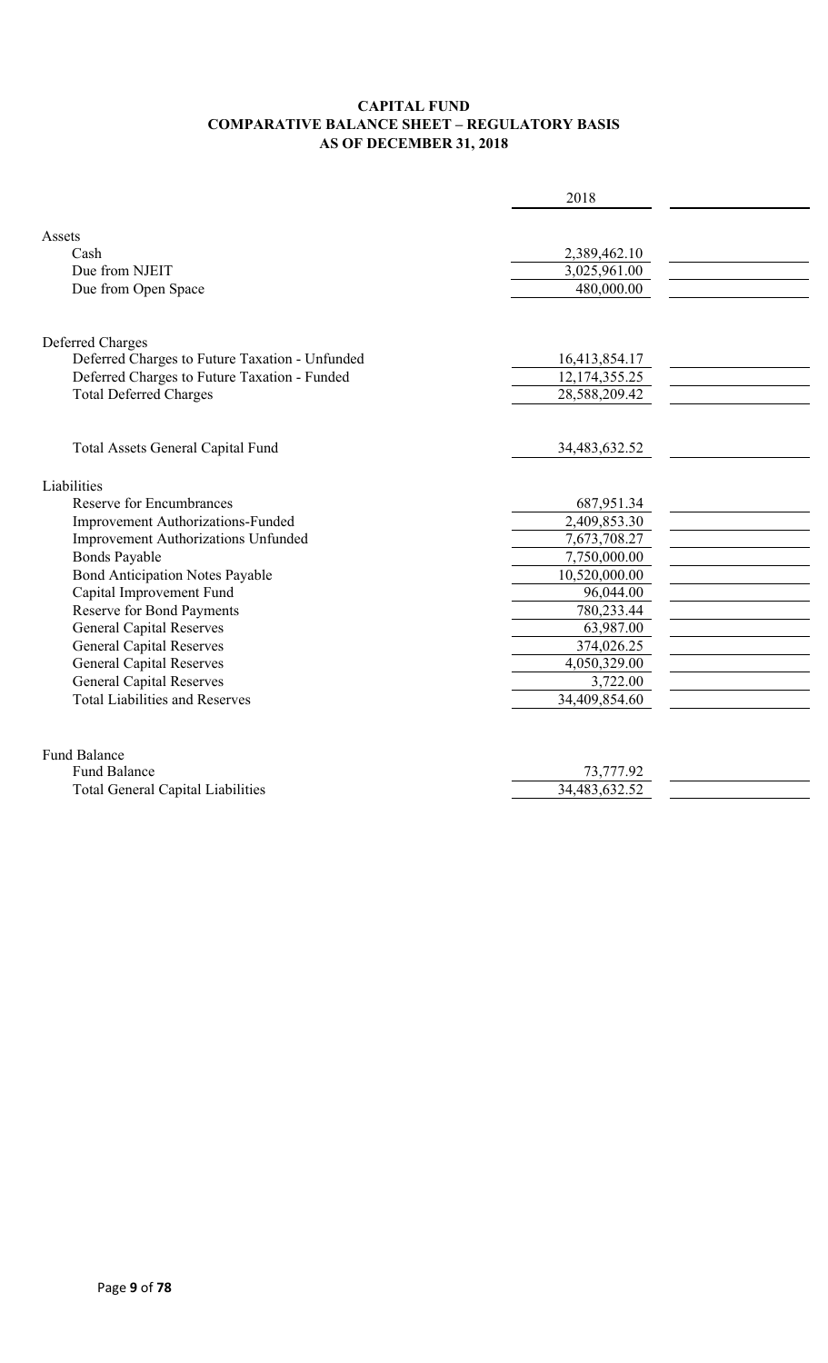### **CAPITAL FUND COMPARATIVE BALANCE SHEET – REGULATORY BASIS AS OF DECEMBER 31, 2018**

|                                                | 2018             |  |
|------------------------------------------------|------------------|--|
|                                                |                  |  |
| Assets                                         |                  |  |
| Cash                                           | 2,389,462.10     |  |
| Due from NJEIT                                 | 3,025,961.00     |  |
| Due from Open Space                            | 480,000.00       |  |
|                                                |                  |  |
| Deferred Charges                               |                  |  |
| Deferred Charges to Future Taxation - Unfunded | 16,413,854.17    |  |
| Deferred Charges to Future Taxation - Funded   | 12, 174, 355. 25 |  |
| <b>Total Deferred Charges</b>                  | 28,588,209.42    |  |
|                                                |                  |  |
| Total Assets General Capital Fund              | 34,483,632.52    |  |
|                                                |                  |  |
| Liabilities                                    |                  |  |
| <b>Reserve for Encumbrances</b>                | 687,951.34       |  |
| Improvement Authorizations-Funded              | 2,409,853.30     |  |
| Improvement Authorizations Unfunded            | 7,673,708.27     |  |
| <b>Bonds Payable</b>                           | 7,750,000.00     |  |
| <b>Bond Anticipation Notes Payable</b>         | 10,520,000.00    |  |
| Capital Improvement Fund                       | 96,044.00        |  |
| <b>Reserve for Bond Payments</b>               | 780,233.44       |  |
| <b>General Capital Reserves</b>                | 63,987.00        |  |
| <b>General Capital Reserves</b>                | 374,026.25       |  |
| <b>General Capital Reserves</b>                | 4,050,329.00     |  |
| <b>General Capital Reserves</b>                | 3,722.00         |  |
| <b>Total Liabilities and Reserves</b>          | 34,409,854.60    |  |
|                                                |                  |  |
| <b>Fund Balance</b>                            |                  |  |
| <b>Fund Balance</b>                            | 73,777.92        |  |
| <b>Total General Capital Liabilities</b>       | 34,483,632.52    |  |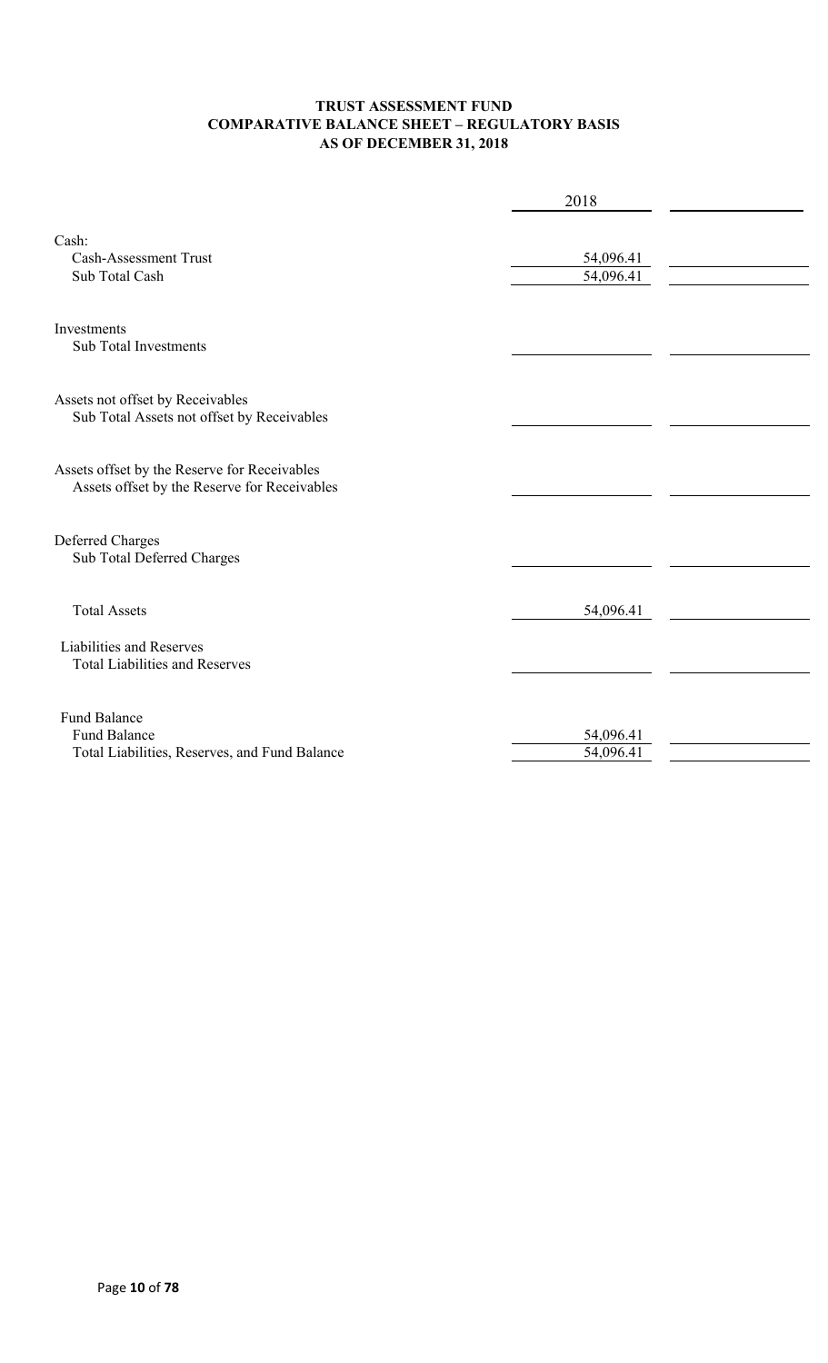### **TRUST ASSESSMENT FUND COMPARATIVE BALANCE SHEET – REGULATORY BASIS AS OF DECEMBER 31, 2018**

|                                                                                              | 2018                   |  |  |  |  |
|----------------------------------------------------------------------------------------------|------------------------|--|--|--|--|
| Cash:<br><b>Cash-Assessment Trust</b><br>Sub Total Cash                                      | 54,096.41<br>54,096.41 |  |  |  |  |
| Investments<br><b>Sub Total Investments</b>                                                  |                        |  |  |  |  |
| Assets not offset by Receivables<br>Sub Total Assets not offset by Receivables               |                        |  |  |  |  |
| Assets offset by the Reserve for Receivables<br>Assets offset by the Reserve for Receivables |                        |  |  |  |  |
| Deferred Charges<br>Sub Total Deferred Charges                                               |                        |  |  |  |  |
| <b>Total Assets</b>                                                                          | 54,096.41              |  |  |  |  |
| Liabilities and Reserves<br><b>Total Liabilities and Reserves</b>                            |                        |  |  |  |  |
| <b>Fund Balance</b><br><b>Fund Balance</b><br>Total Liabilities, Reserves, and Fund Balance  | 54,096.41<br>54,096.41 |  |  |  |  |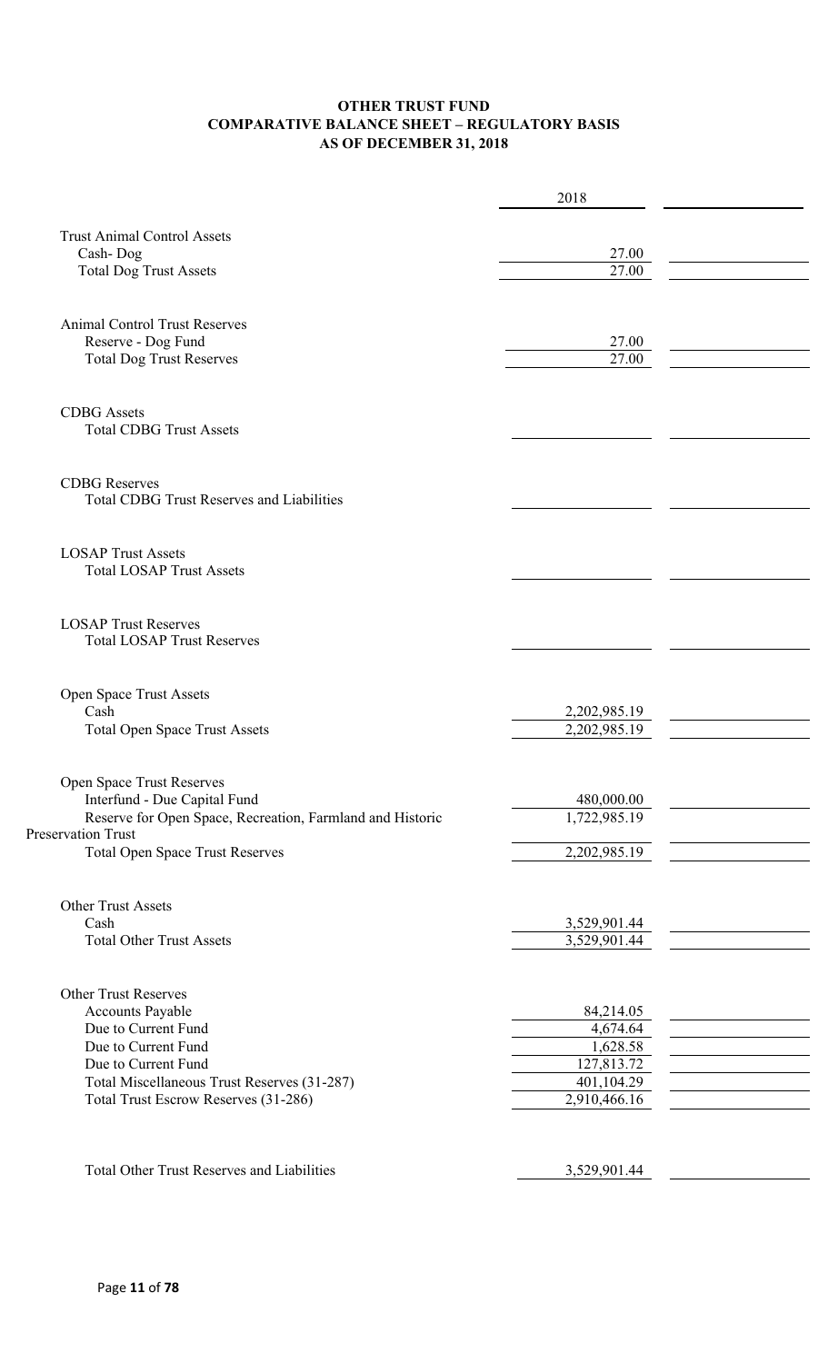### **OTHER TRUST FUND COMPARATIVE BALANCE SHEET – REGULATORY BASIS AS OF DECEMBER 31, 2018**

|                                                           | 2018                   |  |
|-----------------------------------------------------------|------------------------|--|
|                                                           |                        |  |
| <b>Trust Animal Control Assets</b>                        |                        |  |
| Cash-Dog                                                  | 27.00<br>27.00         |  |
| <b>Total Dog Trust Assets</b>                             |                        |  |
|                                                           |                        |  |
| <b>Animal Control Trust Reserves</b>                      |                        |  |
| Reserve - Dog Fund                                        | 27.00                  |  |
| <b>Total Dog Trust Reserves</b>                           | 27.00                  |  |
|                                                           |                        |  |
| <b>CDBG</b> Assets                                        |                        |  |
| <b>Total CDBG Trust Assets</b>                            |                        |  |
|                                                           |                        |  |
| <b>CDBG</b> Reserves                                      |                        |  |
| <b>Total CDBG Trust Reserves and Liabilities</b>          |                        |  |
|                                                           |                        |  |
| <b>LOSAP Trust Assets</b>                                 |                        |  |
| <b>Total LOSAP Trust Assets</b>                           |                        |  |
|                                                           |                        |  |
| <b>LOSAP Trust Reserves</b>                               |                        |  |
| <b>Total LOSAP Trust Reserves</b>                         |                        |  |
|                                                           |                        |  |
| Open Space Trust Assets                                   |                        |  |
| Cash                                                      | 2,202,985.19           |  |
| <b>Total Open Space Trust Assets</b>                      | 2,202,985.19           |  |
|                                                           |                        |  |
| <b>Open Space Trust Reserves</b>                          |                        |  |
| Interfund - Due Capital Fund                              | 480,000.00             |  |
| Reserve for Open Space, Recreation, Farmland and Historic | 1,722,985.19           |  |
| Preservation Trust                                        |                        |  |
| <b>Total Open Space Trust Reserves</b>                    | 2,202,985.19           |  |
|                                                           |                        |  |
| <b>Other Trust Assets</b>                                 |                        |  |
| Cash                                                      | 3,529,901.44           |  |
| <b>Total Other Trust Assets</b>                           | 3,529,901.44           |  |
|                                                           |                        |  |
| <b>Other Trust Reserves</b>                               |                        |  |
| Accounts Payable                                          | 84,214.05              |  |
| Due to Current Fund                                       | 4,674.64               |  |
| Due to Current Fund<br>Due to Current Fund                | 1,628.58<br>127,813.72 |  |
| Total Miscellaneous Trust Reserves (31-287)               | 401,104.29             |  |
| Total Trust Escrow Reserves (31-286)                      | 2,910,466.16           |  |
|                                                           |                        |  |
|                                                           |                        |  |
| Total Other Trust Reserves and Liabilities                | 3,529,901.44           |  |
|                                                           |                        |  |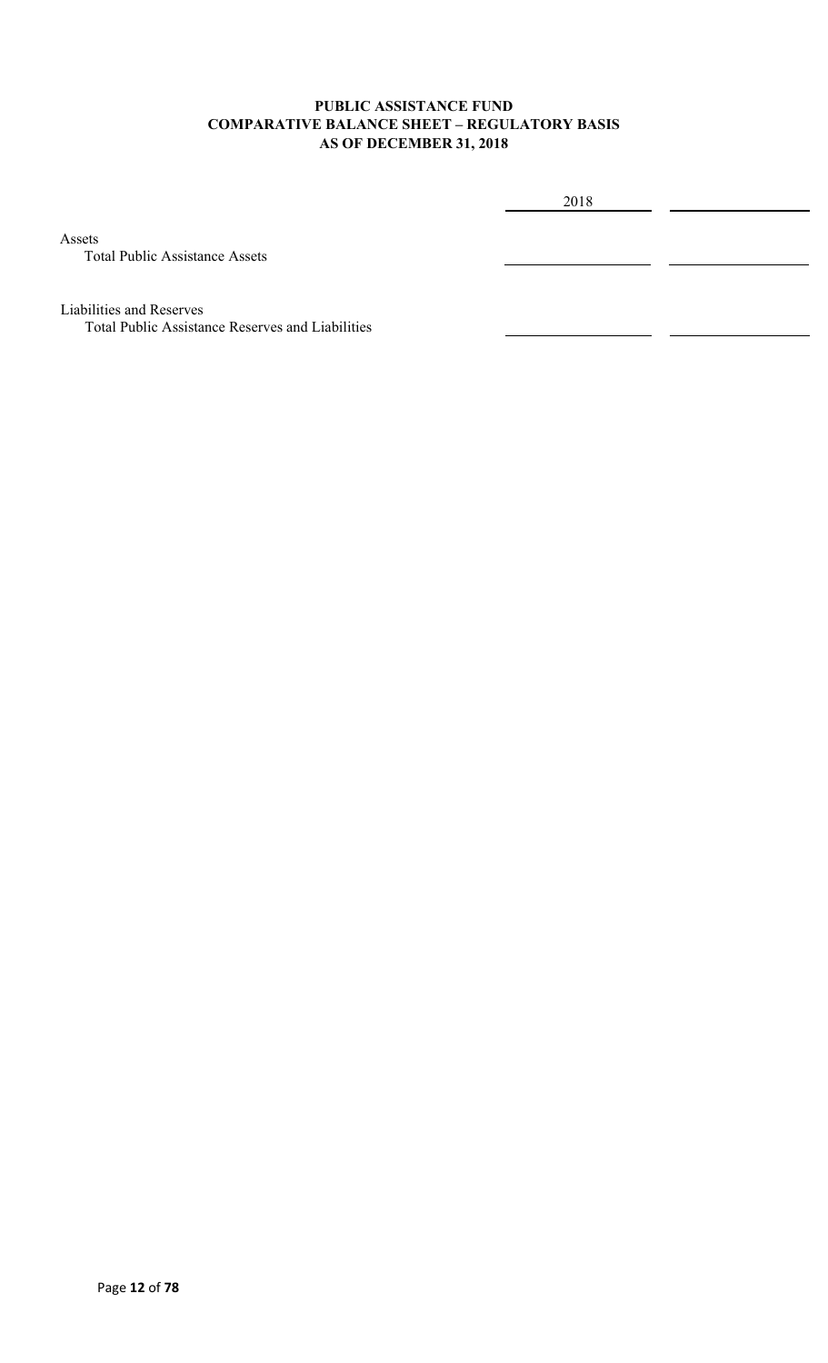### **PUBLIC ASSISTANCE FUND COMPARATIVE BALANCE SHEET – REGULATORY BASIS AS OF DECEMBER 31, 2018**

2018

Assets

Total Public Assistance Assets

Liabilities and Reserves

Total Public Assistance Reserves and Liabilities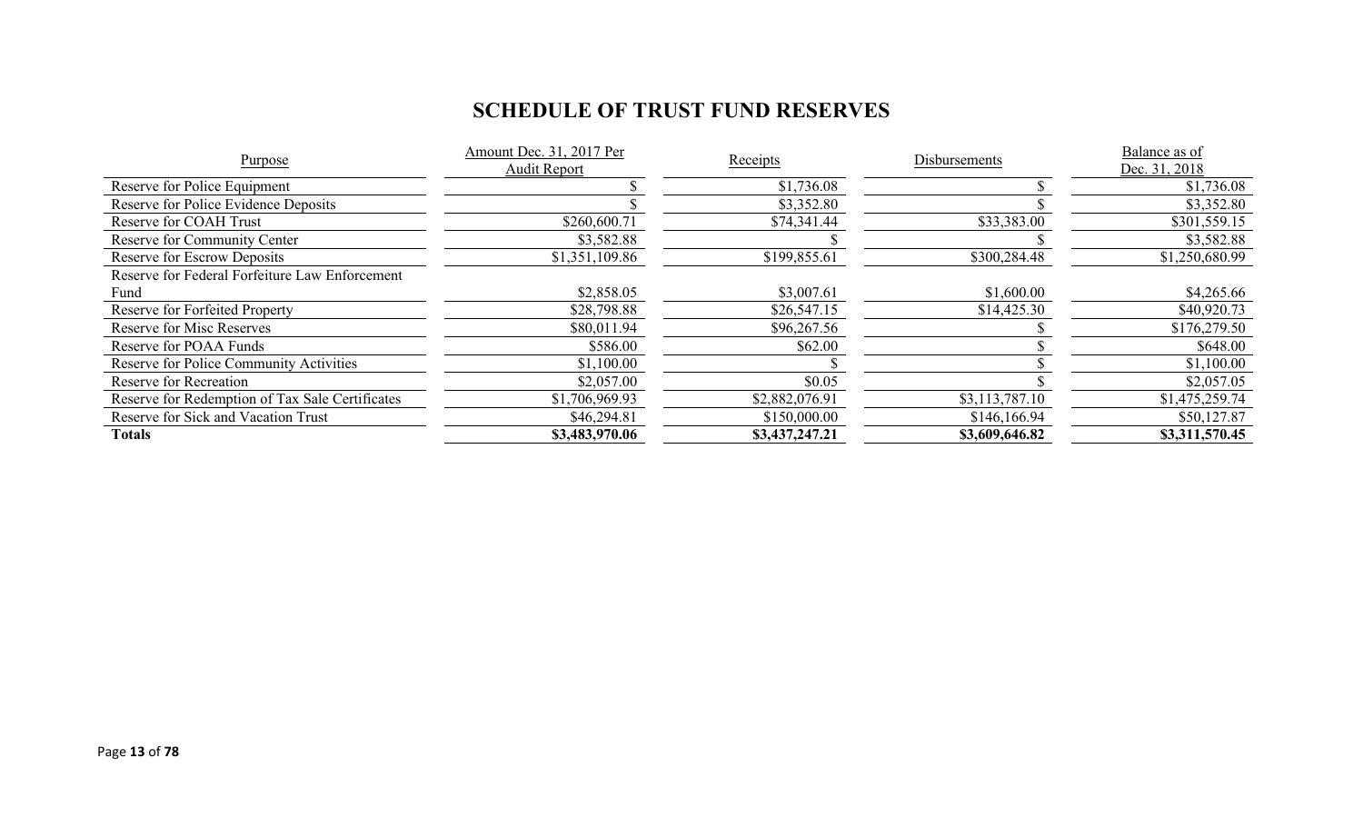# **SCHEDULE OF TRUST FUND RESERVES**

| Purpose                                         | Amount Dec. 31, 2017 Per<br>Audit Report | Receipts       | Disbursements  | Balance as of<br>Dec. 31, 2018 |
|-------------------------------------------------|------------------------------------------|----------------|----------------|--------------------------------|
| Reserve for Police Equipment                    |                                          | \$1,736.08     |                | \$1,736.08                     |
| Reserve for Police Evidence Deposits            |                                          | \$3,352.80     |                | \$3,352.80                     |
| Reserve for COAH Trust                          | \$260,600.71                             | \$74,341.44    | \$33,383.00    | \$301,559.15                   |
| Reserve for Community Center                    | \$3,582.88                               |                |                | \$3,582.88                     |
| <b>Reserve for Escrow Deposits</b>              | \$1,351,109.86                           | \$199,855.61   | \$300,284.48   | \$1,250,680.99                 |
| Reserve for Federal Forfeiture Law Enforcement  |                                          |                |                |                                |
| Fund                                            | \$2,858.05                               | \$3,007.61     | \$1,600.00     | \$4,265.66                     |
| Reserve for Forfeited Property                  | \$28,798.88                              | \$26,547.15    | \$14,425.30    | \$40,920.73                    |
| <b>Reserve for Misc Reserves</b>                | \$80,011.94                              | \$96,267.56    |                | \$176,279.50                   |
| Reserve for POAA Funds                          | \$586.00                                 | \$62.00        |                | \$648.00                       |
| Reserve for Police Community Activities         | \$1,100.00                               |                |                | \$1,100.00                     |
| Reserve for Recreation                          | \$2,057.00                               | \$0.05         |                | \$2,057.05                     |
| Reserve for Redemption of Tax Sale Certificates | \$1,706,969.93                           | \$2,882,076.91 | \$3,113,787.10 | \$1,475,259.74                 |
| Reserve for Sick and Vacation Trust             | \$46,294.81                              | \$150,000.00   | \$146,166.94   | \$50,127.87                    |
| Totals                                          | \$3,483,970.06                           | \$3,437,247.21 | \$3,609,646.82 | \$3,311,570.45                 |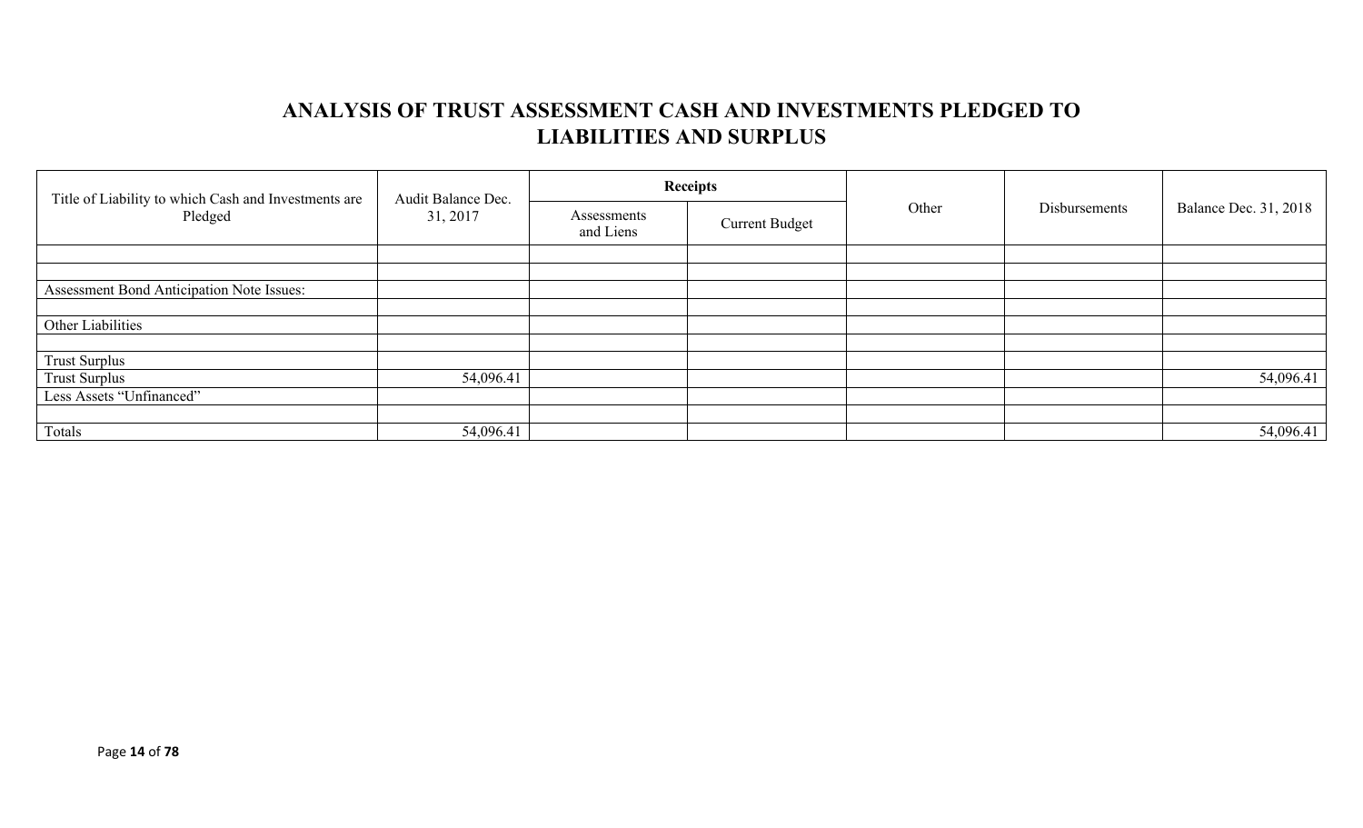## **ANALYSIS OF TRUST ASSESSMENT CASH AND INVESTMENTS PLEDGED TO LIABILITIES AND SURPLUS**

| Title of Liability to which Cash and Investments are<br>Pledged | Audit Balance Dec.<br>31, 2017 |                          | <b>Receipts</b>       | Other | Disbursements |                              |
|-----------------------------------------------------------------|--------------------------------|--------------------------|-----------------------|-------|---------------|------------------------------|
|                                                                 |                                | Assessments<br>and Liens | <b>Current Budget</b> |       |               | <b>Balance Dec. 31, 2018</b> |
|                                                                 |                                |                          |                       |       |               |                              |
|                                                                 |                                |                          |                       |       |               |                              |
| Assessment Bond Anticipation Note Issues:                       |                                |                          |                       |       |               |                              |
|                                                                 |                                |                          |                       |       |               |                              |
| Other Liabilities                                               |                                |                          |                       |       |               |                              |
|                                                                 |                                |                          |                       |       |               |                              |
| <b>Trust Surplus</b>                                            |                                |                          |                       |       |               |                              |
| <b>Trust Surplus</b>                                            | 54,096.41                      |                          |                       |       |               | 54,096.41                    |
| Less Assets "Unfinanced"                                        |                                |                          |                       |       |               |                              |
|                                                                 |                                |                          |                       |       |               |                              |
| Totals                                                          | 54,096.41                      |                          |                       |       |               | 54,096.41                    |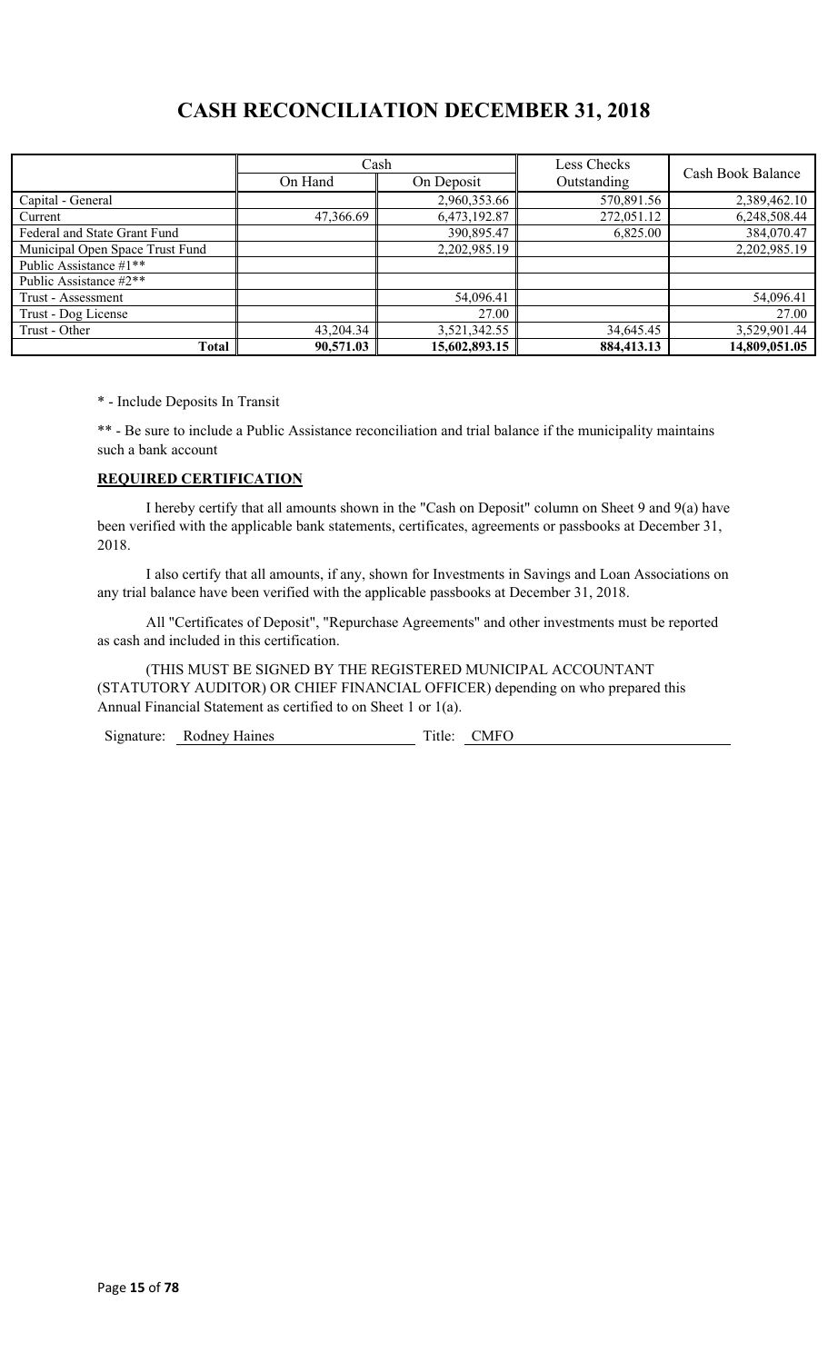## **CASH RECONCILIATION DECEMBER 31, 2018**

|                                 | Cash       |               | Less Checks | Cash Book Balance |  |
|---------------------------------|------------|---------------|-------------|-------------------|--|
|                                 | On Hand    | On Deposit    | Outstanding |                   |  |
| Capital - General               |            | 2,960,353.66  | 570,891.56  | 2,389,462.10      |  |
| Current                         | 47,366.69  | 6,473,192.87  | 272,051.12  | 6,248,508.44      |  |
| Federal and State Grant Fund    | 390,895.47 |               | 6,825.00    | 384,070.47        |  |
| Municipal Open Space Trust Fund |            | 2,202,985.19  |             | 2,202,985.19      |  |
| Public Assistance #1**          |            |               |             |                   |  |
| Public Assistance #2**          |            |               |             |                   |  |
| Trust - Assessment              |            | 54,096.41     |             | 54,096.41         |  |
| Trust - Dog License             |            | 27.00         |             | 27.00             |  |
| Trust - Other                   | 43,204.34  | 3,521,342.55  | 34,645.45   | 3,529,901.44      |  |
| Total                           | 90,571.03  | 15,602,893.15 | 884,413.13  | 14,809,051.05     |  |

\* - Include Deposits In Transit

\*\* - Be sure to include a Public Assistance reconciliation and trial balance if the municipality maintains such a bank account

### **REQUIRED CERTIFICATION**

I hereby certify that all amounts shown in the "Cash on Deposit" column on Sheet 9 and 9(a) have been verified with the applicable bank statements, certificates, agreements or passbooks at December 31, 2018.

I also certify that all amounts, if any, shown for Investments in Savings and Loan Associations on any trial balance have been verified with the applicable passbooks at December 31, 2018.

All "Certificates of Deposit", "Repurchase Agreements" and other investments must be reported as cash and included in this certification.

(THIS MUST BE SIGNED BY THE REGISTERED MUNICIPAL ACCOUNTANT (STATUTORY AUDITOR) OR CHIEF FINANCIAL OFFICER) depending on who prepared this Annual Financial Statement as certified to on Sheet 1 or 1(a).

Signature: Rodney Haines Title: CMFO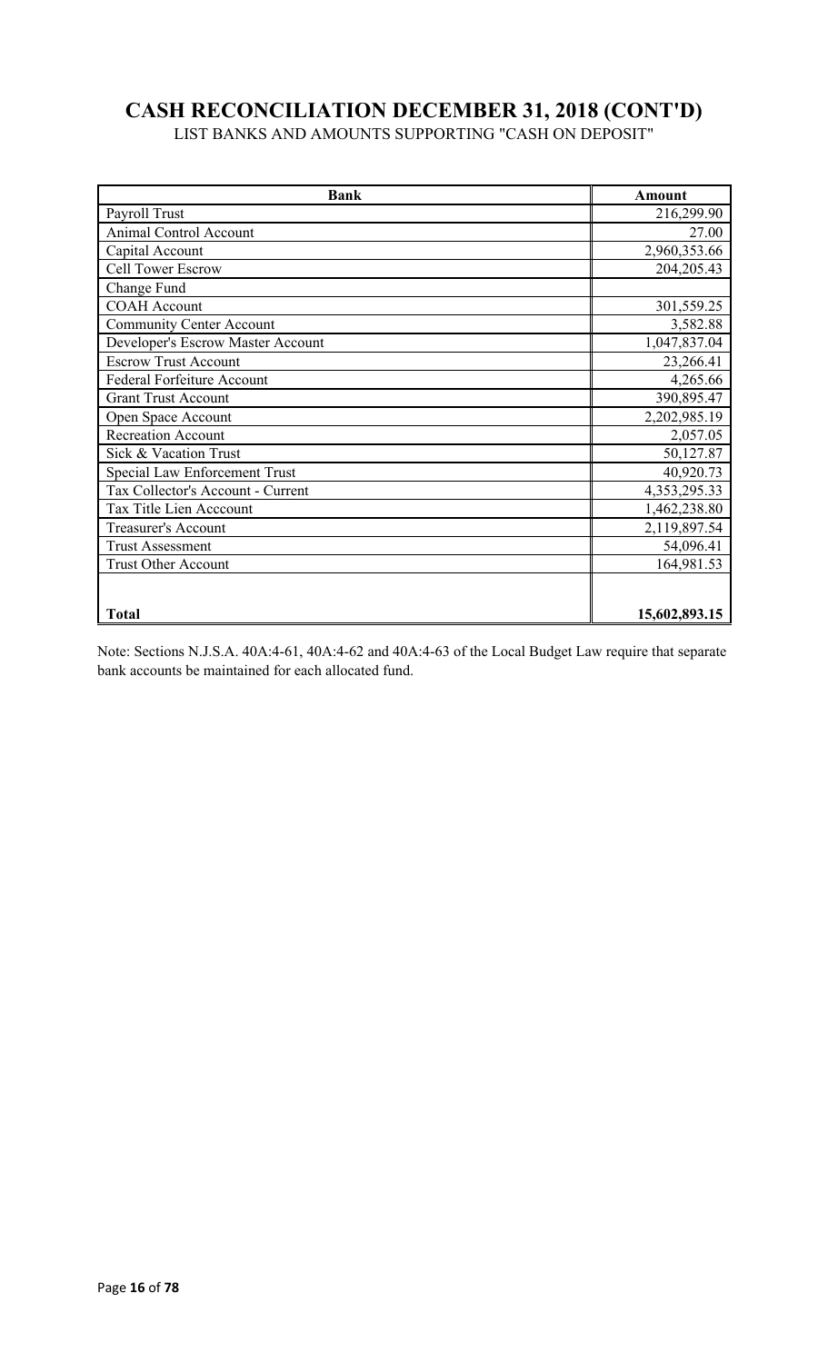# **CASH RECONCILIATION DECEMBER 31, 2018 (CONT'D)**

LIST BANKS AND AMOUNTS SUPPORTING "CASH ON DEPOSIT"

| <b>Bank</b>                       | Amount        |
|-----------------------------------|---------------|
| Payroll Trust                     | 216,299.90    |
| <b>Animal Control Account</b>     | 27.00         |
| Capital Account                   | 2,960,353.66  |
| <b>Cell Tower Escrow</b>          | 204, 205. 43  |
| Change Fund                       |               |
| <b>COAH</b> Account               | 301,559.25    |
| <b>Community Center Account</b>   | 3,582.88      |
| Developer's Escrow Master Account | 1,047,837.04  |
| <b>Escrow Trust Account</b>       | 23,266.41     |
| Federal Forfeiture Account        | 4,265.66      |
| <b>Grant Trust Account</b>        | 390,895.47    |
| Open Space Account                | 2,202,985.19  |
| <b>Recreation Account</b>         | 2,057.05      |
| Sick & Vacation Trust             | 50,127.87     |
| Special Law Enforcement Trust     | 40,920.73     |
| Tax Collector's Account - Current | 4,353,295.33  |
| Tax Title Lien Acccount           | 1,462,238.80  |
| <b>Treasurer's Account</b>        | 2,119,897.54  |
| <b>Trust Assessment</b>           | 54,096.41     |
| <b>Trust Other Account</b>        | 164,981.53    |
|                                   |               |
| <b>Total</b>                      | 15,602,893.15 |

Note: Sections N.J.S.A. 40A:4-61, 40A:4-62 and 40A:4-63 of the Local Budget Law require that separate bank accounts be maintained for each allocated fund.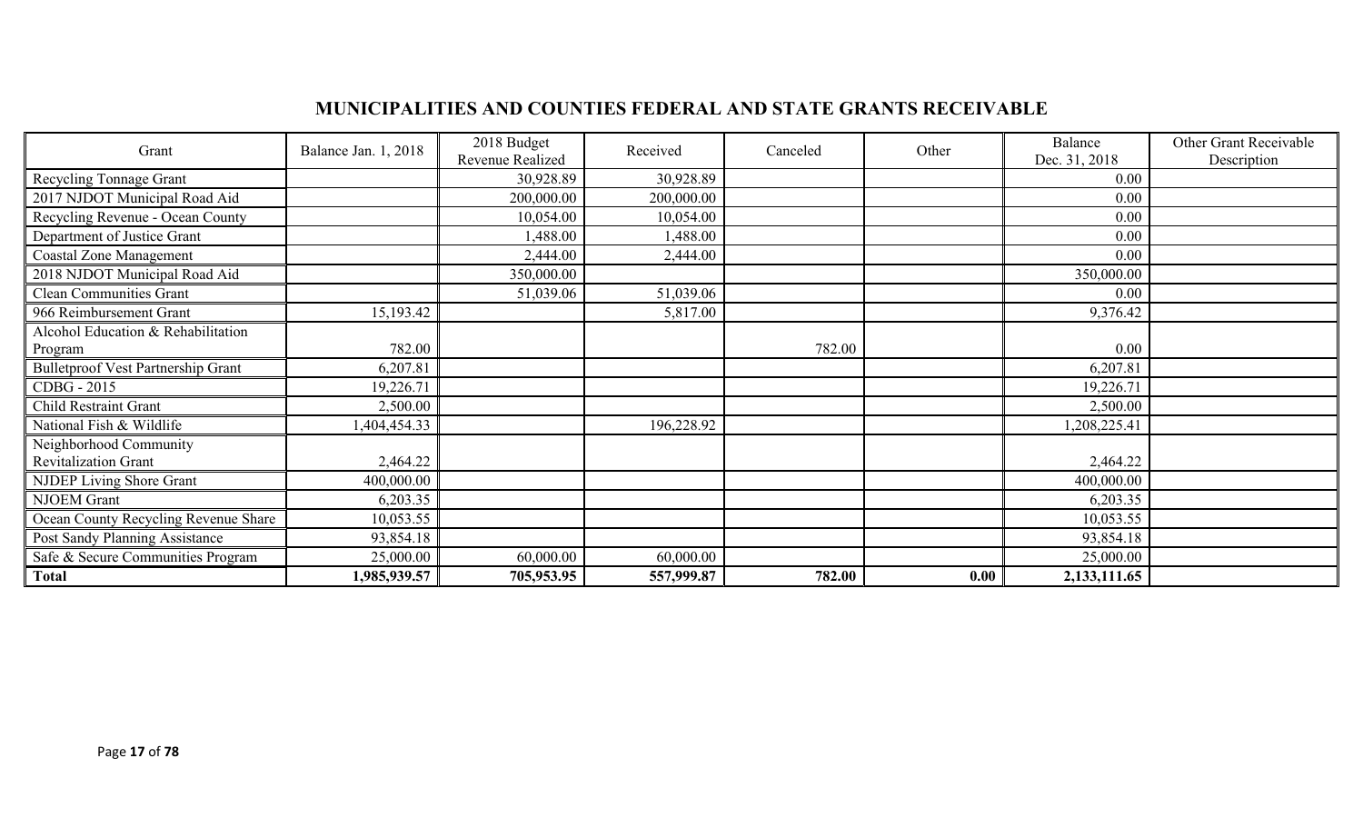## **MUNICIPALITIES AND COUNTIES FEDERAL AND STATE GRANTS RECEIVABLE**

| Grant                                                 | Balance Jan. 1, 2018 | 2018 Budget<br>Revenue Realized | Received   | Canceled | Other | Balance<br>Dec. 31, 2018 | Other Grant Receivable<br>Description |
|-------------------------------------------------------|----------------------|---------------------------------|------------|----------|-------|--------------------------|---------------------------------------|
| Recycling Tonnage Grant                               |                      | 30,928.89                       | 30,928.89  |          |       | 0.00                     |                                       |
| 2017 NJDOT Municipal Road Aid                         |                      | 200,000.00                      | 200,000.00 |          |       | 0.00                     |                                       |
| Recycling Revenue - Ocean County                      |                      | 10,054.00                       | 10,054.00  |          |       | 0.00                     |                                       |
| Department of Justice Grant                           |                      | 1,488.00                        | 1,488.00   |          |       | 0.00                     |                                       |
| <b>Coastal Zone Management</b>                        |                      | 2,444.00                        | 2,444.00   |          |       | 0.00                     |                                       |
| 2018 NJDOT Municipal Road Aid                         |                      | 350,000.00                      |            |          |       | 350,000.00               |                                       |
| <b>Clean Communities Grant</b>                        |                      | 51,039.06                       | 51,039.06  |          |       | 0.00                     |                                       |
| 966 Reimbursement Grant                               | 15,193.42            |                                 | 5,817.00   |          |       | 9,376.42                 |                                       |
| Alcohol Education & Rehabilitation                    |                      |                                 |            |          |       |                          |                                       |
| Program                                               | 782.00               |                                 |            | 782.00   |       | $0.00\,$                 |                                       |
| <b>Bulletproof Vest Partnership Grant</b>             | 6,207.81             |                                 |            |          |       | 6,207.81                 |                                       |
| CDBG - 2015                                           | 19,226.71            |                                 |            |          |       | 19,226.71                |                                       |
| <b>Child Restraint Grant</b>                          | 2,500.00             |                                 |            |          |       | 2,500.00                 |                                       |
| National Fish & Wildlife                              | 404,454.33           |                                 | 196,228.92 |          |       | 1,208,225.41             |                                       |
| Neighborhood Community<br><b>Revitalization Grant</b> | 2,464.22             |                                 |            |          |       | 2,464.22                 |                                       |
| NJDEP Living Shore Grant                              | 400,000.00           |                                 |            |          |       | 400,000.00               |                                       |
| <b>NJOEM</b> Grant                                    | 6,203.35             |                                 |            |          |       | 6,203.35                 |                                       |
| Ocean County Recycling Revenue Share                  | 10,053.55            |                                 |            |          |       | 10,053.55                |                                       |
| Post Sandy Planning Assistance                        | 93,854.18            |                                 |            |          |       | 93,854.18                |                                       |
| Safe & Secure Communities Program                     | 25,000.00            | 60,000.00                       | 60,000.00  |          |       | 25,000.00                |                                       |
| <b>Total</b>                                          | 1,985,939.57         | 705,953.95                      | 557,999.87 | 782.00   | 0.00  | 2,133,111.65             |                                       |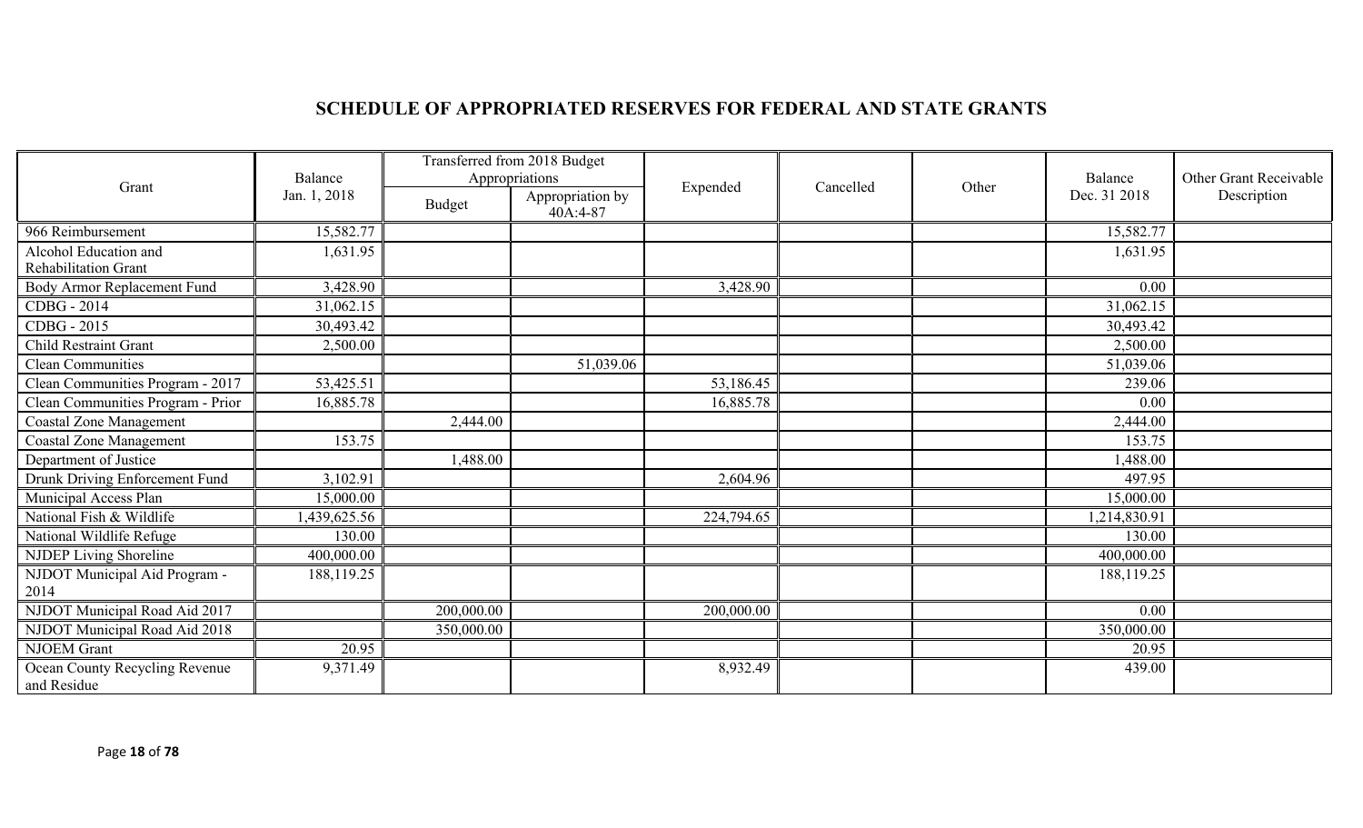## **SCHEDULE OF APPROPRIATED RESERVES FOR FEDERAL AND STATE GRANTS**

| Grant                                         | Balance      | Transferred from 2018 Budget<br>Appropriations |                              |            |           |       | Balance      | Other Grant Receivable |
|-----------------------------------------------|--------------|------------------------------------------------|------------------------------|------------|-----------|-------|--------------|------------------------|
|                                               | Jan. 1, 2018 | Budget                                         | Appropriation by<br>40A:4-87 | Expended   | Cancelled | Other | Dec. 31 2018 | Description            |
| 966 Reimbursement                             | 15,582.77    |                                                |                              |            |           |       | 15,582.77    |                        |
| Alcohol Education and                         | 1,631.95     |                                                |                              |            |           |       | 1,631.95     |                        |
| <b>Rehabilitation Grant</b>                   |              |                                                |                              |            |           |       |              |                        |
| Body Armor Replacement Fund                   | 3,428.90     |                                                |                              | 3,428.90   |           |       | 0.00         |                        |
| CDBG - 2014                                   | 31,062.15    |                                                |                              |            |           |       | 31,062.15    |                        |
| CDBG - 2015                                   | 30,493.42    |                                                |                              |            |           |       | 30,493.42    |                        |
| Child Restraint Grant                         | 2,500.00     |                                                |                              |            |           |       | 2,500.00     |                        |
| Clean Communities                             |              |                                                | 51,039.06                    |            |           |       | 51,039.06    |                        |
| Clean Communities Program - 2017              | 53,425.51    |                                                |                              | 53,186.45  |           |       | 239.06       |                        |
| Clean Communities Program - Prior             | 16,885.78    |                                                |                              | 16,885.78  |           |       | 0.00         |                        |
| <b>Coastal Zone Management</b>                |              | 2,444.00                                       |                              |            |           |       | 2,444.00     |                        |
| <b>Coastal Zone Management</b>                | 153.75       |                                                |                              |            |           |       | 153.75       |                        |
| Department of Justice                         |              | 1,488.00                                       |                              |            |           |       | 1,488.00     |                        |
| Drunk Driving Enforcement Fund                | 3,102.91     |                                                |                              | 2,604.96   |           |       | 497.95       |                        |
| Municipal Access Plan                         | 15,000.00    |                                                |                              |            |           |       | 15,000.00    |                        |
| National Fish & Wildlife                      | 1,439,625.56 |                                                |                              | 224,794.65 |           |       | 1,214,830.91 |                        |
| National Wildlife Refuge                      | 130.00       |                                                |                              |            |           |       | 130.00       |                        |
| NJDEP Living Shoreline                        | 400,000.00   |                                                |                              |            |           |       | 400,000.00   |                        |
| NJDOT Municipal Aid Program -                 | 188,119.25   |                                                |                              |            |           |       | 188,119.25   |                        |
| 2014                                          |              |                                                |                              |            |           |       |              |                        |
| NJDOT Municipal Road Aid 2017                 |              | 200,000.00                                     |                              | 200,000.00 |           |       | 0.00         |                        |
| NJDOT Municipal Road Aid 2018                 |              | 350,000.00                                     |                              |            |           |       | 350,000.00   |                        |
| <b>NJOEM</b> Grant                            | 20.95        |                                                |                              |            |           |       | 20.95        |                        |
| Ocean County Recycling Revenue<br>and Residue | 9,371.49     |                                                |                              | 8,932.49   |           |       | 439.00       |                        |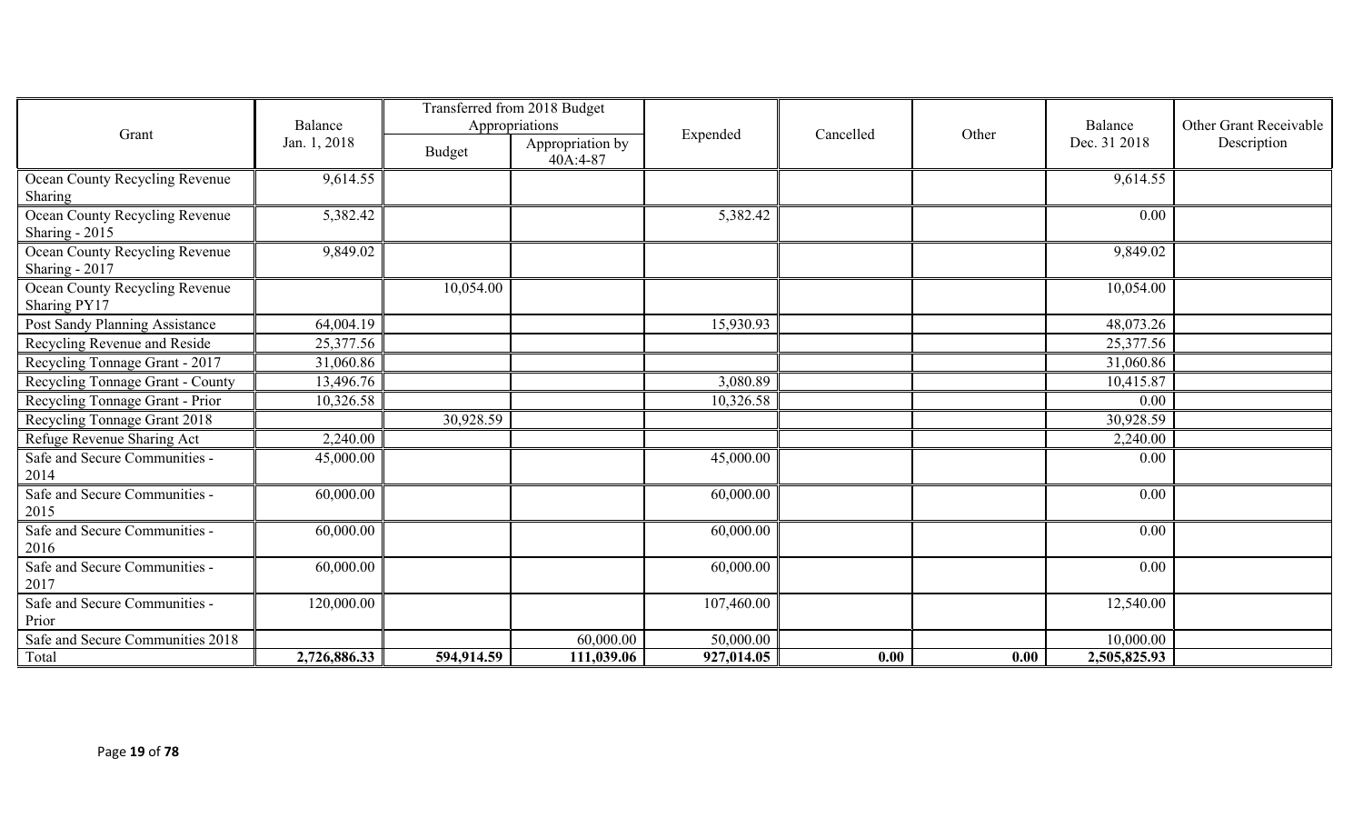|                                                  | Balance      | Transferred from 2018 Budget<br>Appropriations |                              |            |           |       | Balance      | Other Grant Receivable |
|--------------------------------------------------|--------------|------------------------------------------------|------------------------------|------------|-----------|-------|--------------|------------------------|
| Grant                                            | Jan. 1, 2018 | Budget                                         | Appropriation by<br>40A:4-87 | Expended   | Cancelled | Other | Dec. 31 2018 | Description            |
| Ocean County Recycling Revenue<br>Sharing        | 9,614.55     |                                                |                              |            |           |       | 9,614.55     |                        |
| Ocean County Recycling Revenue<br>Sharing - 2015 | 5,382.42     |                                                |                              | 5,382.42   |           |       | 0.00         |                        |
| Ocean County Recycling Revenue<br>Sharing - 2017 | 9,849.02     |                                                |                              |            |           |       | 9,849.02     |                        |
| Ocean County Recycling Revenue<br>Sharing PY17   |              | 10,054.00                                      |                              |            |           |       | 10,054.00    |                        |
| Post Sandy Planning Assistance                   | 64,004.19    |                                                |                              | 15,930.93  |           |       | 48,073.26    |                        |
| Recycling Revenue and Reside                     | 25,377.56    |                                                |                              |            |           |       | 25,377.56    |                        |
| Recycling Tonnage Grant - 2017                   | 31,060.86    |                                                |                              |            |           |       | 31,060.86    |                        |
| Recycling Tonnage Grant - County                 | 13,496.76    |                                                |                              | 3,080.89   |           |       | 10,415.87    |                        |
| Recycling Tonnage Grant - Prior                  | 10,326.58    |                                                |                              | 10,326.58  |           |       | 0.00         |                        |
| Recycling Tonnage Grant 2018                     |              | 30,928.59                                      |                              |            |           |       | 30,928.59    |                        |
| Refuge Revenue Sharing Act                       | 2,240.00     |                                                |                              |            |           |       | 2,240.00     |                        |
| Safe and Secure Communities -<br>2014            | 45,000.00    |                                                |                              | 45,000.00  |           |       | 0.00         |                        |
| Safe and Secure Communities -<br>2015            | 60,000.00    |                                                |                              | 60,000.00  |           |       | 0.00         |                        |
| Safe and Secure Communities -<br>2016            | 60,000.00    |                                                |                              | 60,000.00  |           |       | 0.00         |                        |
| Safe and Secure Communities -<br>2017            | 60,000.00    |                                                |                              | 60,000.00  |           |       | 0.00         |                        |
| Safe and Secure Communities -<br>Prior           | 120,000.00   |                                                |                              | 107,460.00 |           |       | 12,540.00    |                        |
| Safe and Secure Communities 2018                 |              |                                                | 60,000.00                    | 50,000.00  |           |       | 10,000.00    |                        |
| Total                                            | 2,726,886.33 | 594,914.59                                     | 111,039.06                   | 927,014.05 | 0.00      | 0.00  | 2,505,825.93 |                        |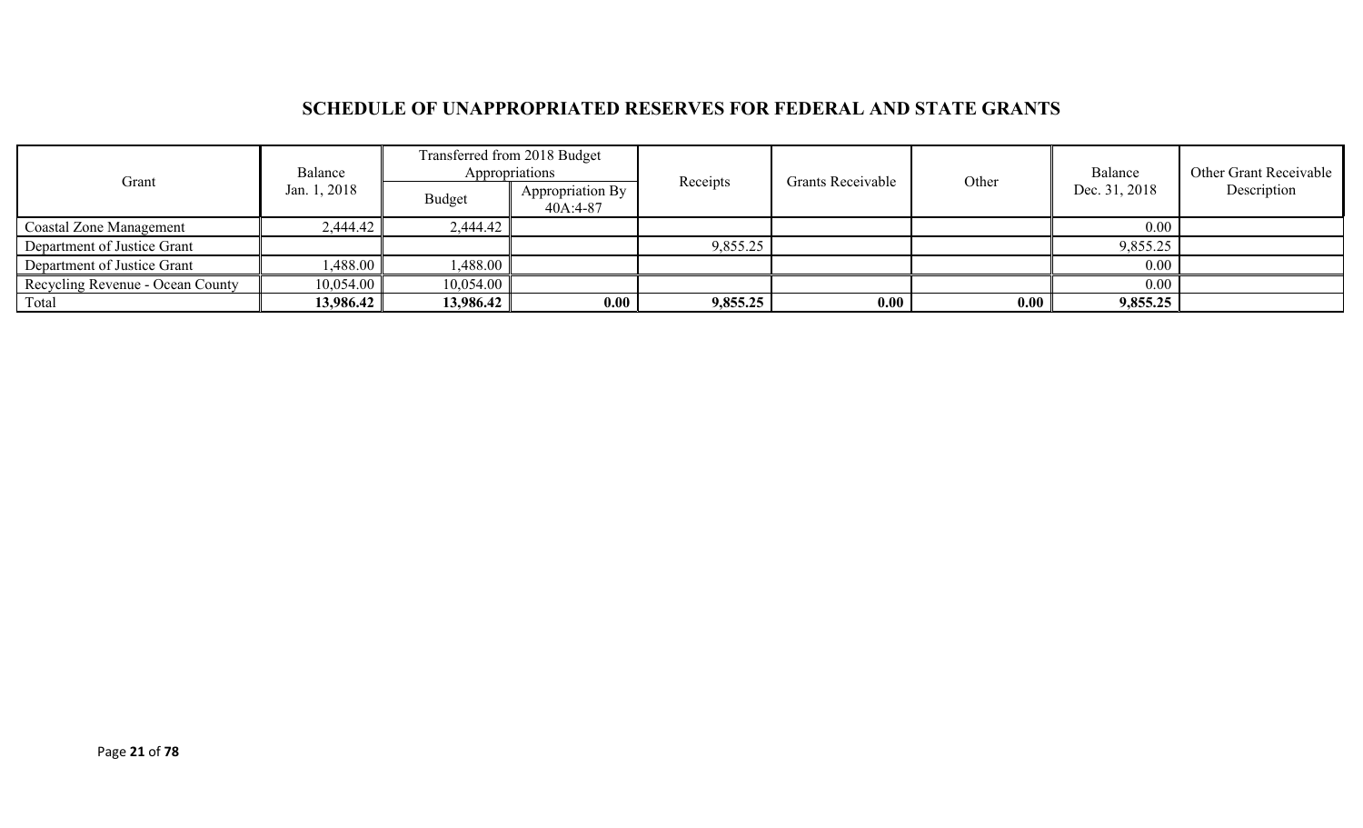## **SCHEDULE OF UNAPPROPRIATED RESERVES FOR FEDERAL AND STATE GRANTS**

|                                  | Balance               |               | Transferred from 2018 Budget<br>Appropriations |          |                   |       | Balance       | Other Grant Receivable |
|----------------------------------|-----------------------|---------------|------------------------------------------------|----------|-------------------|-------|---------------|------------------------|
| Grant                            | Jan. 1, 2018          | <b>Budget</b> | Appropriation By<br>40A:4-87                   | Receipts | Grants Receivable | Other | Dec. 31, 2018 | Description            |
| <b>Coastal Zone Management</b>   | 2,444.42              | 2,444.42      |                                                |          |                   |       | 0.00          |                        |
| Department of Justice Grant      |                       |               |                                                | 9,855.25 |                   |       | 9,855.25      |                        |
| Department of Justice Grant      | $.488.00$ $^{\prime}$ | 1,488.00      |                                                |          |                   |       | $0.00\,$      |                        |
| Recycling Revenue - Ocean County | 10,054.00             | 10,054.00     |                                                |          |                   |       | $0.00\,$      |                        |
| Total                            | 13,986.42             | 13,986.42     | 0.00                                           | 9,855.25 | 0.00              | 0.00  | 9,855.25      |                        |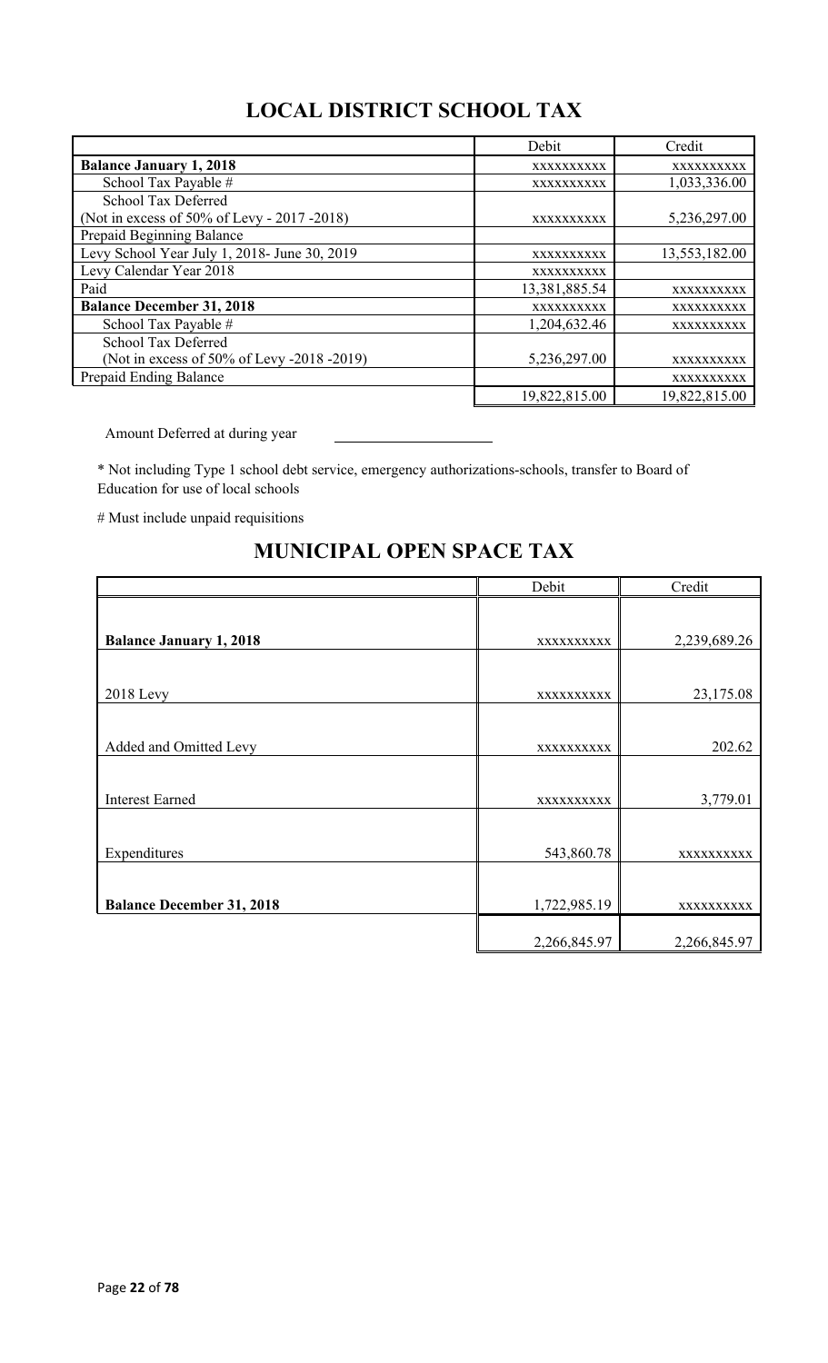# **LOCAL DISTRICT SCHOOL TAX**

|                                              | Debit         | Credit        |
|----------------------------------------------|---------------|---------------|
| <b>Balance January 1, 2018</b>               | XXXXXXXXXX    | XXXXXXXXXX    |
| School Tax Payable #                         | XXXXXXXXXX    | 1,033,336.00  |
| School Tax Deferred                          |               |               |
| (Not in excess of 50% of Levy - 2017 - 2018) | XXXXXXXXXX    | 5,236,297.00  |
| Prepaid Beginning Balance                    |               |               |
| Levy School Year July 1, 2018- June 30, 2019 | XXXXXXXXXX    | 13,553,182.00 |
| Levy Calendar Year 2018                      | XXXXXXXXXX    |               |
| Paid                                         | 13,381,885.54 | XXXXXXXXXX    |
| <b>Balance December 31, 2018</b>             | XXXXXXXXXX    | XXXXXXXXXX    |
| School Tax Payable #                         | 1,204,632.46  | XXXXXXXXXX    |
| School Tax Deferred                          |               |               |
| (Not in excess of 50% of Levy -2018 -2019)   | 5,236,297.00  | XXXXXXXXXX    |
| Prepaid Ending Balance                       |               | XXXXXXXXXX    |
|                                              | 19,822,815.00 | 19,822,815.00 |

Amount Deferred at during year

\* Not including Type 1 school debt service, emergency authorizations-schools, transfer to Board of Education for use of local schools

# Must include unpaid requisitions

|                                  | Debit        | Credit       |
|----------------------------------|--------------|--------------|
|                                  |              |              |
| <b>Balance January 1, 2018</b>   | XXXXXXXXXX   | 2,239,689.26 |
|                                  |              |              |
| <b>2018</b> Levy                 | XXXXXXXXXX   | 23,175.08    |
|                                  |              |              |
| Added and Omitted Levy           | XXXXXXXXXX   | 202.62       |
|                                  |              |              |
| <b>Interest Earned</b>           | XXXXXXXXXX   | 3,779.01     |
|                                  |              |              |
| Expenditures                     | 543,860.78   | XXXXXXXXXX   |
|                                  |              |              |
| <b>Balance December 31, 2018</b> | 1,722,985.19 | XXXXXXXXXX   |
|                                  | 2,266,845.97 | 2,266,845.97 |

## **MUNICIPAL OPEN SPACE TAX**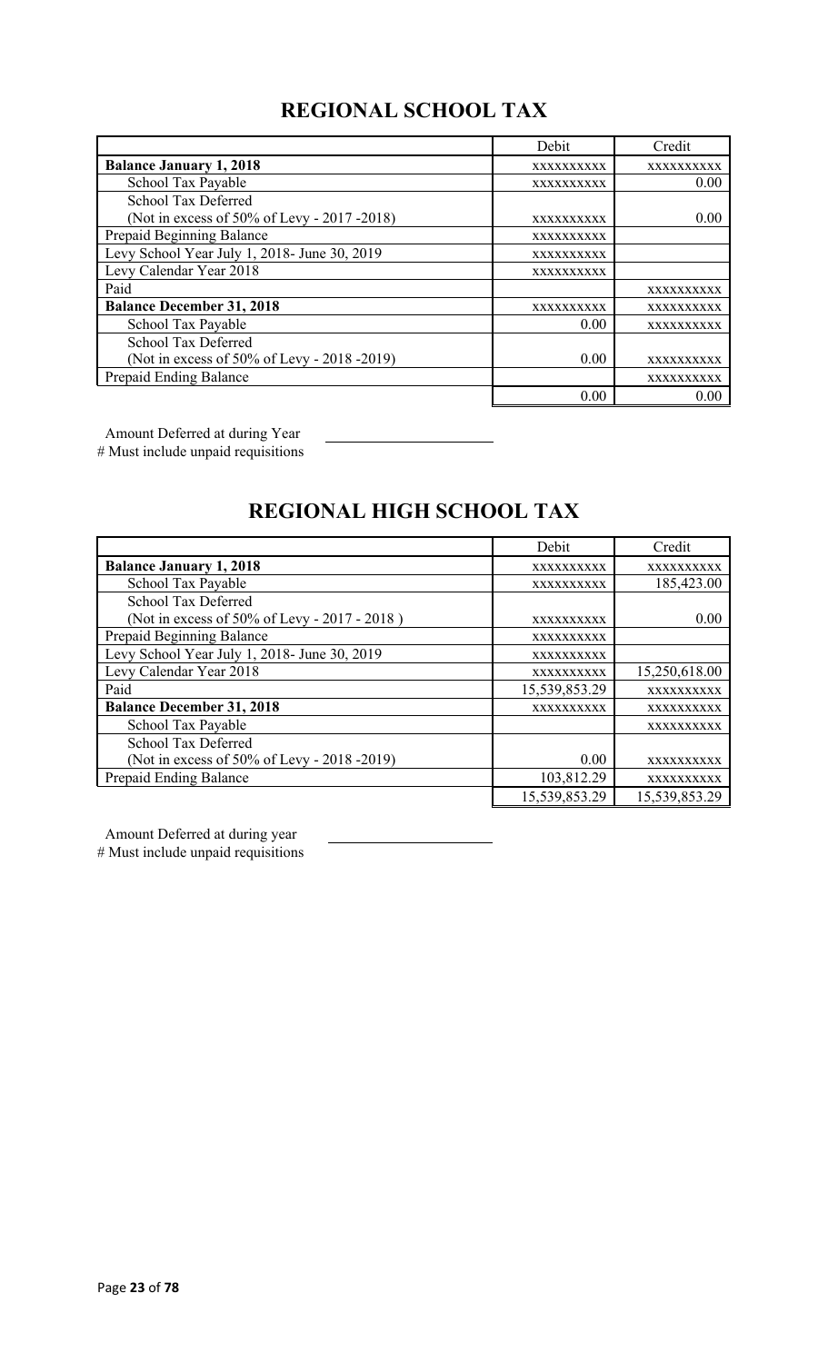# **REGIONAL SCHOOL TAX**

|                                              | Debit      | Credit     |
|----------------------------------------------|------------|------------|
| <b>Balance January 1, 2018</b>               | XXXXXXXXXX | XXXXXXXXXX |
| School Tax Payable                           | XXXXXXXXXX | 0.00       |
| School Tax Deferred                          |            |            |
| (Not in excess of 50% of Levy - 2017 -2018)  | XXXXXXXXXX | 0.00       |
| Prepaid Beginning Balance                    | XXXXXXXXXX |            |
| Levy School Year July 1, 2018- June 30, 2019 | XXXXXXXXXX |            |
| Levy Calendar Year 2018                      | XXXXXXXXXX |            |
| Paid                                         |            | XXXXXXXXXX |
| <b>Balance December 31, 2018</b>             | XXXXXXXXXX | XXXXXXXXXX |
| School Tax Payable                           | 0.00       | XXXXXXXXXX |
| <b>School Tax Deferred</b>                   |            |            |
| (Not in excess of 50% of Levy - 2018 -2019)  | 0.00       | XXXXXXXXXX |
| Prepaid Ending Balance                       |            | XXXXXXXXXX |
|                                              | 0.00       | 0.00       |

Amount Deferred at during Year

# Must include unpaid requisitions

# **REGIONAL HIGH SCHOOL TAX**

|                                              | Debit         | Credit        |
|----------------------------------------------|---------------|---------------|
| <b>Balance January 1, 2018</b>               | XXXXXXXXXX    | XXXXXXXXXX    |
| School Tax Payable                           | XXXXXXXXXX    | 185,423.00    |
| School Tax Deferred                          |               |               |
| (Not in excess of 50% of Levy - 2017 - 2018) | XXXXXXXXXX    | 0.00          |
| Prepaid Beginning Balance                    | XXXXXXXXXX    |               |
| Levy School Year July 1, 2018- June 30, 2019 | XXXXXXXXXX    |               |
| Levy Calendar Year 2018                      | XXXXXXXXXX    | 15,250,618.00 |
| Paid                                         | 15,539,853.29 | XXXXXXXXXX    |
| <b>Balance December 31, 2018</b>             | XXXXXXXXXX    | XXXXXXXXXX    |
| School Tax Payable                           |               | XXXXXXXXXX    |
| <b>School Tax Deferred</b>                   |               |               |
| (Not in excess of 50% of Levy - 2018 -2019)  | 0.00          | XXXXXXXXXX    |
| Prepaid Ending Balance                       | 103,812.29    | XXXXXXXXXX    |
|                                              | 15,539,853.29 | 15,539,853.29 |

Amount Deferred at during year

# Must include unpaid requisitions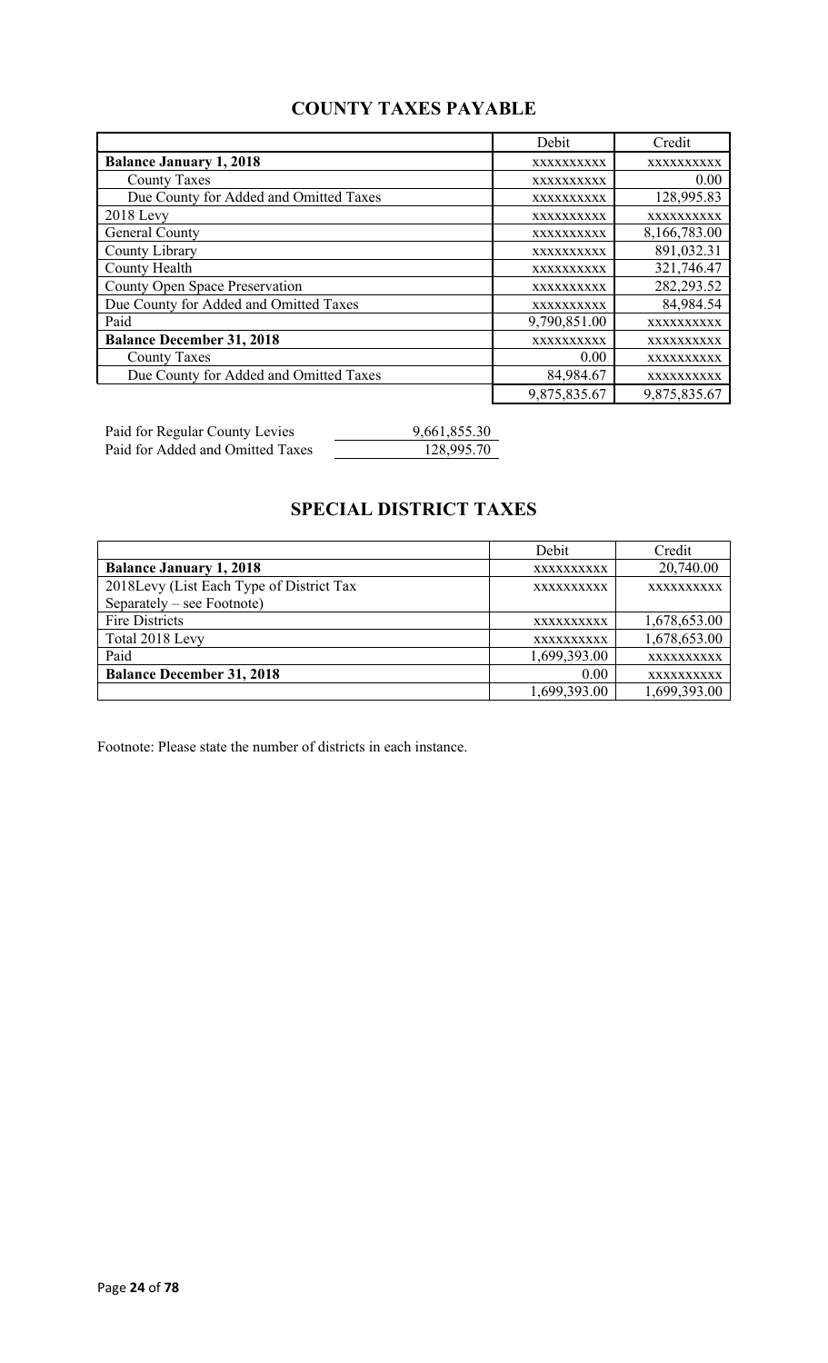## **COUNTY TAXES PAYABLE**

|                                        | Debit        | Credit       |
|----------------------------------------|--------------|--------------|
| <b>Balance January 1, 2018</b>         | XXXXXXXXXX   | XXXXXXXXXX   |
| <b>County Taxes</b>                    | XXXXXXXXXX   | 0.00         |
| Due County for Added and Omitted Taxes | XXXXXXXXXX   | 128,995.83   |
| $2018$ Levy                            | XXXXXXXXXX   | XXXXXXXXXX   |
| General County                         | XXXXXXXXXX   | 8,166,783.00 |
| County Library                         | XXXXXXXXXX   | 891,032.31   |
| County Health                          | XXXXXXXXXX   | 321,746.47   |
| County Open Space Preservation         | XXXXXXXXXX   | 282, 293.52  |
| Due County for Added and Omitted Taxes | XXXXXXXXXX   | 84,984.54    |
| Paid                                   | 9,790,851.00 | XXXXXXXXXX   |
| <b>Balance December 31, 2018</b>       | XXXXXXXXXX   | XXXXXXXXXX   |
| <b>County Taxes</b>                    | 0.00         | XXXXXXXXXX   |
| Due County for Added and Omitted Taxes | 84,984.67    | XXXXXXXXXX   |
|                                        | 9,875,835.67 | 9,875,835.67 |

Paid for Regular County Levies 9,661,855.30 Paid for Added and Omitted Taxes 128,995.70

## **SPECIAL DISTRICT TAXES**

|                                          | Debit             | Credit       |
|------------------------------------------|-------------------|--------------|
| <b>Balance January 1, 2018</b>           | XXXXXXXXXX        | 20,740.00    |
| 2018Levy (List Each Type of District Tax | <b>XXXXXXXXXX</b> | XXXXXXXXXX   |
| Separately – see Footnote)               |                   |              |
| <b>Fire Districts</b>                    | <b>XXXXXXXXXX</b> | 1,678,653.00 |
| Total 2018 Levy                          | XXXXXXXXXX        | 1,678,653.00 |
| Paid                                     | 1,699,393.00      | XXXXXXXXXX   |
| <b>Balance December 31, 2018</b>         | 0.00              | XXXXXXXXXX   |
|                                          | 1,699,393.00      | 1,699,393.00 |

Footnote: Please state the number of districts in each instance.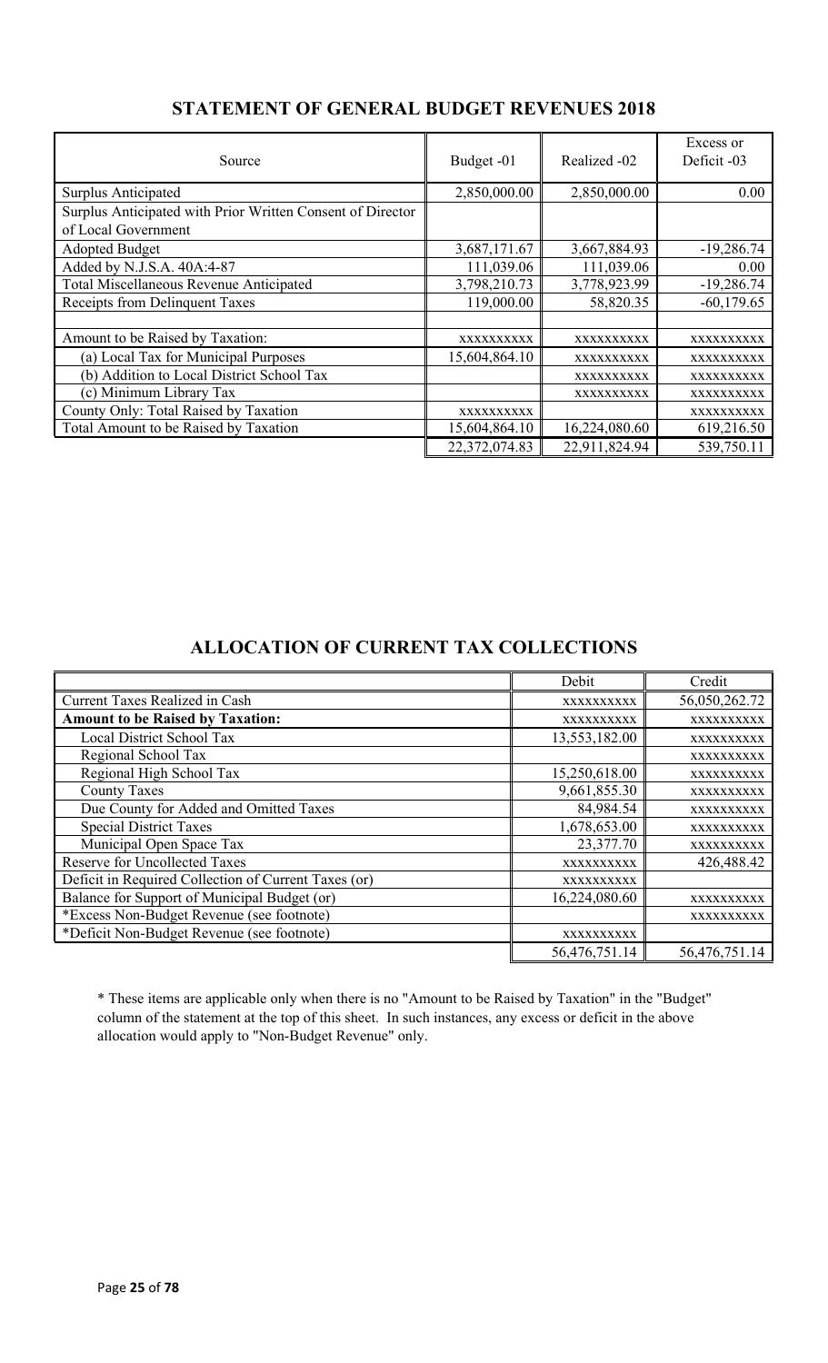| Source                                                     | Budget -01    | Realized -02  | Excess or<br>Deficit -03 |
|------------------------------------------------------------|---------------|---------------|--------------------------|
| Surplus Anticipated                                        | 2,850,000.00  | 2,850,000.00  | 0.00                     |
| Surplus Anticipated with Prior Written Consent of Director |               |               |                          |
| of Local Government                                        |               |               |                          |
| <b>Adopted Budget</b>                                      | 3,687,171.67  | 3,667,884.93  | $-19,286.74$             |
| Added by N.J.S.A. 40A:4-87                                 | 111,039.06    | 111,039.06    | 0.00                     |
| Total Miscellaneous Revenue Anticipated                    | 3,798,210.73  | 3,778,923.99  | $-19,286.74$             |
| Receipts from Delinquent Taxes                             | 119,000.00    | 58,820.35     | $-60,179.65$             |
|                                                            |               |               |                          |
| Amount to be Raised by Taxation:                           | XXXXXXXXXX    | XXXXXXXXXX    | XXXXXXXXX                |
| (a) Local Tax for Municipal Purposes                       | 15,604,864.10 | XXXXXXXXXX    | XXXXXXXXXX               |
| (b) Addition to Local District School Tax                  |               | XXXXXXXXXX    | XXXXXXXXXX               |
| (c) Minimum Library Tax                                    |               | XXXXXXXXXX    | XXXXXXXXXX               |
| County Only: Total Raised by Taxation                      | XXXXXXXXXX    |               | XXXXXXXXXX               |
| Total Amount to be Raised by Taxation                      | 15,604,864.10 | 16,224,080.60 | 619,216.50               |
|                                                            | 22,372,074.83 | 22,911,824.94 | 539,750.11               |

### **STATEMENT OF GENERAL BUDGET REVENUES 2018**

### **ALLOCATION OF CURRENT TAX COLLECTIONS**

|                                                      | Debit         | Credit        |
|------------------------------------------------------|---------------|---------------|
| <b>Current Taxes Realized in Cash</b>                | XXXXXXXXXX    | 56,050,262.72 |
| <b>Amount to be Raised by Taxation:</b>              | XXXXXXXXXX    | XXXXXXXXXX    |
| Local District School Tax                            | 13,553,182.00 | XXXXXXXXXX    |
| Regional School Tax                                  |               | XXXXXXXXXX    |
| Regional High School Tax                             | 15,250,618.00 | XXXXXXXXXX    |
| <b>County Taxes</b>                                  | 9,661,855.30  | XXXXXXXXXX    |
| Due County for Added and Omitted Taxes               | 84,984.54     | XXXXXXXXXX    |
| <b>Special District Taxes</b>                        | 1,678,653.00  | XXXXXXXXXX    |
| Municipal Open Space Tax                             | 23,377.70     | XXXXXXXXXX    |
| <b>Reserve for Uncollected Taxes</b>                 | XXXXXXXXXX    | 426,488.42    |
| Deficit in Required Collection of Current Taxes (or) | XXXXXXXXXX    |               |
| Balance for Support of Municipal Budget (or)         | 16,224,080.60 | XXXXXXXXXX    |
| *Excess Non-Budget Revenue (see footnote)            |               | XXXXXXXXXX    |
| *Deficit Non-Budget Revenue (see footnote)           | XXXXXXXXXX    |               |
|                                                      | 56,476,751.14 | 56,476,751.14 |

\* These items are applicable only when there is no "Amount to be Raised by Taxation" in the "Budget" column of the statement at the top of this sheet. In such instances, any excess or deficit in the above allocation would apply to "Non-Budget Revenue" only.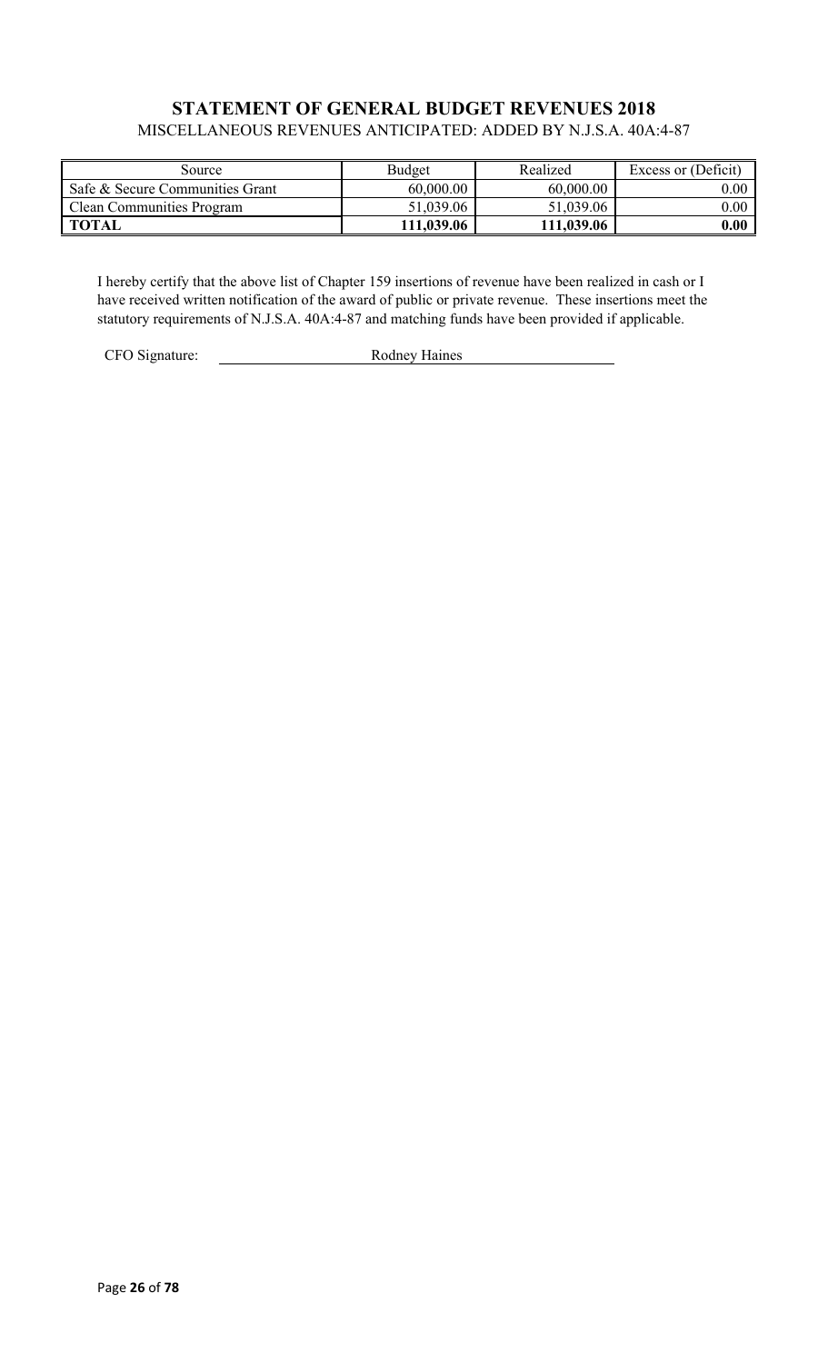### **STATEMENT OF GENERAL BUDGET REVENUES 2018** MISCELLANEOUS REVENUES ANTICIPATED: ADDED BY N.J.S.A. 40A:4-87

| Source                           | Budget     | Realized   | Excess or (Deficit) |
|----------------------------------|------------|------------|---------------------|
| Safe & Secure Communities Grant  | 60,000.00  | 60,000.00  | $0.00\,$            |
| <b>Clean Communities Program</b> | 51,039.06  | 51,039.06  | $0.00\,$            |
| <b>TOTAL</b>                     | 111,039.06 | 111,039.06 | $\boldsymbol{0.00}$ |

I hereby certify that the above list of Chapter 159 insertions of revenue have been realized in cash or I have received written notification of the award of public or private revenue. These insertions meet the statutory requirements of N.J.S.A. 40A:4-87 and matching funds have been provided if applicable.

CFO Signature: Rodney Haines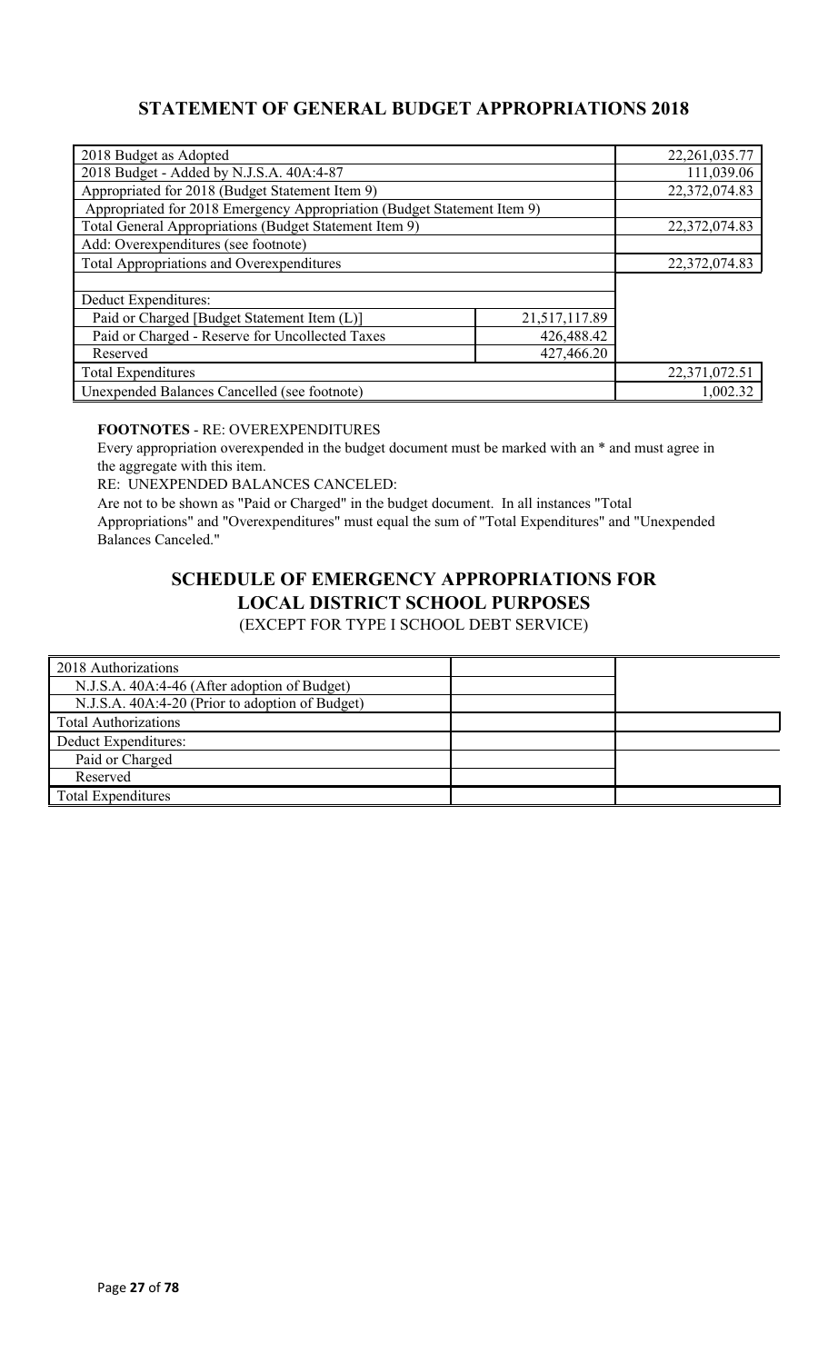### **STATEMENT OF GENERAL BUDGET APPROPRIATIONS 2018**

| 2018 Budget as Adopted                                                  |               | 22, 261, 035.77 |
|-------------------------------------------------------------------------|---------------|-----------------|
| 2018 Budget - Added by N.J.S.A. 40A:4-87                                |               | 111,039.06      |
| Appropriated for 2018 (Budget Statement Item 9)                         |               | 22,372,074.83   |
| Appropriated for 2018 Emergency Appropriation (Budget Statement Item 9) |               |                 |
| Total General Appropriations (Budget Statement Item 9)                  |               | 22,372,074.83   |
| Add: Overexpenditures (see footnote)                                    |               |                 |
| <b>Total Appropriations and Overexpenditures</b>                        |               | 22,372,074.83   |
|                                                                         |               |                 |
| Deduct Expenditures:                                                    |               |                 |
| Paid or Charged [Budget Statement Item (L)]                             | 21,517,117.89 |                 |
| Paid or Charged - Reserve for Uncollected Taxes                         | 426,488.42    |                 |
| Reserved                                                                | 427,466.20    |                 |
| <b>Total Expenditures</b>                                               |               | 22,371,072.51   |
| Unexpended Balances Cancelled (see footnote)                            |               | 1,002.32        |

### **FOOTNOTES** - RE: OVEREXPENDITURES

Every appropriation overexpended in the budget document must be marked with an \* and must agree in the aggregate with this item.

RE: UNEXPENDED BALANCES CANCELED:

Are not to be shown as "Paid or Charged" in the budget document. In all instances "Total Appropriations" and "Overexpenditures" must equal the sum of "Total Expenditures" and "Unexpended Balances Canceled."

# **SCHEDULE OF EMERGENCY APPROPRIATIONS FOR LOCAL DISTRICT SCHOOL PURPOSES**

(EXCEPT FOR TYPE I SCHOOL DEBT SERVICE)

| 2018 Authorizations                             |  |
|-------------------------------------------------|--|
| N.J.S.A. 40A:4-46 (After adoption of Budget)    |  |
| N.J.S.A. 40A:4-20 (Prior to adoption of Budget) |  |
| <b>Total Authorizations</b>                     |  |
| Deduct Expenditures:                            |  |
| Paid or Charged                                 |  |
| Reserved                                        |  |
| <b>Total Expenditures</b>                       |  |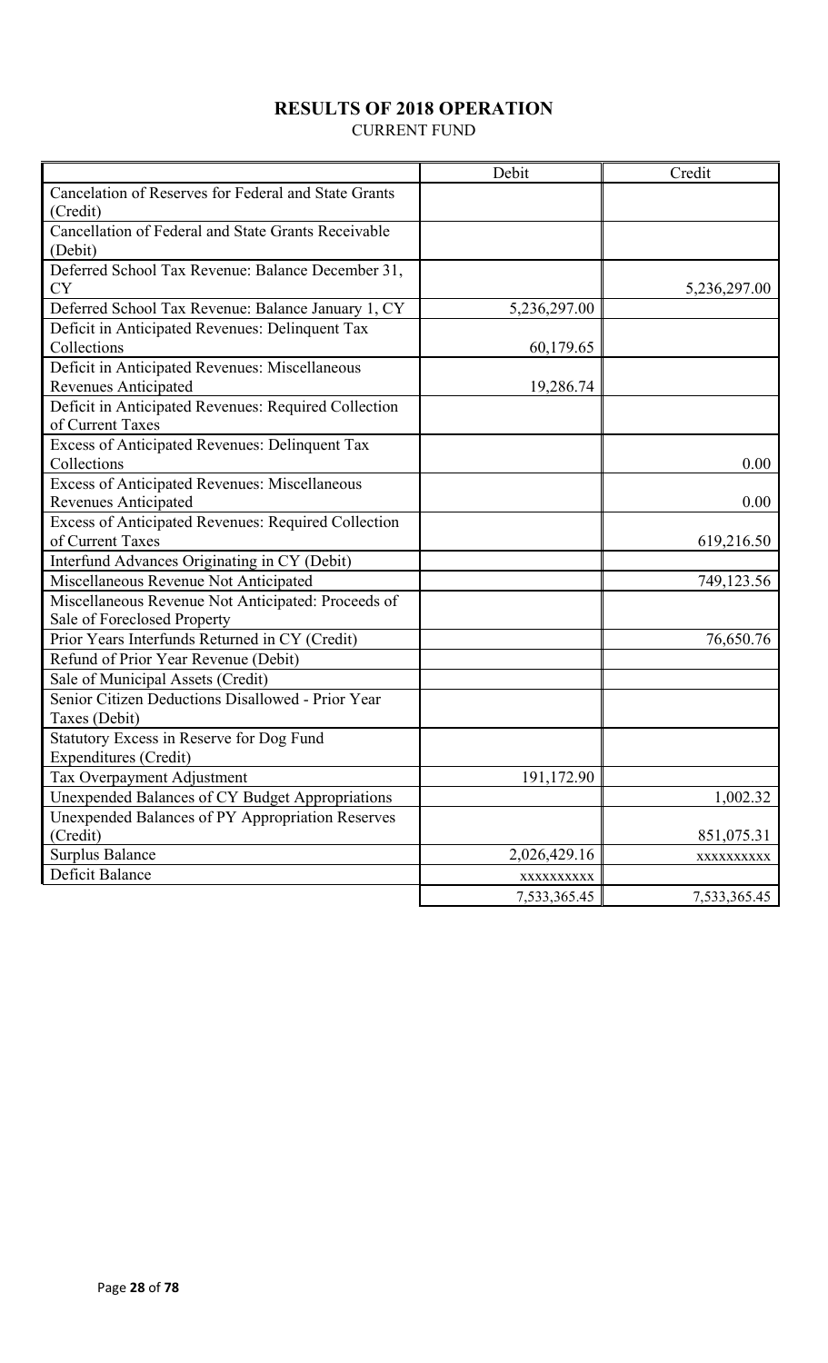## **RESULTS OF 2018 OPERATION**

CURRENT FUND

|                                                      | Debit        | Credit       |
|------------------------------------------------------|--------------|--------------|
| Cancelation of Reserves for Federal and State Grants |              |              |
| (Credit)                                             |              |              |
| Cancellation of Federal and State Grants Receivable  |              |              |
| (Debit)                                              |              |              |
| Deferred School Tax Revenue: Balance December 31,    |              |              |
| <b>CY</b>                                            |              | 5,236,297.00 |
| Deferred School Tax Revenue: Balance January 1, CY   | 5,236,297.00 |              |
| Deficit in Anticipated Revenues: Delinquent Tax      |              |              |
| Collections                                          | 60,179.65    |              |
| Deficit in Anticipated Revenues: Miscellaneous       |              |              |
| Revenues Anticipated                                 | 19,286.74    |              |
| Deficit in Anticipated Revenues: Required Collection |              |              |
| of Current Taxes                                     |              |              |
| Excess of Anticipated Revenues: Delinquent Tax       |              |              |
| Collections                                          |              | 0.00         |
| Excess of Anticipated Revenues: Miscellaneous        |              |              |
| <b>Revenues Anticipated</b>                          |              | 0.00         |
| Excess of Anticipated Revenues: Required Collection  |              |              |
| of Current Taxes                                     |              | 619,216.50   |
| Interfund Advances Originating in CY (Debit)         |              |              |
| Miscellaneous Revenue Not Anticipated                |              | 749,123.56   |
| Miscellaneous Revenue Not Anticipated: Proceeds of   |              |              |
| Sale of Foreclosed Property                          |              |              |
| Prior Years Interfunds Returned in CY (Credit)       |              | 76,650.76    |
| Refund of Prior Year Revenue (Debit)                 |              |              |
| Sale of Municipal Assets (Credit)                    |              |              |
| Senior Citizen Deductions Disallowed - Prior Year    |              |              |
| Taxes (Debit)                                        |              |              |
| Statutory Excess in Reserve for Dog Fund             |              |              |
| Expenditures (Credit)                                |              |              |
| Tax Overpayment Adjustment                           | 191,172.90   |              |
| Unexpended Balances of CY Budget Appropriations      |              | 1,002.32     |
| Unexpended Balances of PY Appropriation Reserves     |              |              |
| (Credit)                                             |              | 851,075.31   |
| <b>Surplus Balance</b>                               | 2,026,429.16 | XXXXXXXXX    |
| Deficit Balance                                      | XXXXXXXXXX   |              |
|                                                      | 7,533,365.45 | 7,533,365.45 |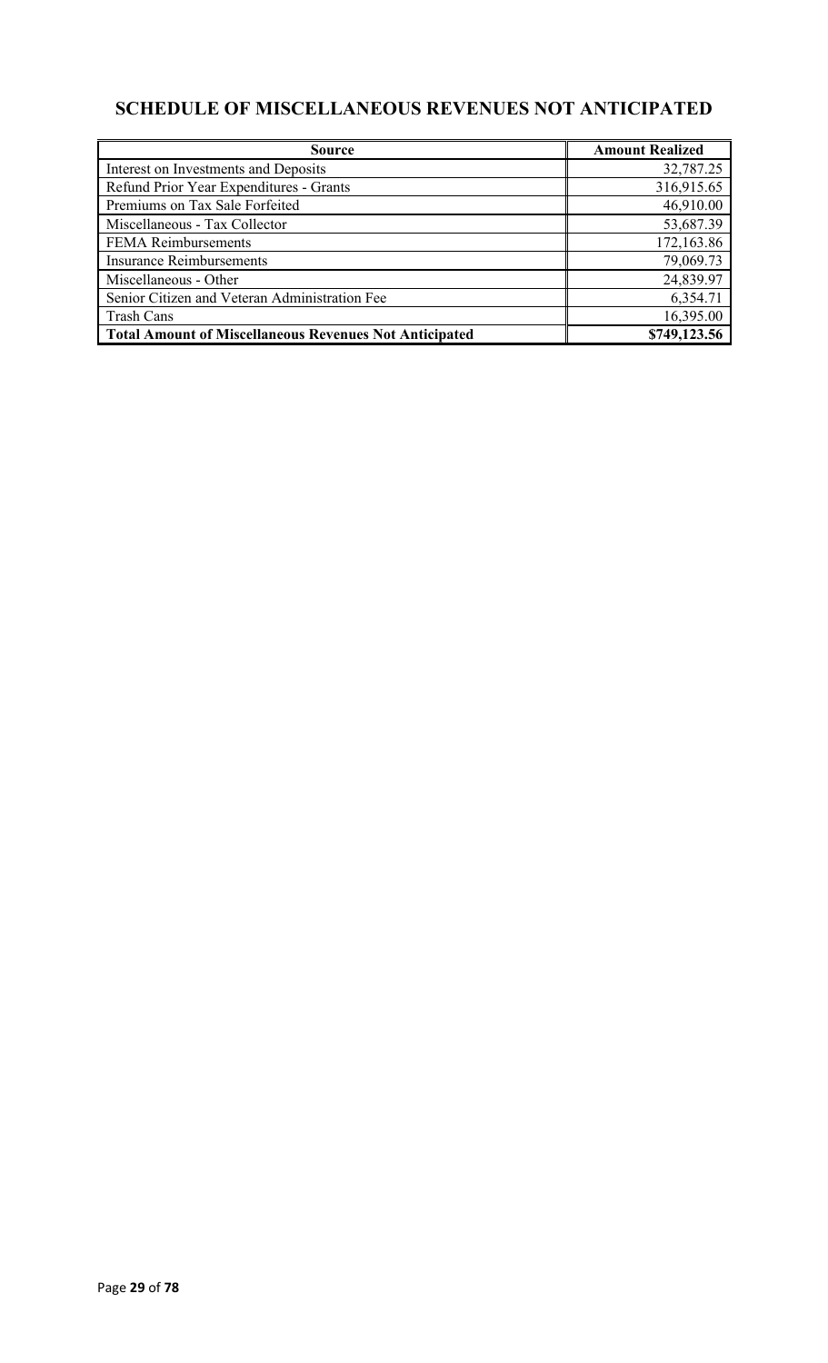## **SCHEDULE OF MISCELLANEOUS REVENUES NOT ANTICIPATED**

| <b>Source</b>                                                 | <b>Amount Realized</b> |
|---------------------------------------------------------------|------------------------|
| Interest on Investments and Deposits                          | 32,787.25              |
| Refund Prior Year Expenditures - Grants                       | 316,915.65             |
| Premiums on Tax Sale Forfeited                                | 46,910.00              |
| Miscellaneous - Tax Collector                                 | 53,687.39              |
| <b>FEMA Reimbursements</b>                                    | 172,163.86             |
| <b>Insurance Reimbursements</b>                               | 79,069.73              |
| Miscellaneous - Other                                         | 24,839.97              |
| Senior Citizen and Veteran Administration Fee                 | 6,354.71               |
| <b>Trash Cans</b>                                             | 16,395.00              |
| <b>Total Amount of Miscellaneous Revenues Not Anticipated</b> | \$749,123.56           |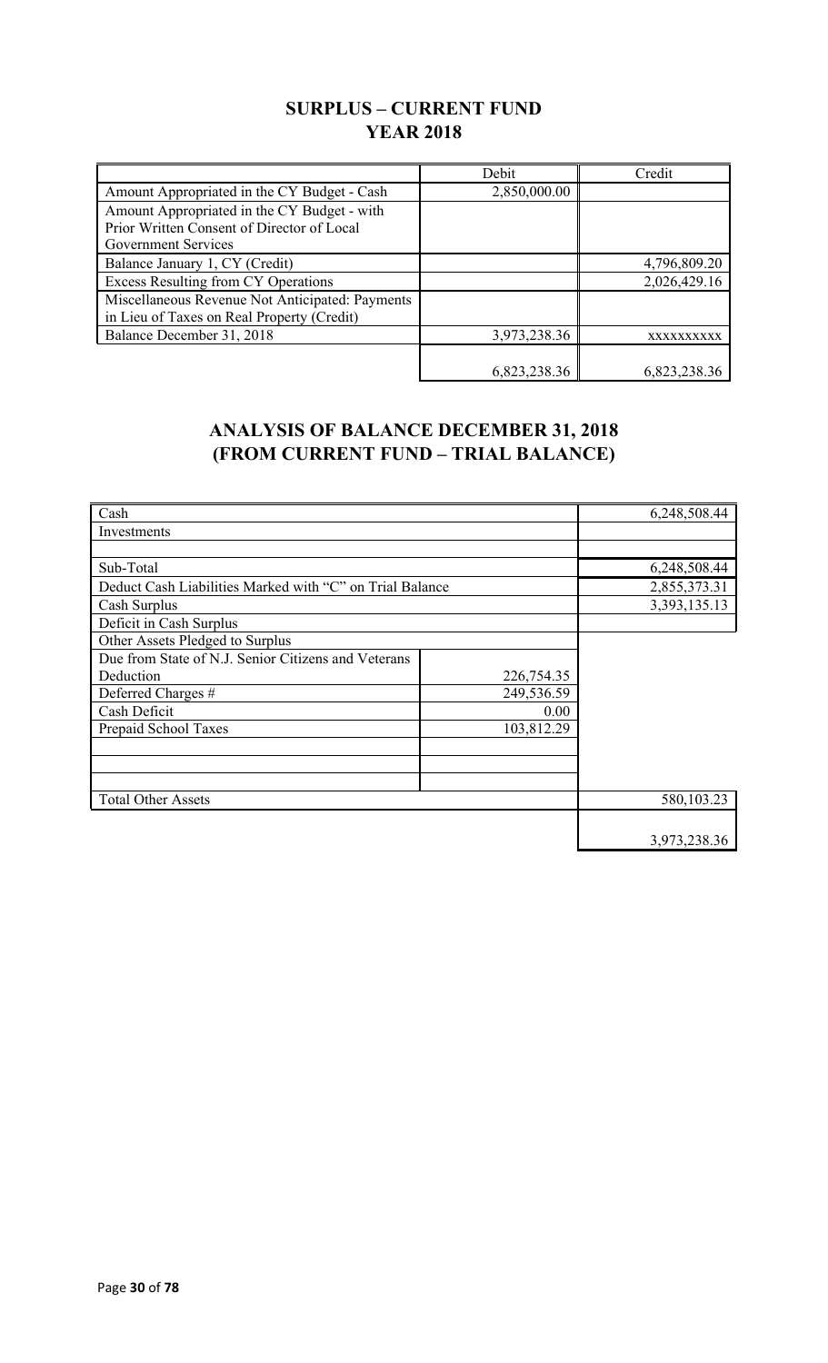### **SURPLUS – CURRENT FUND YEAR 2018**

|                                                 | Debit        | Credit       |
|-------------------------------------------------|--------------|--------------|
| Amount Appropriated in the CY Budget - Cash     | 2,850,000.00 |              |
| Amount Appropriated in the CY Budget - with     |              |              |
| Prior Written Consent of Director of Local      |              |              |
| Government Services                             |              |              |
| Balance January 1, CY (Credit)                  |              | 4,796,809.20 |
| <b>Excess Resulting from CY Operations</b>      |              | 2,026,429.16 |
| Miscellaneous Revenue Not Anticipated: Payments |              |              |
| in Lieu of Taxes on Real Property (Credit)      |              |              |
| Balance December 31, 2018                       | 3,973,238.36 | XXXXXXXXXX   |
|                                                 |              |              |
|                                                 | 6,823,238.36 | 6,823,238.36 |

## **ANALYSIS OF BALANCE DECEMBER 31, 2018 (FROM CURRENT FUND – TRIAL BALANCE)**

| Cash                                                     |            | 6,248,508.44    |
|----------------------------------------------------------|------------|-----------------|
| Investments                                              |            |                 |
|                                                          |            |                 |
| Sub-Total                                                |            | 6,248,508.44    |
| Deduct Cash Liabilities Marked with "C" on Trial Balance |            | 2,855,373.31    |
| Cash Surplus                                             |            | 3, 393, 135. 13 |
| Deficit in Cash Surplus                                  |            |                 |
| Other Assets Pledged to Surplus                          |            |                 |
| Due from State of N.J. Senior Citizens and Veterans      |            |                 |
| Deduction                                                | 226,754.35 |                 |
| Deferred Charges #                                       | 249,536.59 |                 |
| Cash Deficit                                             | 0.00       |                 |
| Prepaid School Taxes                                     | 103,812.29 |                 |
|                                                          |            |                 |
|                                                          |            |                 |
|                                                          |            |                 |
| <b>Total Other Assets</b>                                |            | 580,103.23      |
|                                                          |            |                 |
|                                                          |            | 3,973,238.36    |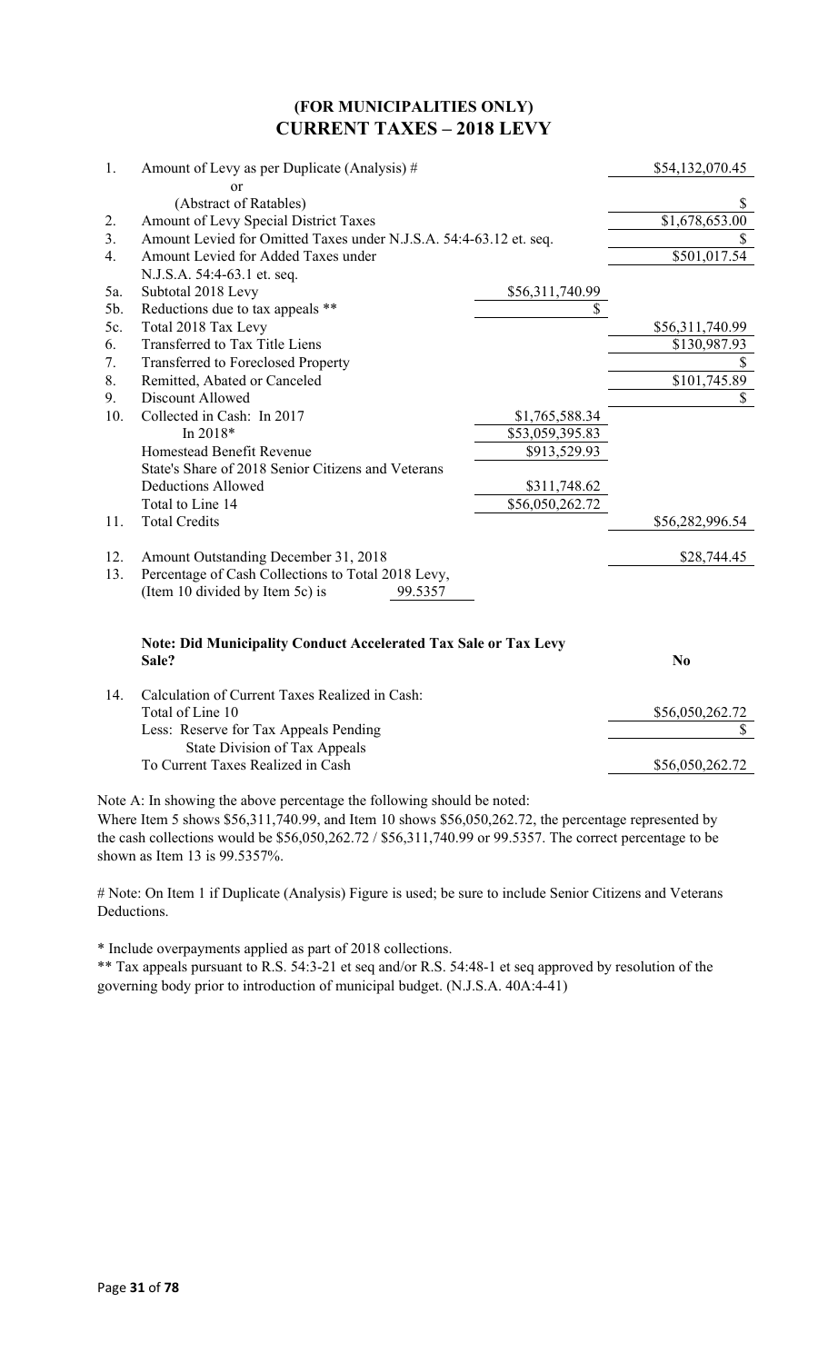### **(FOR MUNICIPALITIES ONLY) CURRENT TAXES – 2018 LEVY**

| 1.  | Amount of Levy as per Duplicate (Analysis) #                                    |                 | \$54,132,070.45 |
|-----|---------------------------------------------------------------------------------|-----------------|-----------------|
|     | or                                                                              |                 |                 |
|     | (Abstract of Ratables)                                                          |                 | \$              |
| 2.  | Amount of Levy Special District Taxes                                           |                 | \$1,678,653.00  |
| 3.  | Amount Levied for Omitted Taxes under N.J.S.A. 54:4-63.12 et. seq.              |                 |                 |
| 4.  | Amount Levied for Added Taxes under                                             |                 | \$501,017.54    |
|     | N.J.S.A. 54:4-63.1 et. seq.                                                     |                 |                 |
| 5a. | Subtotal 2018 Levy                                                              | \$56,311,740.99 |                 |
| 5b. | Reductions due to tax appeals **                                                | \$              |                 |
| 5c. | Total 2018 Tax Levy                                                             |                 | \$56,311,740.99 |
| 6.  | Transferred to Tax Title Liens                                                  |                 | \$130,987.93    |
| 7.  | Transferred to Foreclosed Property                                              |                 | \$              |
| 8.  | Remitted, Abated or Canceled                                                    |                 | \$101,745.89    |
| 9.  | Discount Allowed                                                                |                 | \$              |
| 10. | Collected in Cash: In 2017                                                      | \$1,765,588.34  |                 |
|     | In $2018*$                                                                      | \$53,059,395.83 |                 |
|     | Homestead Benefit Revenue                                                       | \$913,529.93    |                 |
|     | State's Share of 2018 Senior Citizens and Veterans                              |                 |                 |
|     | <b>Deductions Allowed</b>                                                       | \$311,748.62    |                 |
|     | Total to Line 14                                                                | \$56,050,262.72 |                 |
| 11. | <b>Total Credits</b>                                                            |                 | \$56,282,996.54 |
| 12. | Amount Outstanding December 31, 2018                                            |                 | \$28,744.45     |
| 13. | Percentage of Cash Collections to Total 2018 Levy,                              |                 |                 |
|     | (Item 10 divided by Item 5c) is<br>99.5357                                      |                 |                 |
|     |                                                                                 |                 |                 |
|     | <b>Note: Did Municipality Conduct Accelerated Tax Sale or Tax Levy</b><br>Sale? |                 | N <sub>0</sub>  |
| 14. | Calculation of Current Taxes Realized in Cash:                                  |                 |                 |
|     | Total of Line 10                                                                |                 | \$56,050,262.72 |

| Calcalation of Callent Taxles Realized in Cash. |                 |
|-------------------------------------------------|-----------------|
| Total of Line 10                                | \$56,050,262.72 |
| Less: Reserve for Tax Appeals Pending           |                 |
| State Division of Tax Appeals                   |                 |
| To Current Taxes Realized in Cash               | \$56,050,262.72 |
|                                                 |                 |

Note A: In showing the above percentage the following should be noted:

Where Item 5 shows \$56,311,740.99, and Item 10 shows \$56,050,262.72, the percentage represented by the cash collections would be \$56,050,262.72 / \$56,311,740.99 or 99.5357. The correct percentage to be shown as Item 13 is 99.5357%.

# Note: On Item 1 if Duplicate (Analysis) Figure is used; be sure to include Senior Citizens and Veterans Deductions.

\* Include overpayments applied as part of 2018 collections.

\*\* Tax appeals pursuant to R.S. 54:3-21 et seq and/or R.S. 54:48-1 et seq approved by resolution of the governing body prior to introduction of municipal budget. (N.J.S.A. 40A:4-41)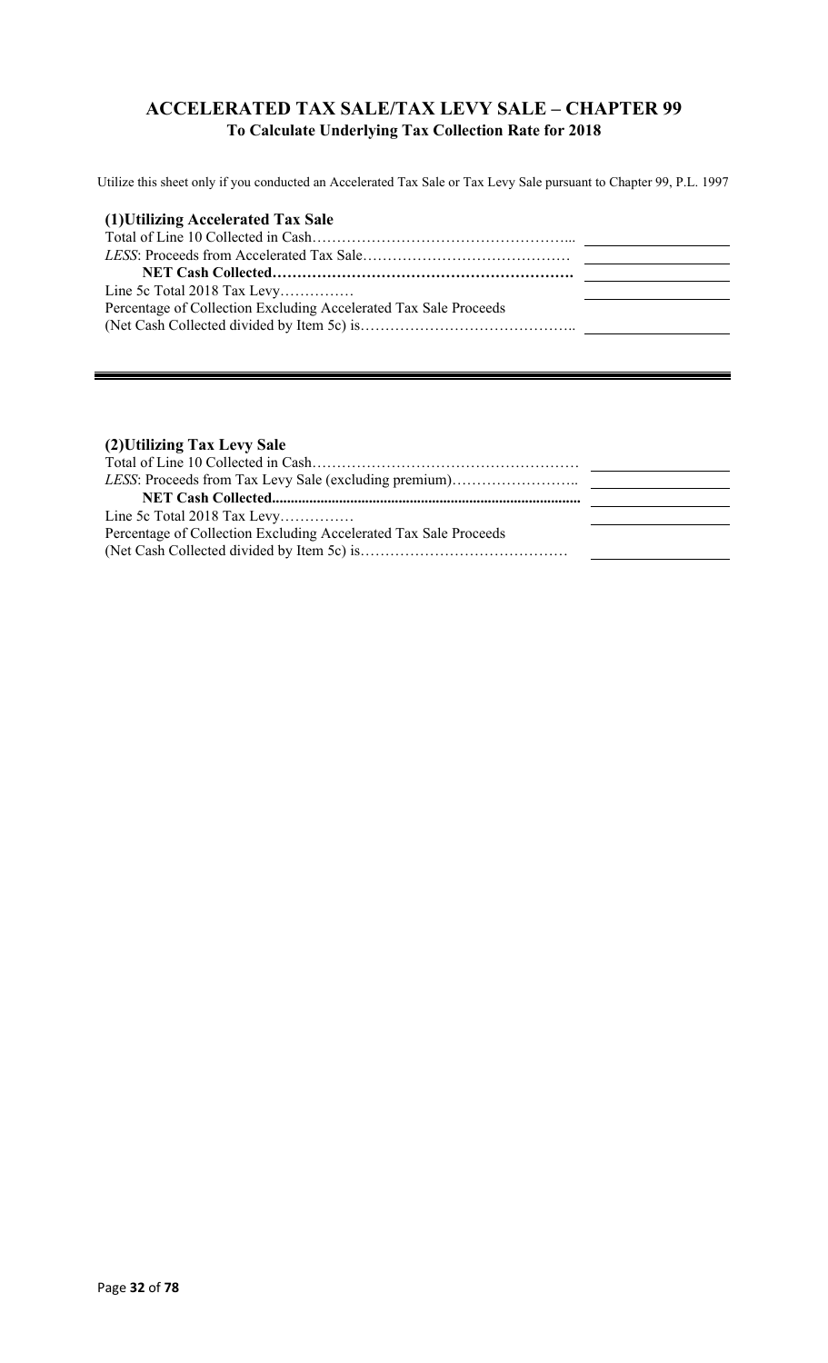### **ACCELERATED TAX SALE/TAX LEVY SALE – CHAPTER 99 To Calculate Underlying Tax Collection Rate for 2018**

Utilize this sheet only if you conducted an Accelerated Tax Sale or Tax Levy Sale pursuant to Chapter 99, P.L. 1997

| (1) Utilizing Accelerated Tax Sale                               |  |
|------------------------------------------------------------------|--|
|                                                                  |  |
|                                                                  |  |
|                                                                  |  |
| Line 5c Total 2018 Tax Levy                                      |  |
| Percentage of Collection Excluding Accelerated Tax Sale Proceeds |  |
|                                                                  |  |

### **(2)Utilizing Tax Levy Sale**

| Line 5c Total 2018 Tax Levy                                      |  |
|------------------------------------------------------------------|--|
| Percentage of Collection Excluding Accelerated Tax Sale Proceeds |  |
|                                                                  |  |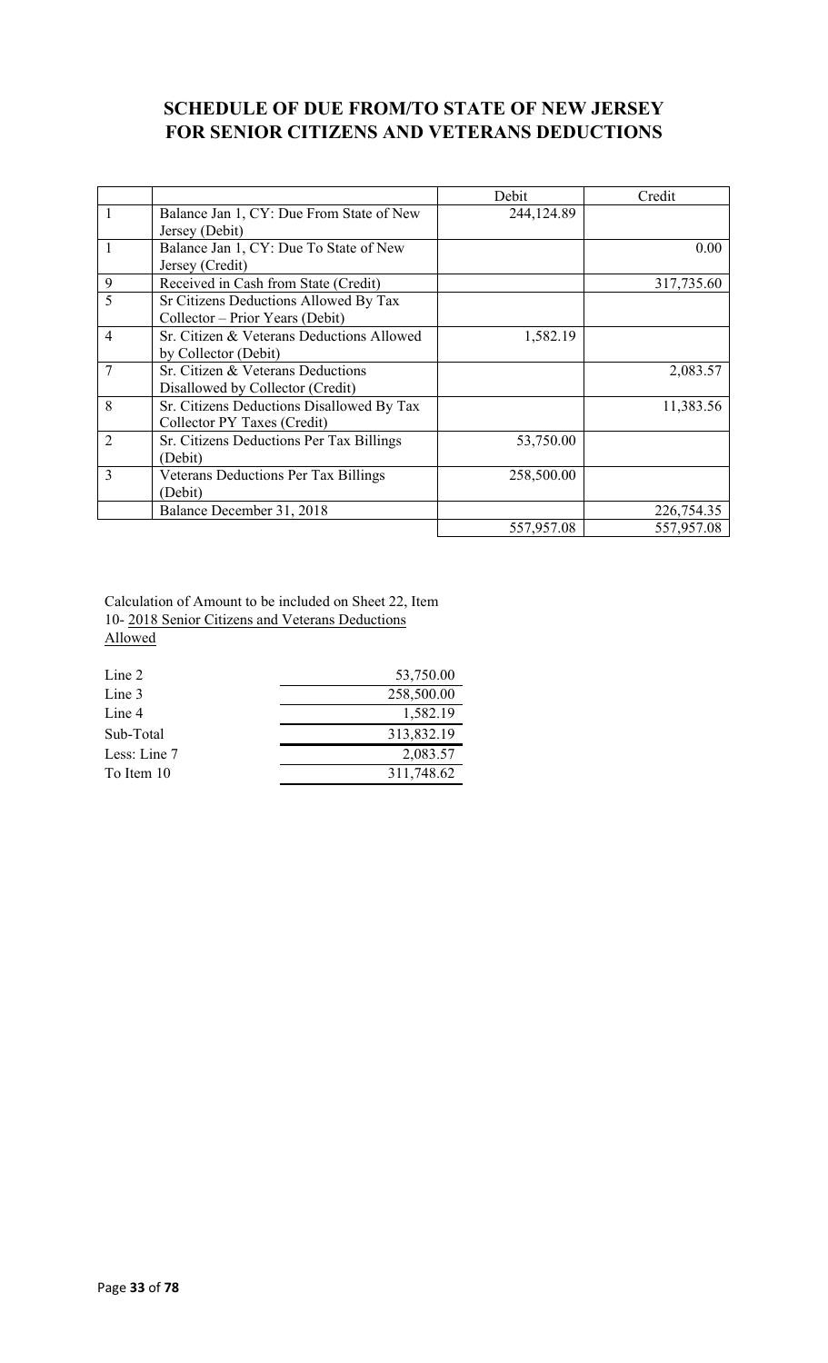### **SCHEDULE OF DUE FROM/TO STATE OF NEW JERSEY FOR SENIOR CITIZENS AND VETERANS DEDUCTIONS**

|                          |                                           | Debit      | Credit     |
|--------------------------|-------------------------------------------|------------|------------|
| $\mathbf{1}$             | Balance Jan 1, CY: Due From State of New  | 244,124.89 |            |
|                          | Jersey (Debit)                            |            |            |
|                          | Balance Jan 1, CY: Due To State of New    |            | 0.00       |
|                          | Jersey (Credit)                           |            |            |
| 9                        | Received in Cash from State (Credit)      |            | 317,735.60 |
| $\overline{\phantom{0}}$ | Sr Citizens Deductions Allowed By Tax     |            |            |
|                          | Collector – Prior Years (Debit)           |            |            |
| $\overline{4}$           | Sr. Citizen & Veterans Deductions Allowed | 1,582.19   |            |
|                          | by Collector (Debit)                      |            |            |
|                          | Sr. Citizen & Veterans Deductions         |            | 2,083.57   |
|                          | Disallowed by Collector (Credit)          |            |            |
| 8                        | Sr. Citizens Deductions Disallowed By Tax |            | 11,383.56  |
|                          | Collector PY Taxes (Credit)               |            |            |
| $\overline{2}$           | Sr. Citizens Deductions Per Tax Billings  | 53,750.00  |            |
|                          | (Debit)                                   |            |            |
| 3                        | Veterans Deductions Per Tax Billings      | 258,500.00 |            |
|                          | (Debit)                                   |            |            |
|                          | Balance December 31, 2018                 |            | 226,754.35 |
|                          |                                           | 557,957.08 | 557,957.08 |

Calculation of Amount to be included on Sheet 22, Item 10- 2018 Senior Citizens and Veterans Deductions Allowed

| Line 2       | 53,750.00  |
|--------------|------------|
| Line 3       | 258,500.00 |
| Line 4       | 1,582.19   |
| Sub-Total    | 313,832.19 |
| Less: Line 7 | 2,083.57   |
| To Item 10   | 311,748.62 |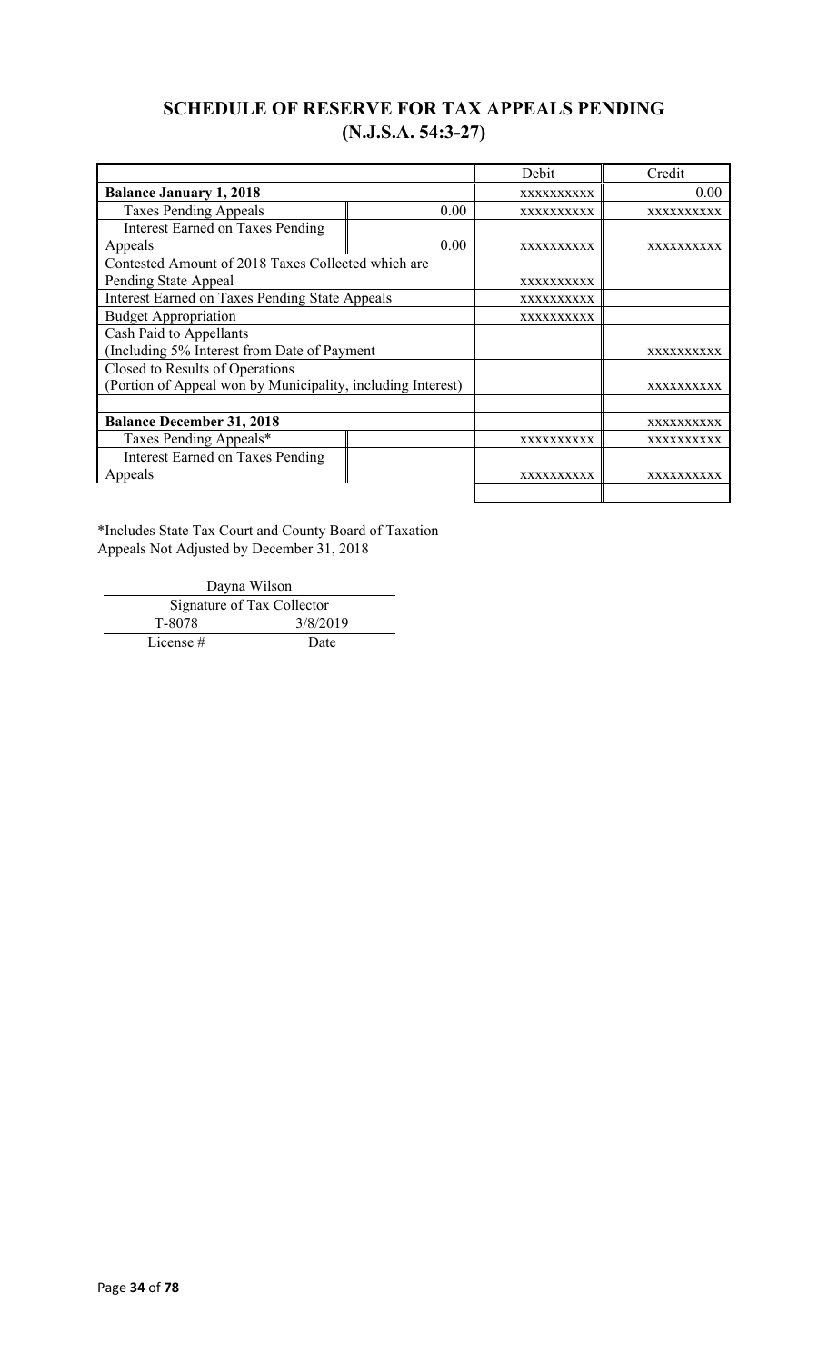## **SCHEDULE OF RESERVE FOR TAX APPEALS PENDING (N.J.S.A. 54:3-27)**

|                                                             |      | Debit             | Credit            |
|-------------------------------------------------------------|------|-------------------|-------------------|
| <b>Balance January 1, 2018</b>                              |      | XXXXXXXXXX        | 0.00              |
| <b>Taxes Pending Appeals</b>                                | 0.00 | XXXXXXXXXX        | XXXXXXXXXX        |
| <b>Interest Earned on Taxes Pending</b>                     |      |                   |                   |
| Appeals                                                     | 0.00 | <b>XXXXXXXXXX</b> | <b>XXXXXXXXXX</b> |
| Contested Amount of 2018 Taxes Collected which are          |      |                   |                   |
| Pending State Appeal                                        |      | <b>XXXXXXXXXX</b> |                   |
| <b>Interest Earned on Taxes Pending State Appeals</b>       |      | XXXXXXXXXX        |                   |
| <b>Budget Appropriation</b>                                 |      | <b>XXXXXXXXXX</b> |                   |
| Cash Paid to Appellants                                     |      |                   |                   |
| (Including 5% Interest from Date of Payment                 |      |                   | <b>XXXXXXXXXX</b> |
| Closed to Results of Operations                             |      |                   |                   |
| (Portion of Appeal won by Municipality, including Interest) |      |                   | <b>XXXXXXXXXX</b> |
|                                                             |      |                   |                   |
| <b>Balance December 31, 2018</b>                            |      |                   | XXXXXXXXXX        |
| Taxes Pending Appeals*                                      |      | <b>XXXXXXXXXX</b> | <b>XXXXXXXXXX</b> |
| <b>Interest Earned on Taxes Pending</b>                     |      |                   |                   |
| Appeals                                                     |      | XXXXXXXXXX        | xxxxxxxxxx        |
|                                                             |      |                   |                   |

\*Includes State Tax Court and County Board of Taxation Appeals Not Adjusted by December 31, 2018

Dayna Wilson Signature of Tax Collector<br>T-8078 3/8/20 3/8/2019 License # Date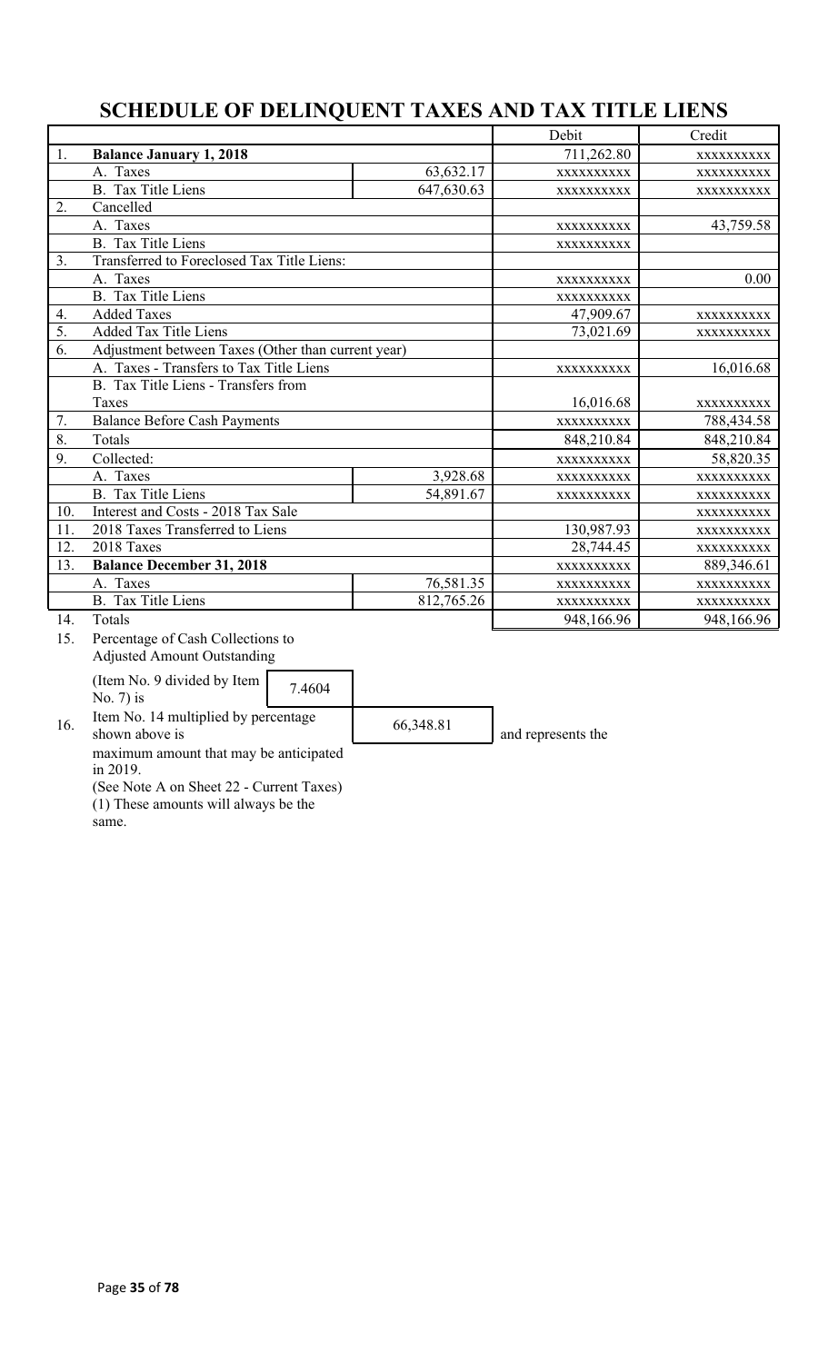## **SCHEDULE OF DELINQUENT TAXES AND TAX TITLE LIENS**

|     |                                                                                                  |            | Debit      | Credit     |
|-----|--------------------------------------------------------------------------------------------------|------------|------------|------------|
| 1.  | <b>Balance January 1, 2018</b>                                                                   |            | 711,262.80 | XXXXXXXXXX |
|     | A. Taxes                                                                                         | 63,632.17  | XXXXXXXXXX | XXXXXXXXXX |
|     | <b>B.</b> Tax Title Liens                                                                        | 647,630.63 | XXXXXXXXXX | XXXXXXXXXX |
| 2.  | Cancelled                                                                                        |            |            |            |
|     | A. Taxes                                                                                         |            | XXXXXXXXXX | 43,759.58  |
|     | <b>B.</b> Tax Title Liens                                                                        |            | XXXXXXXXXX |            |
| 3.  | Transferred to Foreclosed Tax Title Liens:                                                       |            |            |            |
|     | A. Taxes                                                                                         |            | XXXXXXXXXX | 0.00       |
|     | <b>B.</b> Tax Title Liens                                                                        |            | XXXXXXXXXX |            |
| 4.  | <b>Added Taxes</b>                                                                               |            | 47,909.67  | XXXXXXXXXX |
| 5.  | <b>Added Tax Title Liens</b>                                                                     |            | 73,021.69  | XXXXXXXXXX |
| 6.  | Adjustment between Taxes (Other than current year)                                               |            |            |            |
|     | A. Taxes - Transfers to Tax Title Liens                                                          |            | XXXXXXXXXX | 16,016.68  |
|     | B. Tax Title Liens - Transfers from                                                              |            |            |            |
|     | Taxes                                                                                            |            | 16,016.68  | XXXXXXXXXX |
| 7.  | <b>Balance Before Cash Payments</b>                                                              |            | XXXXXXXXXX | 788,434.58 |
| 8.  | Totals                                                                                           |            | 848,210.84 | 848,210.84 |
| 9.  | Collected:                                                                                       |            | XXXXXXXXXX | 58,820.35  |
|     | A. Taxes                                                                                         | 3,928.68   | XXXXXXXXXX | XXXXXXXXXX |
|     | <b>B.</b> Tax Title Liens                                                                        | 54,891.67  | XXXXXXXXXX | XXXXXXXXXX |
| 10. | Interest and Costs - 2018 Tax Sale                                                               |            |            | XXXXXXXXXX |
| 11. | 2018 Taxes Transferred to Liens                                                                  |            | 130,987.93 | XXXXXXXXXX |
| 12. | 2018 Taxes                                                                                       |            | 28,744.45  | XXXXXXXXXX |
| 13. | <b>Balance December 31, 2018</b>                                                                 |            | XXXXXXXXXX | 889,346.61 |
|     | A. Taxes                                                                                         | 76,581.35  | XXXXXXXXXX | XXXXXXXXXX |
|     | <b>B.</b> Tax Title Liens                                                                        | 812,765.26 | XXXXXXXXXX | XXXXXXXXXX |
| 14. | Totals                                                                                           |            | 948,166.96 | 948,166.96 |
| 15. | Percentage of Cash Collections to                                                                |            |            |            |
|     | <b>Adjusted Amount Outstanding</b>                                                               |            |            |            |
|     | $($ Itam $\overline{N}_{\Omega}$ $\overline{N}_{\Omega}$ divided by Itam $\overline{N}_{\Omega}$ |            |            |            |

(Item No. 9 divided by Item  $\begin{bmatrix} 7.4604 \end{bmatrix}$ 

16. Item No. 14 multiplied by percentage 66,348.81 and represents the and represents the

maximum amount that may be anticipated in 2019.

(See Note A on Sheet 22 - Current Taxes) (1) These amounts will always be the

same.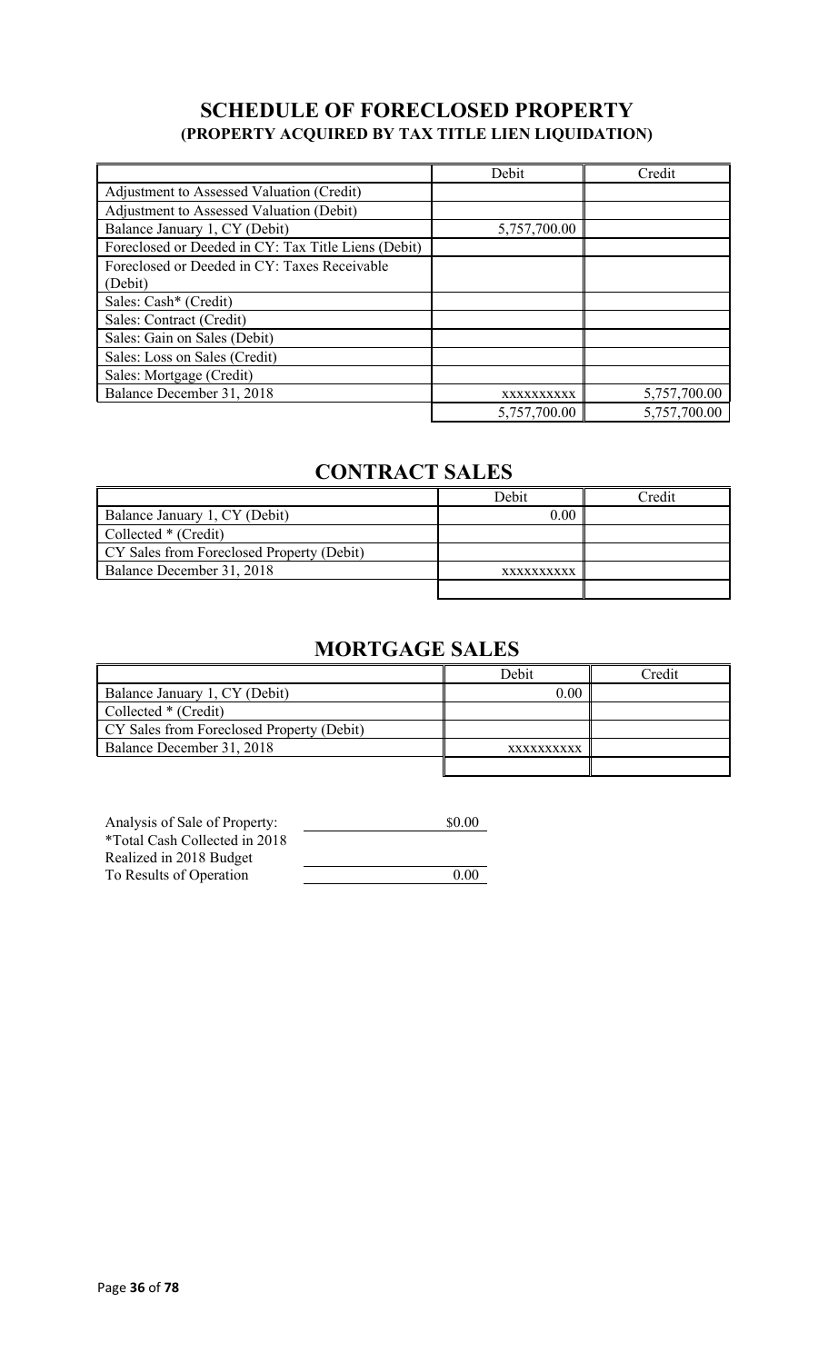## **SCHEDULE OF FORECLOSED PROPERTY (PROPERTY ACQUIRED BY TAX TITLE LIEN LIQUIDATION)**

|                                                     | Debit        | Credit       |
|-----------------------------------------------------|--------------|--------------|
| Adjustment to Assessed Valuation (Credit)           |              |              |
| Adjustment to Assessed Valuation (Debit)            |              |              |
| Balance January 1, CY (Debit)                       | 5,757,700.00 |              |
| Foreclosed or Deeded in CY: Tax Title Liens (Debit) |              |              |
| Foreclosed or Deeded in CY: Taxes Receivable        |              |              |
| (Debit)                                             |              |              |
| Sales: Cash* (Credit)                               |              |              |
| Sales: Contract (Credit)                            |              |              |
| Sales: Gain on Sales (Debit)                        |              |              |
| Sales: Loss on Sales (Credit)                       |              |              |
| Sales: Mortgage (Credit)                            |              |              |
| Balance December 31, 2018                           | XXXXXXXXXX   | 5,757,700.00 |
|                                                     | 5,757,700.00 | 5,757,700.00 |

## **CONTRACT SALES**

|                                           | Debit      | Credit |
|-------------------------------------------|------------|--------|
| Balance January 1, CY (Debit)             | 0.00       |        |
| Collected * (Credit)                      |            |        |
| CY Sales from Foreclosed Property (Debit) |            |        |
| Balance December 31, 2018                 | XXXXXXXXXX |        |
|                                           |            |        |

# **MORTGAGE SALES**

|                                           | Debit      | Credit |
|-------------------------------------------|------------|--------|
| Balance January 1, CY (Debit)             | 0.00       |        |
| Collected * (Credit)                      |            |        |
| CY Sales from Foreclosed Property (Debit) |            |        |
| Balance December 31, 2018                 | XXXXXXXXXX |        |
|                                           |            |        |

| Analysis of Sale of Property:        | \$0.00 |
|--------------------------------------|--------|
| <i>*Total Cash Collected in 2018</i> |        |
| Realized in 2018 Budget              |        |
| To Results of Operation              | 0.00   |
|                                      |        |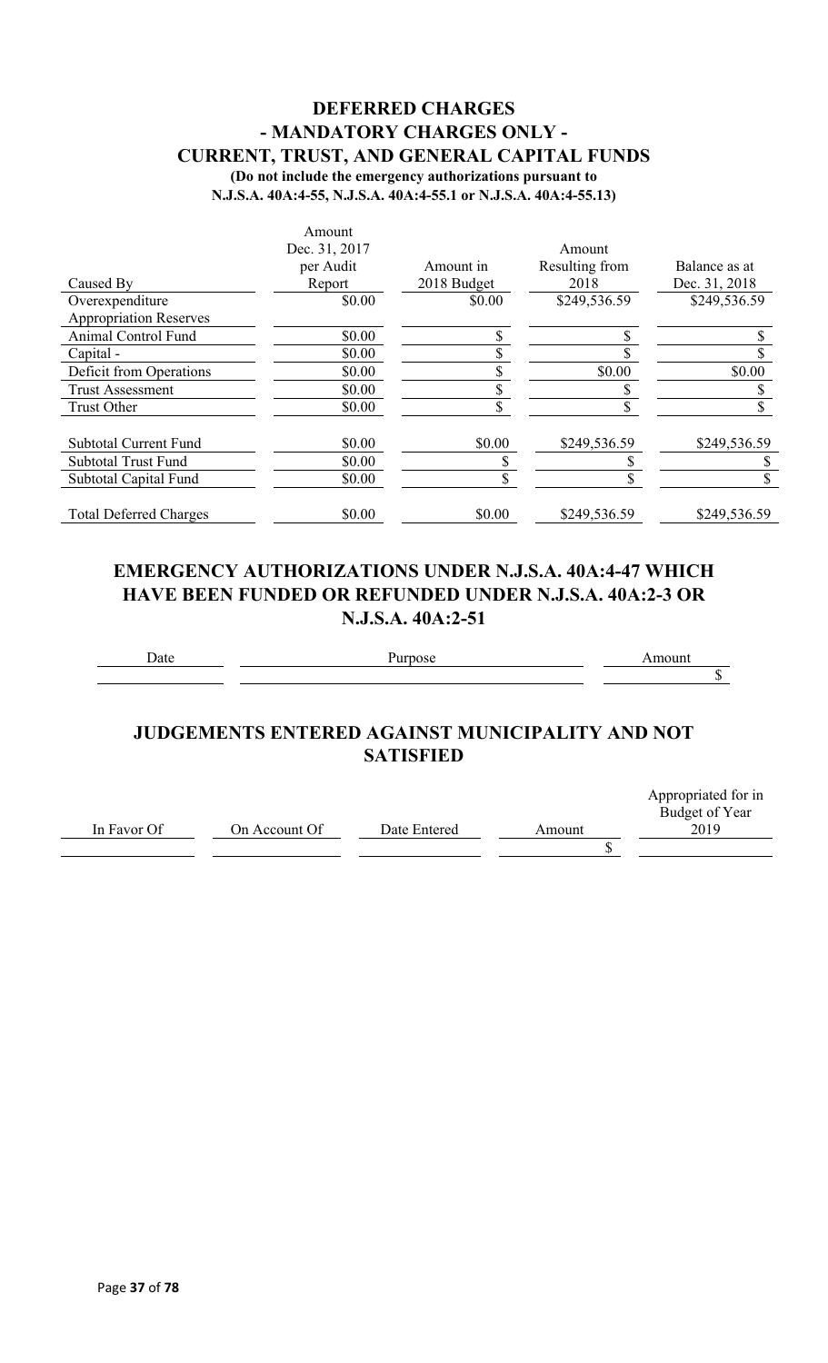# **DEFERRED CHARGES - MANDATORY CHARGES ONLY - CURRENT, TRUST, AND GENERAL CAPITAL FUNDS**

**(Do not include the emergency authorizations pursuant to** 

**N.J.S.A. 40A:4-55, N.J.S.A. 40A:4-55.1 or N.J.S.A. 40A:4-55.13)**

|                               | Amount        |             |                |               |
|-------------------------------|---------------|-------------|----------------|---------------|
|                               | Dec. 31, 2017 |             | Amount         |               |
|                               | per Audit     | Amount in   | Resulting from | Balance as at |
| Caused By                     | Report        | 2018 Budget | 2018           | Dec. 31, 2018 |
| Overexpenditure               | \$0.00        | \$0.00      | \$249,536.59   | \$249,536.59  |
| <b>Appropriation Reserves</b> |               |             |                |               |
| <b>Animal Control Fund</b>    | \$0.00        |             |                |               |
| Capital -                     | \$0.00        |             |                |               |
| Deficit from Operations       | \$0.00        |             | \$0.00         | \$0.00        |
| <b>Trust Assessment</b>       | \$0.00        |             |                |               |
| <b>Trust Other</b>            | \$0.00        |             |                |               |
| Subtotal Current Fund         | \$0.00        | \$0.00      | \$249,536.59   | \$249,536.59  |
| <b>Subtotal Trust Fund</b>    | \$0.00        |             |                |               |
| Subtotal Capital Fund         | \$0.00        | ה.          |                |               |
| <b>Total Deferred Charges</b> | \$0.00        | \$0.00      | \$249,536.59   | \$249,536.59  |

# **EMERGENCY AUTHORIZATIONS UNDER N.J.S.A. 40A:4-47 WHICH HAVE BEEN FUNDED OR REFUNDED UNDER N.J.S.A. 40A:2-3 OR N.J.S.A. 40A:2-51**

Date **Date** Purpose **Amount**  $\mathbb{S}$ 

# **JUDGEMENTS ENTERED AGAINST MUNICIPALITY AND NOT SATISFIED**

|             |               |              |        | Appropriated for in |
|-------------|---------------|--------------|--------|---------------------|
|             |               |              |        | Budget of Year      |
| In Favor Of | On Account Of | Date Entered | Amount | 2019                |
|             |               |              |        |                     |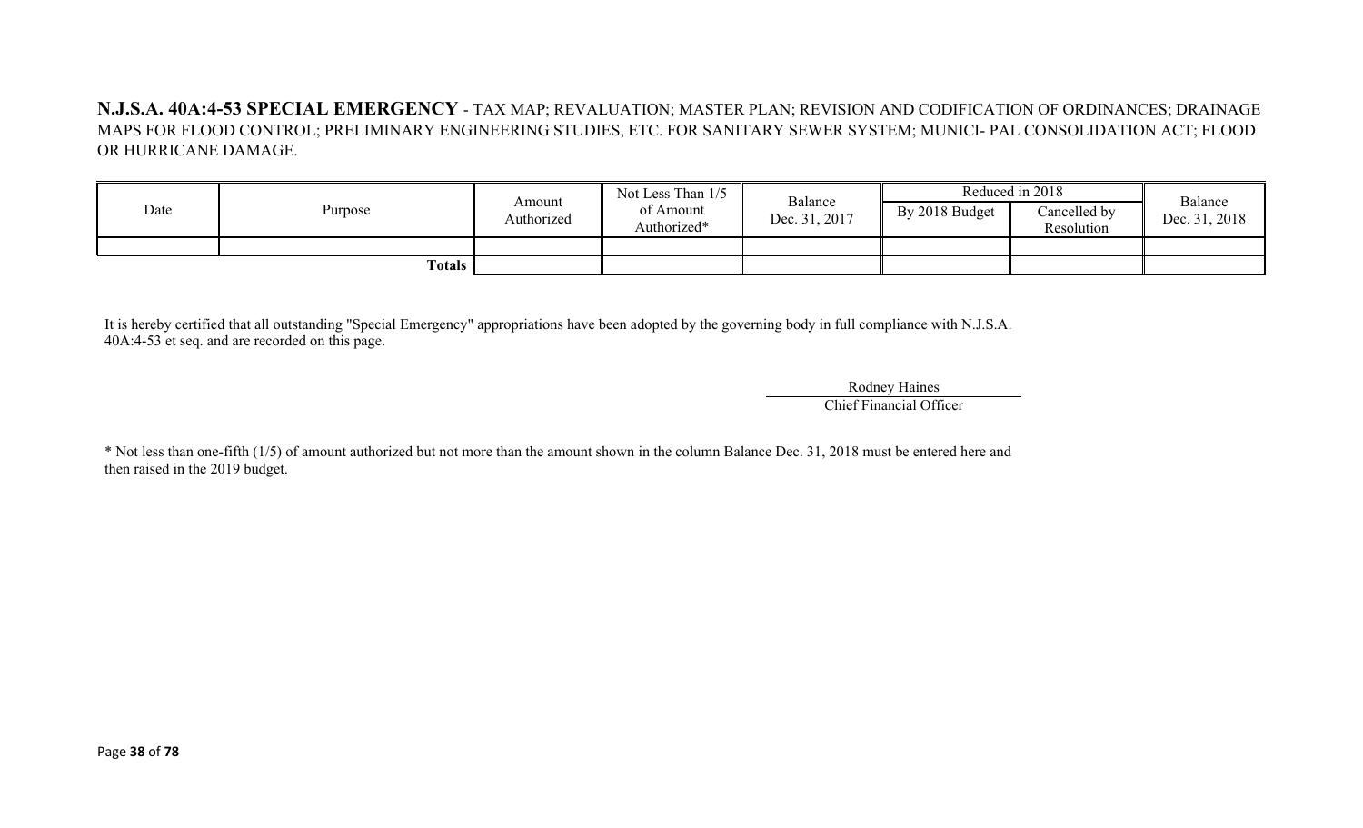**N.J.S.A. 40A:4-53 SPECIAL EMERGENCY** - TAX MAP; REVALUATION; MASTER PLAN; REVISION AND CODIFICATION OF ORDINANCES; DRAINAGE MAPS FOR FLOOD CONTROL; PRELIMINARY ENGINEERING STUDIES, ETC. FOR SANITARY SEWER SYSTEM; MUNICI- PAL CONSOLIDATION ACT; FLOOD OR HURRICANE DAMAGE.

| Date | Purpose | Amount<br>Authorized | Not Less Than 1/5<br>of Amount<br>Authorized* | Balance<br>Dec. 31, 2017 | By 2018 Budget | Reduced in 2018<br>Cancelled by<br>Resolution | Balance<br>Dec. 31, 2018 |
|------|---------|----------------------|-----------------------------------------------|--------------------------|----------------|-----------------------------------------------|--------------------------|
|      | Totals  |                      |                                               |                          |                |                                               |                          |

It is hereby certified that all outstanding "Special Emergency" appropriations have been adopted by the governing body in full compliance with N.J.S.A. 40A:4-53 et seq. and are recorded on this page.

> Rodney Haines Chief Financial Officer

\* Not less than one-fifth (1/5) of amount authorized but not more than the amount shown in the column Balance Dec. 31, 2018 must be entered here and then raised in the 2019 budget.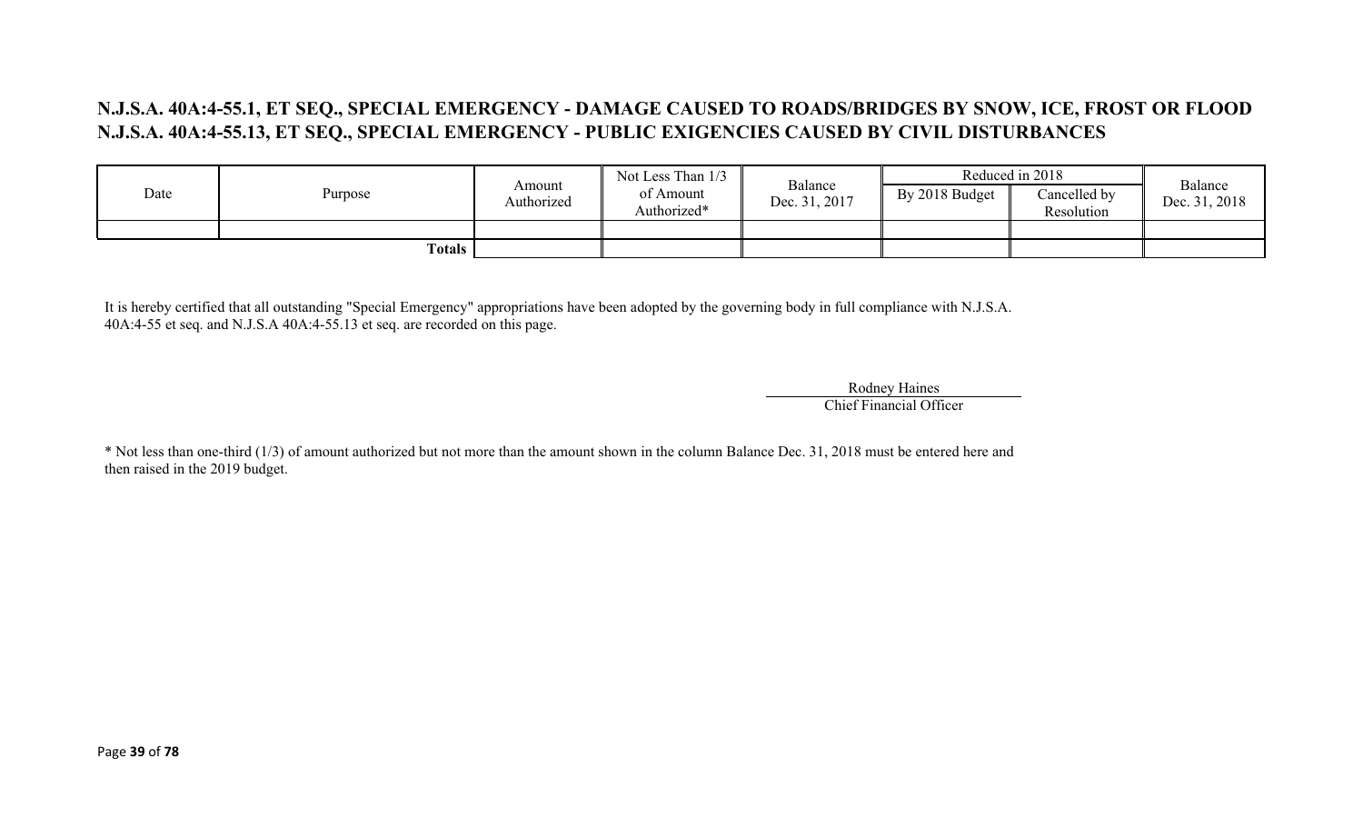# **N.J.S.A. 40A:4-55.1, ET SEQ., SPECIAL EMERGENCY - DAMAGE CAUSED TO ROADS/BRIDGES BY SNOW, ICE, FROST OR FLOOD N.J.S.A. 40A:4-55.13, ET SEQ., SPECIAL EMERGENCY - PUBLIC EXIGENCIES CAUSED BY CIVIL DISTURBANCES**

|      |         |                      | Not Less Than 1/3        |                          |                | Reduced in 2018            | Balance       |
|------|---------|----------------------|--------------------------|--------------------------|----------------|----------------------------|---------------|
| Date | Purpose | Amount<br>Authorized | of Amount<br>Authorized* | Balance<br>Dec. 31, 2017 | By 2018 Budget | Cancelled by<br>Resolution | Dec. 31, 2018 |
|      |         |                      |                          |                          |                |                            |               |
|      | Totals  |                      |                          |                          |                |                            |               |

It is hereby certified that all outstanding "Special Emergency" appropriations have been adopted by the governing body in full compliance with N.J.S.A. 40A:4-55 et seq. and N.J.S.A 40A:4-55.13 et seq. are recorded on this page.

> Rodney Haines Chief Financial Officer

\* Not less than one-third (1/3) of amount authorized but not more than the amount shown in the column Balance Dec. 31, 2018 must be entered here and then raised in the 2019 budget.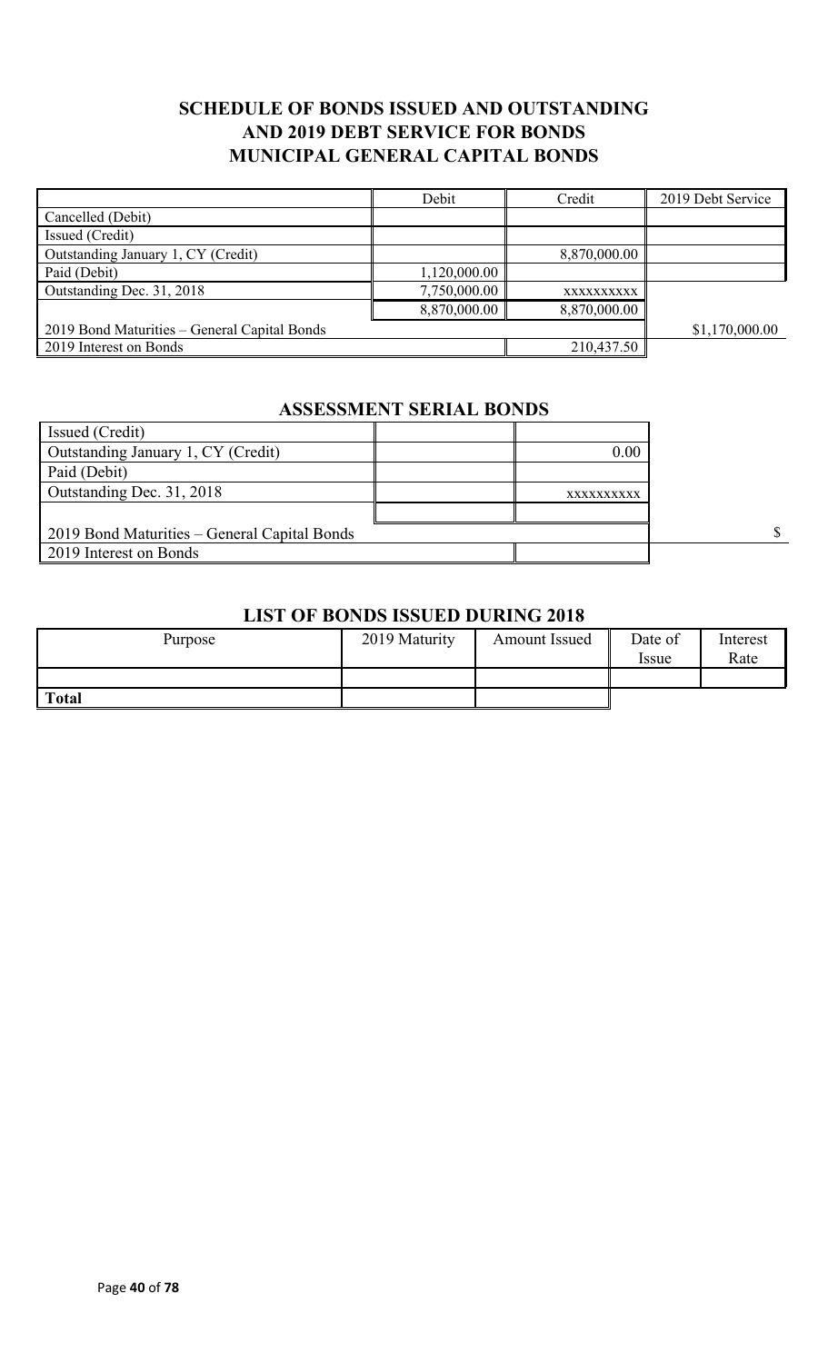# **SCHEDULE OF BONDS ISSUED AND OUTSTANDING AND 2019 DEBT SERVICE FOR BONDS MUNICIPAL GENERAL CAPITAL BONDS**

|                                              | Debit        | Credit       | 2019 Debt Service |
|----------------------------------------------|--------------|--------------|-------------------|
| Cancelled (Debit)                            |              |              |                   |
| Issued (Credit)                              |              |              |                   |
| Outstanding January 1, CY (Credit)           |              | 8,870,000.00 |                   |
| Paid (Debit)                                 | 1,120,000.00 |              |                   |
| Outstanding Dec. 31, 2018                    | 7,750,000.00 | XXXXXXXXXX   |                   |
|                                              | 8,870,000.00 | 8,870,000.00 |                   |
| 2019 Bond Maturities - General Capital Bonds |              |              | \$1,170,000.00    |
| 2019 Interest on Bonds                       |              | 210,437.50   |                   |

# **ASSESSMENT SERIAL BONDS**

| Issued (Credit)                              |            |  |
|----------------------------------------------|------------|--|
| Outstanding January 1, CY (Credit)           | 0.00       |  |
| Paid (Debit)                                 |            |  |
| Outstanding Dec. 31, 2018                    | XXXXXXXXXX |  |
|                                              |            |  |
| 2019 Bond Maturities – General Capital Bonds |            |  |
| 2019 Interest on Bonds                       |            |  |

#### **LIST OF BONDS ISSUED DURING 2018**

| Purpose      | 2019 Maturity | Amount Issued | Date of<br>Issue | Interest<br>Rate |
|--------------|---------------|---------------|------------------|------------------|
|              |               |               |                  |                  |
| <b>Total</b> |               |               |                  |                  |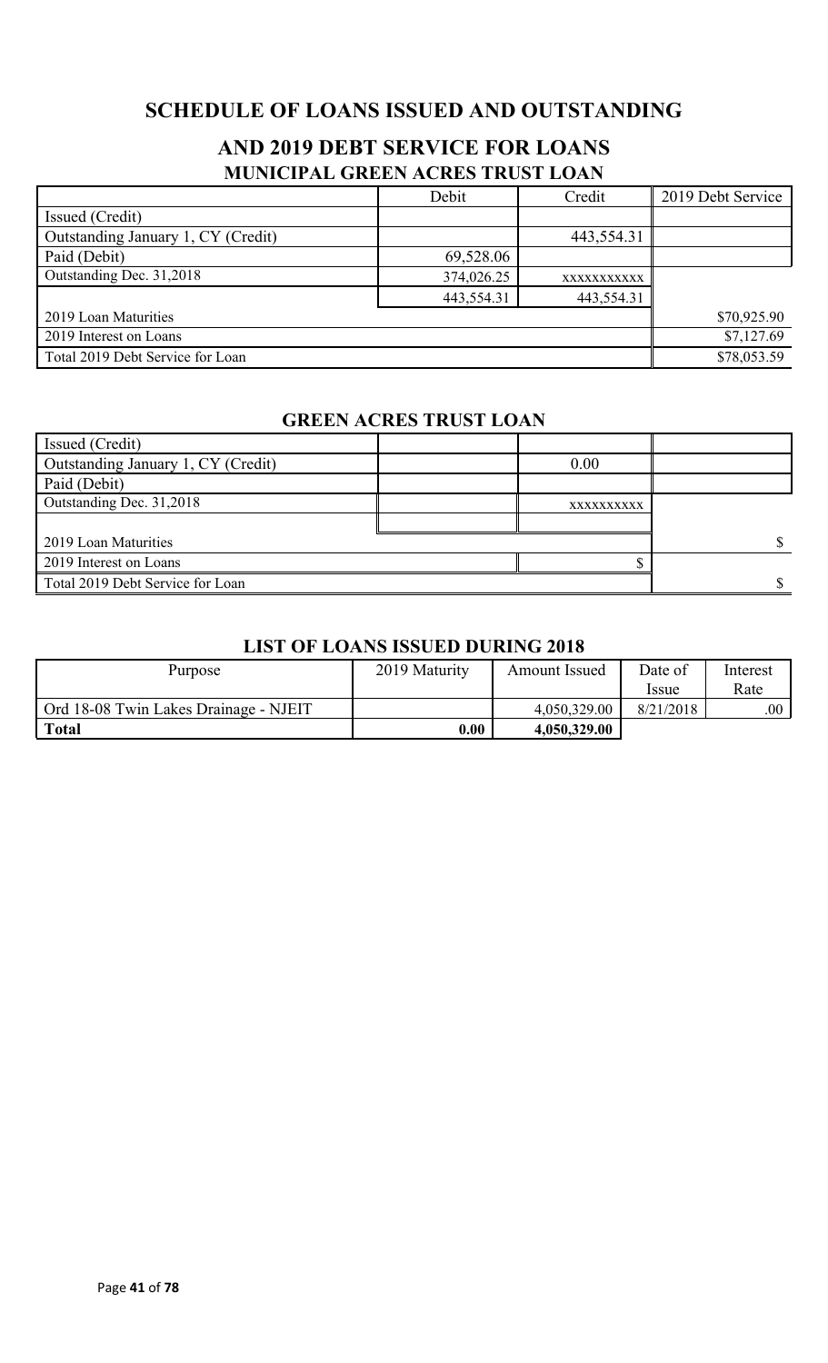# **SCHEDULE OF LOANS ISSUED AND OUTSTANDING**

# **AND 2019 DEBT SERVICE FOR LOANS MUNICIPAL GREEN ACRES TRUST LOAN**

|                                    | Debit       | Credit      | 2019 Debt Service |
|------------------------------------|-------------|-------------|-------------------|
| Issued (Credit)                    |             |             |                   |
| Outstanding January 1, CY (Credit) |             | 443,554.31  |                   |
| Paid (Debit)                       | 69,528.06   |             |                   |
| Outstanding Dec. 31,2018           | 374,026.25  | XXXXXXXXXXX |                   |
|                                    | 443,554.31  | 443,554.31  |                   |
| 2019 Loan Maturities               | \$70,925.90 |             |                   |
| 2019 Interest on Loans             | \$7,127.69  |             |                   |
| Total 2019 Debt Service for Loan   |             |             | \$78,053.59       |

### **GREEN ACRES TRUST LOAN**

| Issued (Credit)                    |            |  |
|------------------------------------|------------|--|
| Outstanding January 1, CY (Credit) | 0.00       |  |
| Paid (Debit)                       |            |  |
| Outstanding Dec. 31,2018           | XXXXXXXXXX |  |
|                                    |            |  |
| 2019 Loan Maturities               |            |  |
| 2019 Interest on Loans             |            |  |
| Total 2019 Debt Service for Loan   |            |  |

### **LIST OF LOANS ISSUED DURING 2018**

| Purpose                               | 2019 Maturity | Amount Issued | Date of     | Interest |
|---------------------------------------|---------------|---------------|-------------|----------|
|                                       |               |               | <i>ssue</i> | Rate     |
| Ord 18-08 Twin Lakes Drainage - NJEIT |               | 4,050,329.00  | 8/21/2018   | .00.     |
| <b>Total</b>                          | 0.00          | 4,050,329.00  |             |          |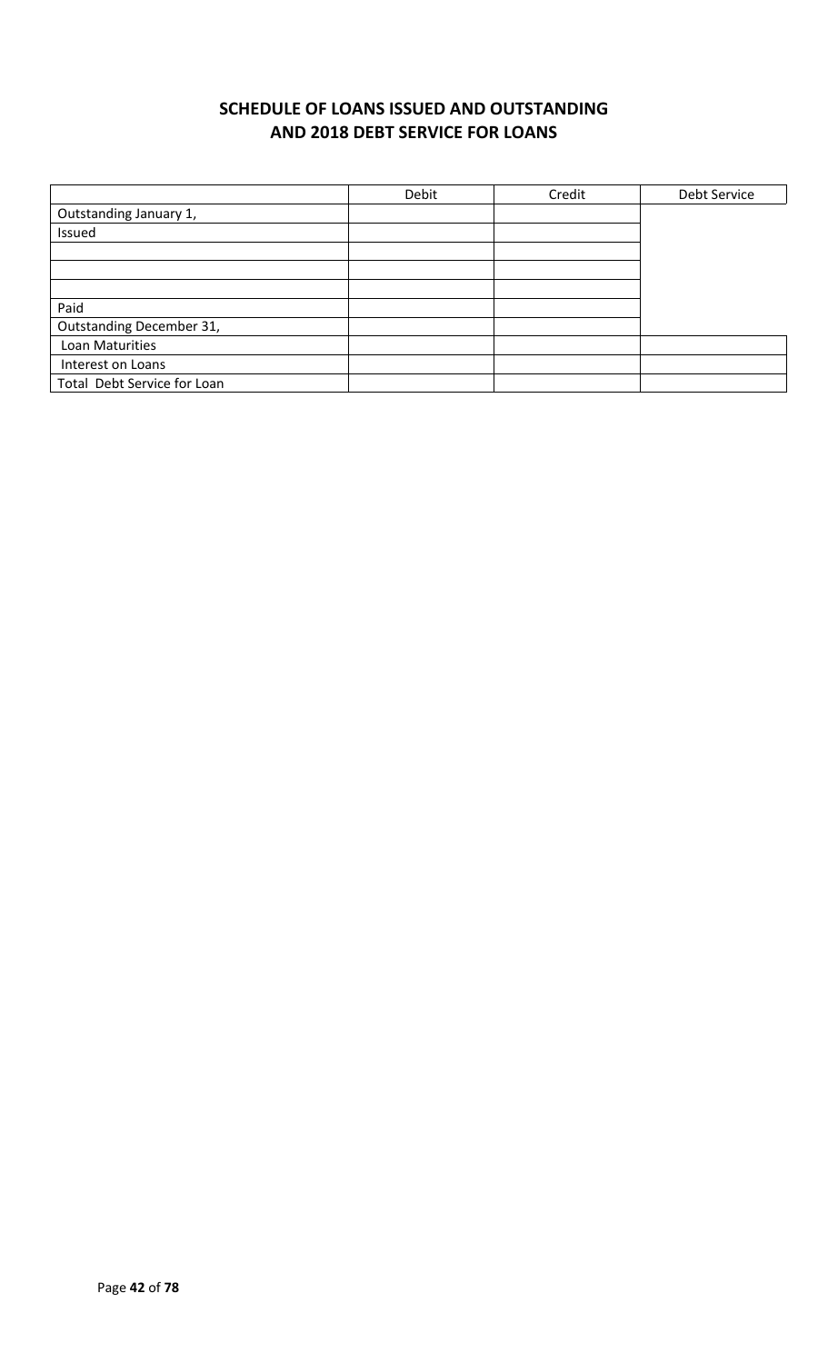# **SCHEDULE OF LOANS ISSUED AND OUTSTANDING AND 2018 DEBT SERVICE FOR LOANS**

|                             | Debit | Credit | Debt Service |
|-----------------------------|-------|--------|--------------|
| Outstanding January 1,      |       |        |              |
| Issued                      |       |        |              |
|                             |       |        |              |
|                             |       |        |              |
|                             |       |        |              |
| Paid                        |       |        |              |
| Outstanding December 31,    |       |        |              |
| Loan Maturities             |       |        |              |
| Interest on Loans           |       |        |              |
| Total Debt Service for Loan |       |        |              |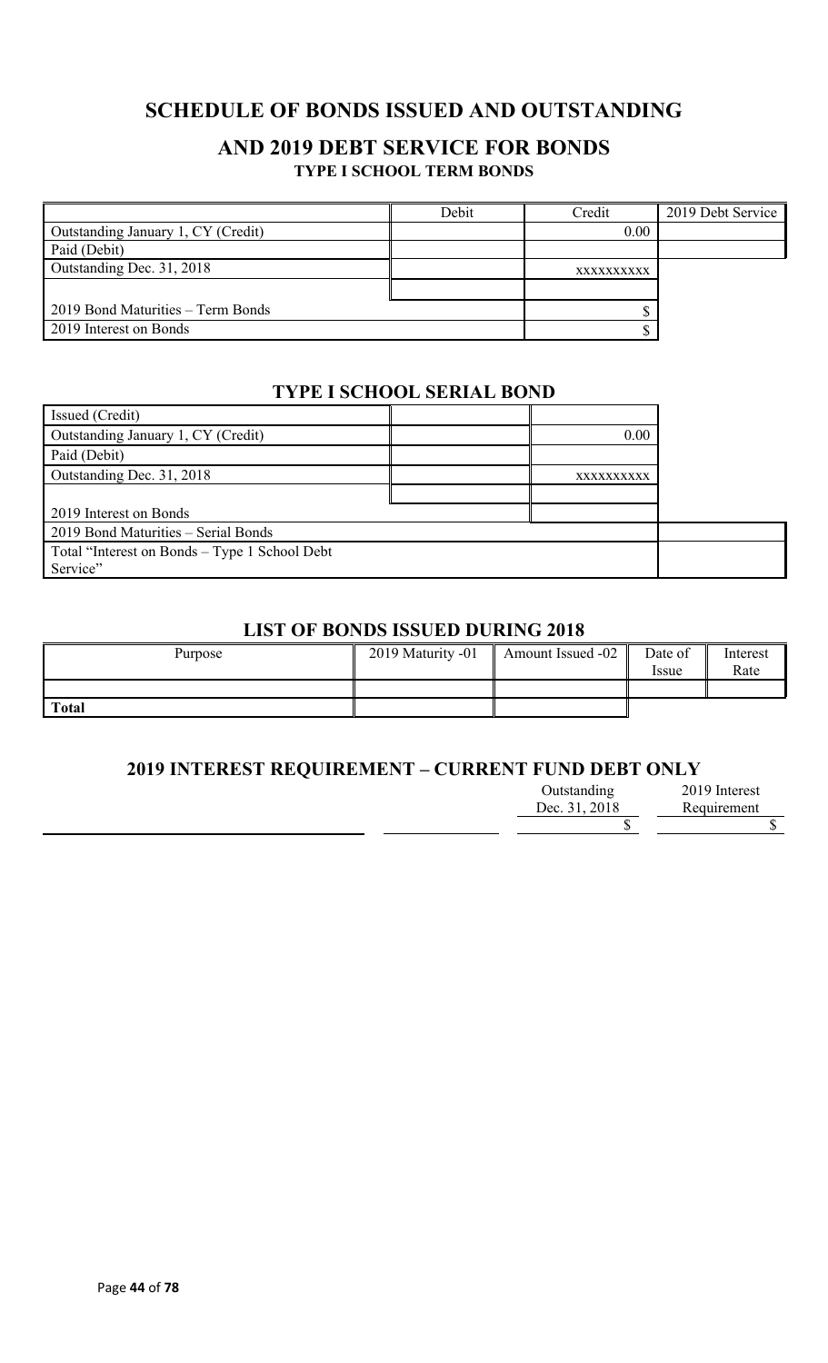# **SCHEDULE OF BONDS ISSUED AND OUTSTANDING**

### **AND 2019 DEBT SERVICE FOR BONDS TYPE I SCHOOL TERM BONDS**

|                                    | Debit | Credit     | 2019 Debt Service |
|------------------------------------|-------|------------|-------------------|
| Outstanding January 1, CY (Credit) |       | 0.00       |                   |
| Paid (Debit)                       |       |            |                   |
| Outstanding Dec. 31, 2018          |       | XXXXXXXXXX |                   |
|                                    |       |            |                   |
| 2019 Bond Maturities – Term Bonds  |       |            |                   |
| 2019 Interest on Bonds             |       |            |                   |

### **TYPE I SCHOOL SERIAL BOND**

| Issued (Credit)                               |            |  |
|-----------------------------------------------|------------|--|
| Outstanding January 1, CY (Credit)            | 0.00       |  |
| Paid (Debit)                                  |            |  |
| Outstanding Dec. 31, 2018                     | XXXXXXXXXX |  |
|                                               |            |  |
| 2019 Interest on Bonds                        |            |  |
| 2019 Bond Maturities - Serial Bonds           |            |  |
| Total "Interest on Bonds – Type 1 School Debt |            |  |
| Service"                                      |            |  |

### **LIST OF BONDS ISSUED DURING 2018**

| Purpose      | 2019 Maturity -01 | Amount Issued -02 | Date of<br><i>ssue</i> | Interest<br>Rate |
|--------------|-------------------|-------------------|------------------------|------------------|
|              |                   |                   |                        |                  |
| <b>Total</b> |                   |                   |                        |                  |

### **2019 INTEREST REQUIREMENT – CURRENT FUND DEBT ONLY**

| Outstanding   | 2019 Interest |
|---------------|---------------|
| Dec. 31, 2018 | Requirement   |
|               |               |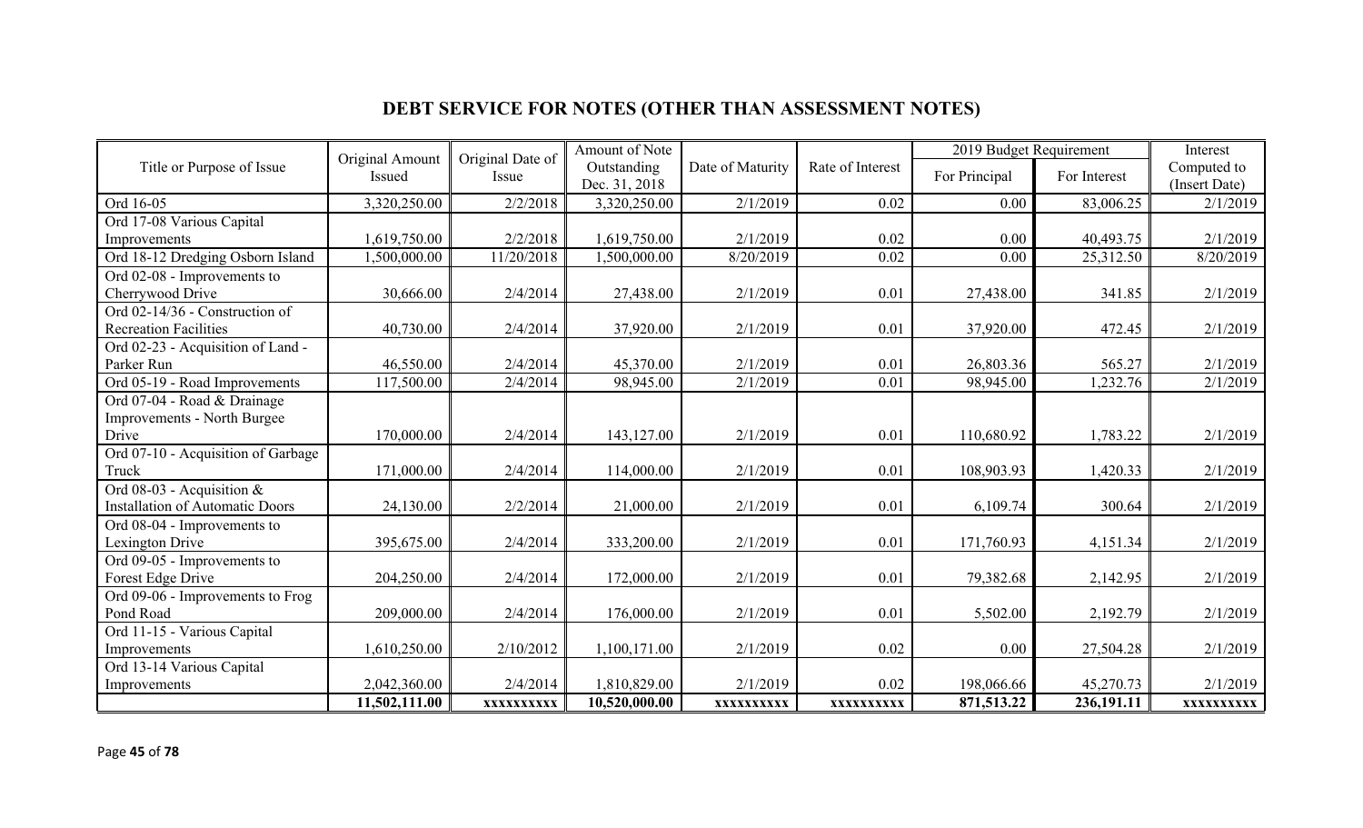# **DEBT SERVICE FOR NOTES (OTHER THAN ASSESSMENT NOTES)**

|                                        | Original Amount | Original Date of | Amount of Note               |                  |                  | 2019 Budget Requirement |              | Interest                     |
|----------------------------------------|-----------------|------------------|------------------------------|------------------|------------------|-------------------------|--------------|------------------------------|
| Title or Purpose of Issue              | Issued          | Issue            | Outstanding<br>Dec. 31, 2018 | Date of Maturity | Rate of Interest | For Principal           | For Interest | Computed to<br>(Insert Date) |
| Ord 16-05                              | 3,320,250.00    | 2/2/2018         | 3,320,250.00                 | 2/1/2019         | 0.02             | 0.00                    | 83,006.25    | 2/1/2019                     |
| Ord 17-08 Various Capital              |                 |                  |                              |                  |                  |                         |              |                              |
| Improvements                           | 1,619,750.00    | 2/2/2018         | 1,619,750.00                 | 2/1/2019         | 0.02             | 0.00                    | 40,493.75    | 2/1/2019                     |
| Ord 18-12 Dredging Osborn Island       | 1,500,000.00    | 11/20/2018       | 1,500,000.00                 | 8/20/2019        | 0.02             | 0.00                    | 25,312.50    | 8/20/2019                    |
| Ord 02-08 - Improvements to            |                 |                  |                              |                  |                  |                         |              |                              |
| Cherrywood Drive                       | 30,666.00       | 2/4/2014         | 27,438.00                    | 2/1/2019         | 0.01             | 27,438.00               | 341.85       | 2/1/2019                     |
| Ord 02-14/36 - Construction of         |                 |                  |                              |                  |                  |                         |              |                              |
| <b>Recreation Facilities</b>           | 40,730.00       | 2/4/2014         | 37,920.00                    | 2/1/2019         | 0.01             | 37,920.00               | 472.45       | 2/1/2019                     |
| Ord 02-23 - Acquisition of Land -      |                 |                  |                              |                  |                  |                         |              |                              |
| Parker Run                             | 46,550.00       | 2/4/2014         | 45,370.00                    | 2/1/2019         | 0.01             | 26,803.36               | 565.27       | 2/1/2019                     |
| Ord 05-19 - Road Improvements          | 117,500.00      | 2/4/2014         | 98,945.00                    | 2/1/2019         | 0.01             | 98,945.00               | 1,232.76     | 2/1/2019                     |
| Ord 07-04 - Road & Drainage            |                 |                  |                              |                  |                  |                         |              |                              |
| <b>Improvements - North Burgee</b>     |                 |                  |                              |                  |                  |                         |              |                              |
| Drive                                  | 170,000.00      | 2/4/2014         | 143,127.00                   | 2/1/2019         | 0.01             | 110,680.92              | 1,783.22     | 2/1/2019                     |
| Ord 07-10 - Acquisition of Garbage     |                 |                  |                              |                  |                  |                         |              |                              |
| Truck                                  | 171,000.00      | 2/4/2014         | 114,000.00                   | 2/1/2019         | 0.01             | 108,903.93              | 1,420.33     | 2/1/2019                     |
| Ord 08-03 - Acquisition &              |                 |                  |                              |                  |                  |                         |              |                              |
| <b>Installation of Automatic Doors</b> | 24,130.00       | 2/2/2014         | 21,000.00                    | 2/1/2019         | 0.01             | 6,109.74                | 300.64       | 2/1/2019                     |
| Ord 08-04 - Improvements to            |                 |                  |                              |                  |                  |                         |              |                              |
| Lexington Drive                        | 395,675.00      | 2/4/2014         | 333,200.00                   | 2/1/2019         | 0.01             | 171,760.93              | 4,151.34     | 2/1/2019                     |
| Ord 09-05 - Improvements to            |                 |                  |                              |                  |                  |                         |              |                              |
| Forest Edge Drive                      | 204,250.00      | 2/4/2014         | 172,000.00                   | 2/1/2019         | 0.01             | 79,382.68               | 2,142.95     | 2/1/2019                     |
| Ord 09-06 - Improvements to Frog       |                 |                  |                              |                  |                  |                         |              |                              |
| Pond Road                              | 209,000.00      | 2/4/2014         | 176,000.00                   | 2/1/2019         | 0.01             | 5,502.00                | 2,192.79     | 2/1/2019                     |
| Ord 11-15 - Various Capital            |                 |                  |                              |                  |                  |                         |              |                              |
| Improvements                           | 1,610,250.00    | 2/10/2012        | 1,100,171.00                 | 2/1/2019         | 0.02             | 0.00                    | 27,504.28    | 2/1/2019                     |
| Ord 13-14 Various Capital              |                 |                  |                              |                  |                  |                         |              |                              |
| Improvements                           | 2,042,360.00    | 2/4/2014         | 1,810,829.00                 | 2/1/2019         | 0.02             | 198,066.66              | 45,270.73    | 2/1/2019                     |
|                                        | 11,502,111.00   | XXXXXXXXXX       | 10,520,000.00                | XXXXXXXXXX       | XXXXXXXXXX       | 871,513.22              | 236,191.11   | XXXXXXXXXX                   |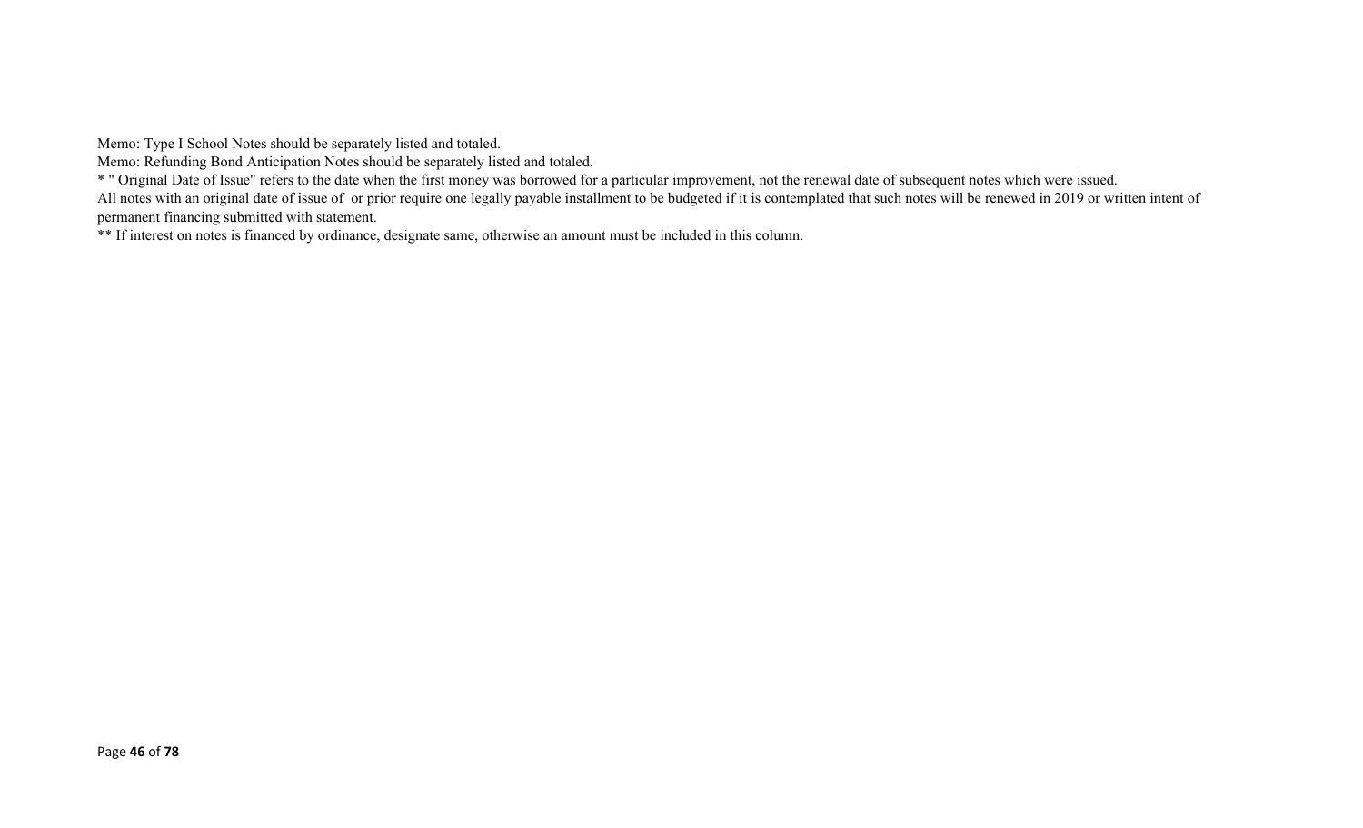Memo: Type I School Notes should be separately listed and totaled.

Memo: Refunding Bond Anticipation Notes should be separately listed and totaled.

\* " Original Date of Issue" refers to the date when the first money was borrowed for a particular improvement, not the renewal date of subsequent notes which were issued.

All notes with an original date of issue of or prior require one legally payable installment to be budgeted if it is contemplated that such notes will be renewed in 2019 or written intent of permanent financing submitted with statement.

\*\* If interest on notes is financed by ordinance, designate same, otherwise an amount must be included in this column.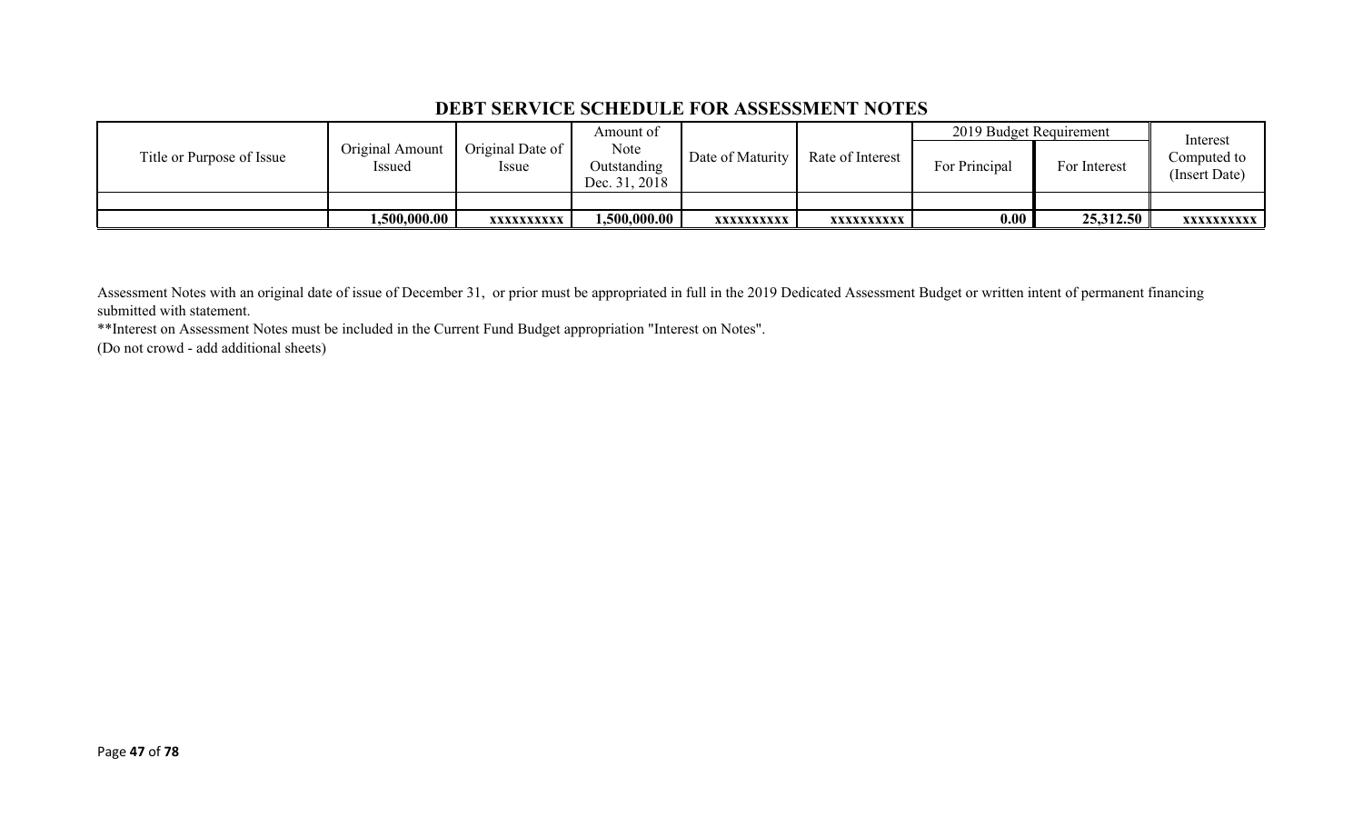### **DEBT SERVICE SCHEDULE FOR ASSESSMENT NOTES**

|                           |                           |                                    | Amount of                            |                  |                  |               | 2019 Budget Requirement |                                          |
|---------------------------|---------------------------|------------------------------------|--------------------------------------|------------------|------------------|---------------|-------------------------|------------------------------------------|
| Title or Purpose of Issue | Original Amount<br>Issued | Original Date of  <br><i>Issue</i> | Note<br>Outstanding<br>Dec. 31, 2018 | Date of Maturity | Rate of Interest | For Principal | For Interest            | Interest<br>Computed to<br>(Insert Date) |
|                           |                           |                                    |                                      |                  |                  |               |                         |                                          |
|                           | 1,500,000.00              | XXXXXXXXXX                         | 0.500,000.00                         | XXXXXXXXXX       | XXXXXXXXXX       | 0.00          | 25,312.50               | XXXXXXXXXX                               |

Assessment Notes with an original date of issue of December 31, or prior must be appropriated in full in the 2019 Dedicated Assessment Budget or written intent of permanent financing submitted with statement.

\*\*Interest on Assessment Notes must be included in the Current Fund Budget appropriation "Interest on Notes".

(Do not crowd - add additional sheets)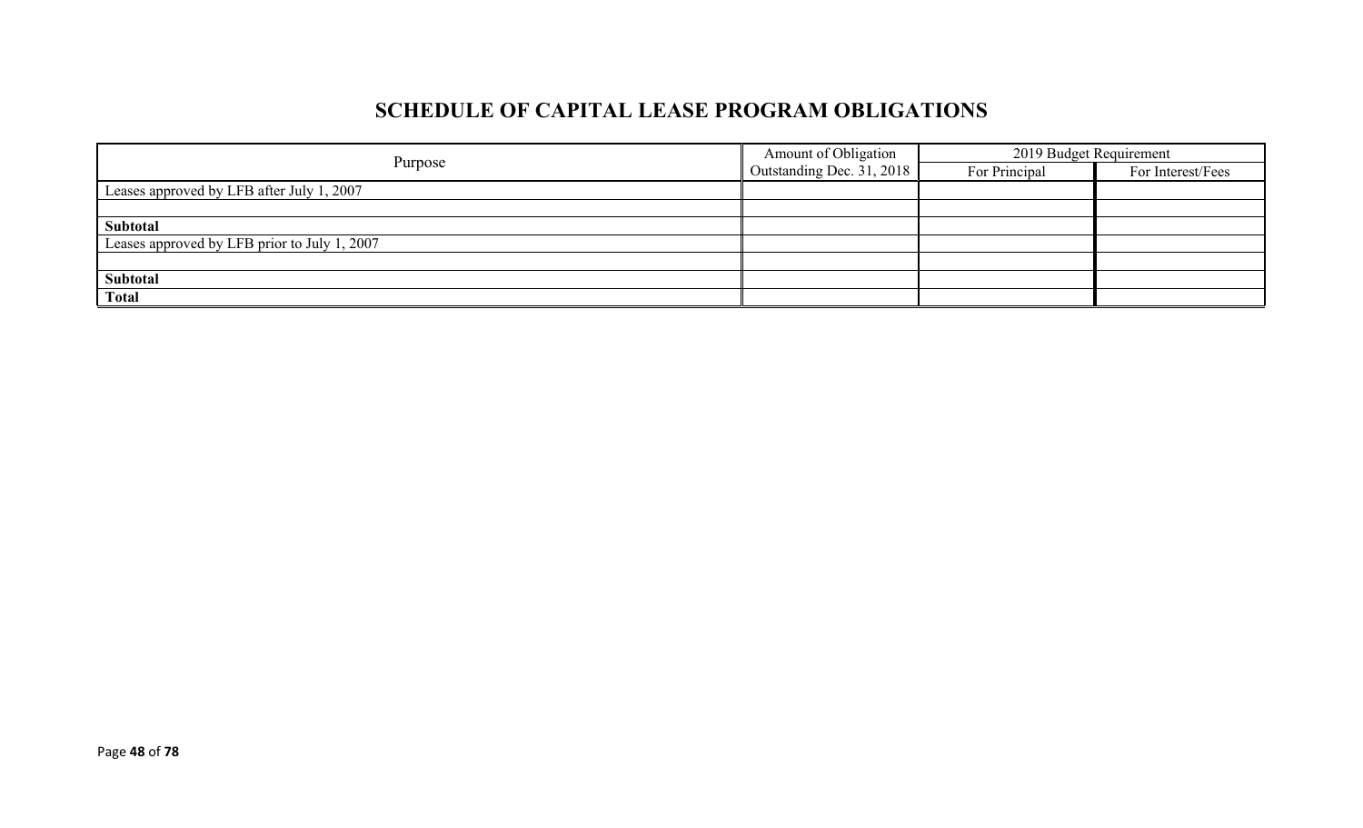# **SCHEDULE OF CAPITAL LEASE PROGRAM OBLIGATIONS**

|                                              | Amount of Obligation             | 2019 Budget Requirement |                   |  |
|----------------------------------------------|----------------------------------|-------------------------|-------------------|--|
| Purpose                                      | $\Box$ Outstanding Dec. 31, 2018 | For Principal           | For Interest/Fees |  |
| Leases approved by LFB after July 1, 2007    |                                  |                         |                   |  |
|                                              |                                  |                         |                   |  |
| Subtotal                                     |                                  |                         |                   |  |
| Leases approved by LFB prior to July 1, 2007 |                                  |                         |                   |  |
|                                              |                                  |                         |                   |  |
| Subtotal                                     |                                  |                         |                   |  |
| <b>Total</b>                                 |                                  |                         |                   |  |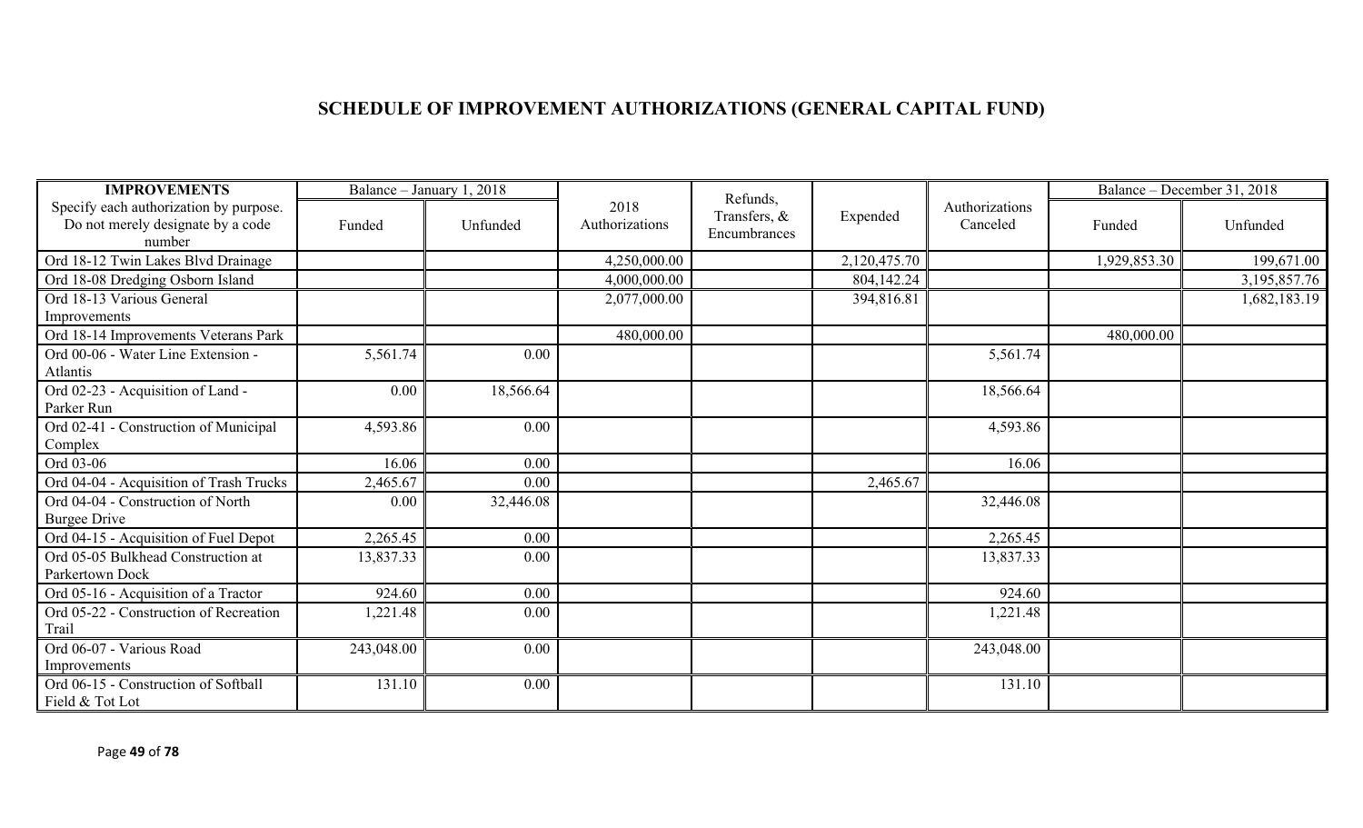# **SCHEDULE OF IMPROVEMENT AUTHORIZATIONS (GENERAL CAPITAL FUND)**

| <b>IMPROVEMENTS</b>                                                                   |            | Balance - January 1, 2018 |                        | Refunds,                     |              |            |              | Balance – December 31, 2018 |
|---------------------------------------------------------------------------------------|------------|---------------------------|------------------------|------------------------------|--------------|------------|--------------|-----------------------------|
| Specify each authorization by purpose.<br>Do not merely designate by a code<br>number | Funded     | Unfunded                  | 2018<br>Authorizations | Transfers, &<br>Encumbrances | Expended     |            | Funded       | Unfunded                    |
| Ord 18-12 Twin Lakes Blvd Drainage                                                    |            |                           | 4,250,000.00           |                              | 2,120,475.70 |            | 1,929,853.30 | 199,671.00                  |
| Ord 18-08 Dredging Osborn Island                                                      |            |                           | 4,000,000.00           |                              | 804,142.24   |            |              | 3, 195, 857. 76             |
| Ord 18-13 Various General<br>Improvements                                             |            |                           | 2,077,000.00           |                              | 394,816.81   |            |              | 1,682,183.19                |
| Ord 18-14 Improvements Veterans Park                                                  |            |                           | 480,000.00             |                              |              |            | 480,000.00   |                             |
| Ord 00-06 - Water Line Extension -<br>Atlantis                                        | 5,561.74   | 0.00                      |                        |                              |              | 5,561.74   |              |                             |
| Ord 02-23 - Acquisition of Land -<br>Parker Run                                       | 0.00       | 18,566.64                 |                        |                              |              | 18,566.64  |              |                             |
| Ord 02-41 - Construction of Municipal<br>Complex                                      | 4,593.86   | 0.00                      |                        |                              |              | 4,593.86   |              |                             |
| Ord 03-06                                                                             | 16.06      | 0.00                      |                        |                              |              | 16.06      |              |                             |
| Ord 04-04 - Acquisition of Trash Trucks                                               | 2,465.67   | 0.00                      |                        |                              | 2,465.67     |            |              |                             |
| Ord 04-04 - Construction of North<br><b>Burgee Drive</b>                              | 0.00       | 32,446.08                 |                        |                              |              | 32,446.08  |              |                             |
| Ord 04-15 - Acquisition of Fuel Depot                                                 | 2,265.45   | 0.00                      |                        |                              |              | 2,265.45   |              |                             |
| Ord 05-05 Bulkhead Construction at<br>Parkertown Dock                                 | 13,837.33  | 0.00                      |                        |                              |              | 13,837.33  |              |                             |
| Ord 05-16 - Acquisition of a Tractor                                                  | 924.60     | 0.00                      |                        |                              |              | 924.60     |              |                             |
| Ord 05-22 - Construction of Recreation<br>Trail                                       | 1,221.48   | 0.00                      |                        |                              |              | 1,221.48   |              |                             |
| Ord 06-07 - Various Road<br>Improvements                                              | 243,048.00 | 0.00                      |                        |                              |              | 243,048.00 |              |                             |
| Ord 06-15 - Construction of Softball<br>Field & Tot Lot                               | 131.10     | 0.00                      |                        |                              |              | 131.10     |              |                             |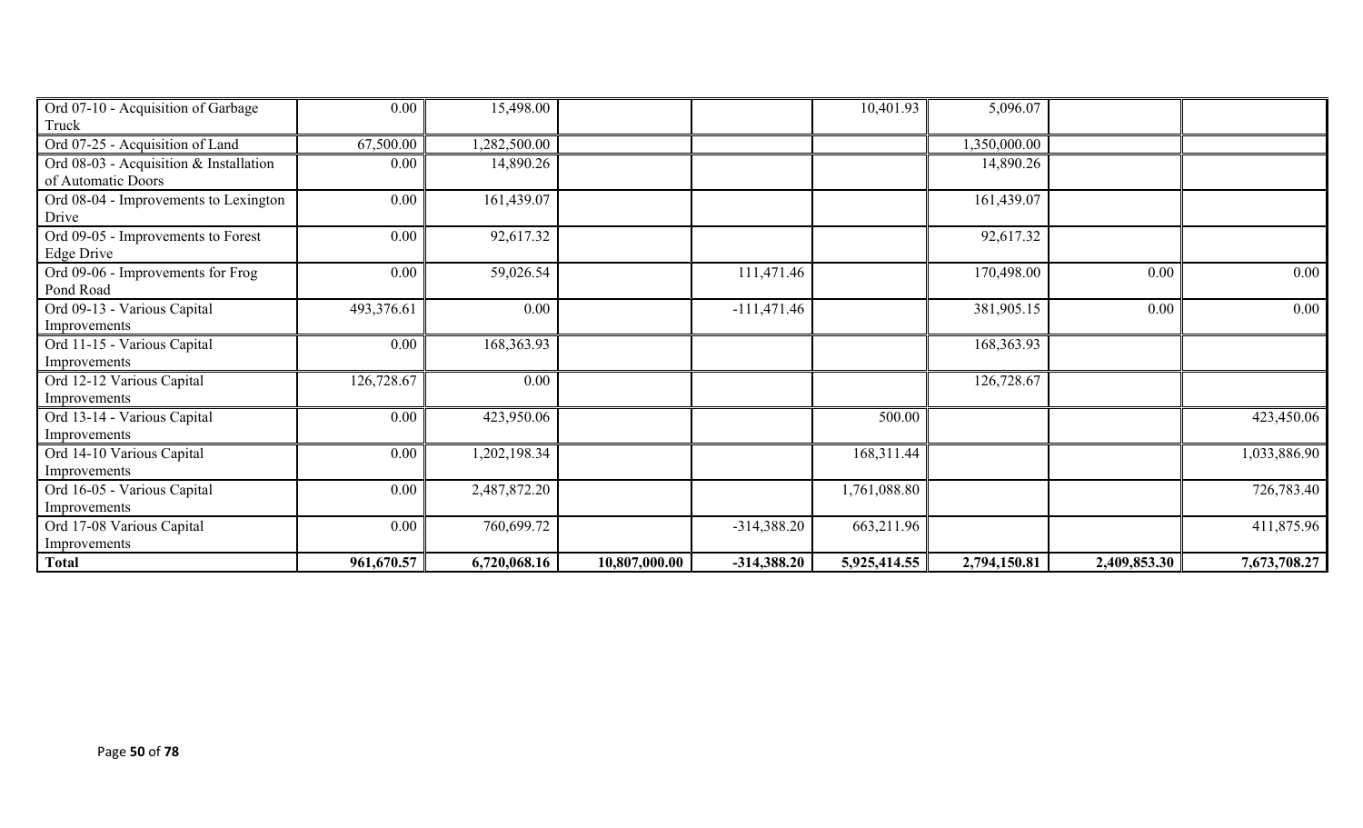| Ord 07-10 - Acquisition of Garbage     | 0.00       | 15,498.00    |               |               | 10,401.93    | 5,096.07     |              |              |
|----------------------------------------|------------|--------------|---------------|---------------|--------------|--------------|--------------|--------------|
| Truck                                  |            |              |               |               |              |              |              |              |
| Ord 07-25 - Acquisition of Land        | 67,500.00  | 1,282,500.00 |               |               |              | 1,350,000.00 |              |              |
| Ord 08-03 - Acquisition & Installation | 0.00       | 14,890.26    |               |               |              | 14,890.26    |              |              |
| of Automatic Doors                     |            |              |               |               |              |              |              |              |
| Ord 08-04 - Improvements to Lexington  | 0.00       | 161,439.07   |               |               |              | 161,439.07   |              |              |
| Drive                                  |            |              |               |               |              |              |              |              |
| Ord 09-05 - Improvements to Forest     | 0.00       | 92,617.32    |               |               |              | 92,617.32    |              |              |
| Edge Drive                             |            |              |               |               |              |              |              |              |
| Ord 09-06 - Improvements for Frog      | 0.00       | 59,026.54    |               | 111,471.46    |              | 170,498.00   | 0.00         | $0.00\,$     |
| Pond Road                              |            |              |               |               |              |              |              |              |
| Ord 09-13 - Various Capital            | 493,376.61 | 0.00         |               | $-111,471.46$ |              | 381,905.15   | 0.00         | $0.00\,$     |
| Improvements                           |            |              |               |               |              |              |              |              |
| Ord 11-15 - Various Capital            | 0.00       | 168,363.93   |               |               |              | 168,363.93   |              |              |
| Improvements                           |            |              |               |               |              |              |              |              |
| Ord 12-12 Various Capital              | 126,728.67 | 0.00         |               |               |              | 126,728.67   |              |              |
| Improvements                           |            |              |               |               |              |              |              |              |
| Ord 13-14 - Various Capital            | 0.00       | 423,950.06   |               |               | 500.00       |              |              | 423,450.06   |
| Improvements                           |            |              |               |               |              |              |              |              |
| Ord 14-10 Various Capital              | 0.00       | 1,202,198.34 |               |               | 168,311.44   |              |              | 1,033,886.90 |
| Improvements                           |            |              |               |               |              |              |              |              |
| Ord 16-05 - Various Capital            | 0.00       | 2,487,872.20 |               |               | 1,761,088.80 |              |              | 726,783.40   |
| Improvements                           |            |              |               |               |              |              |              |              |
| Ord 17-08 Various Capital              | 0.00       | 760,699.72   |               | $-314,388.20$ | 663,211.96   |              |              | 411,875.96   |
| Improvements                           |            |              |               |               |              |              |              |              |
| <b>Total</b>                           | 961,670.57 | 6,720,068.16 | 10,807,000.00 | $-314,388.20$ | 5,925,414.55 | 2,794,150.81 | 2,409,853.30 | 7,673,708.27 |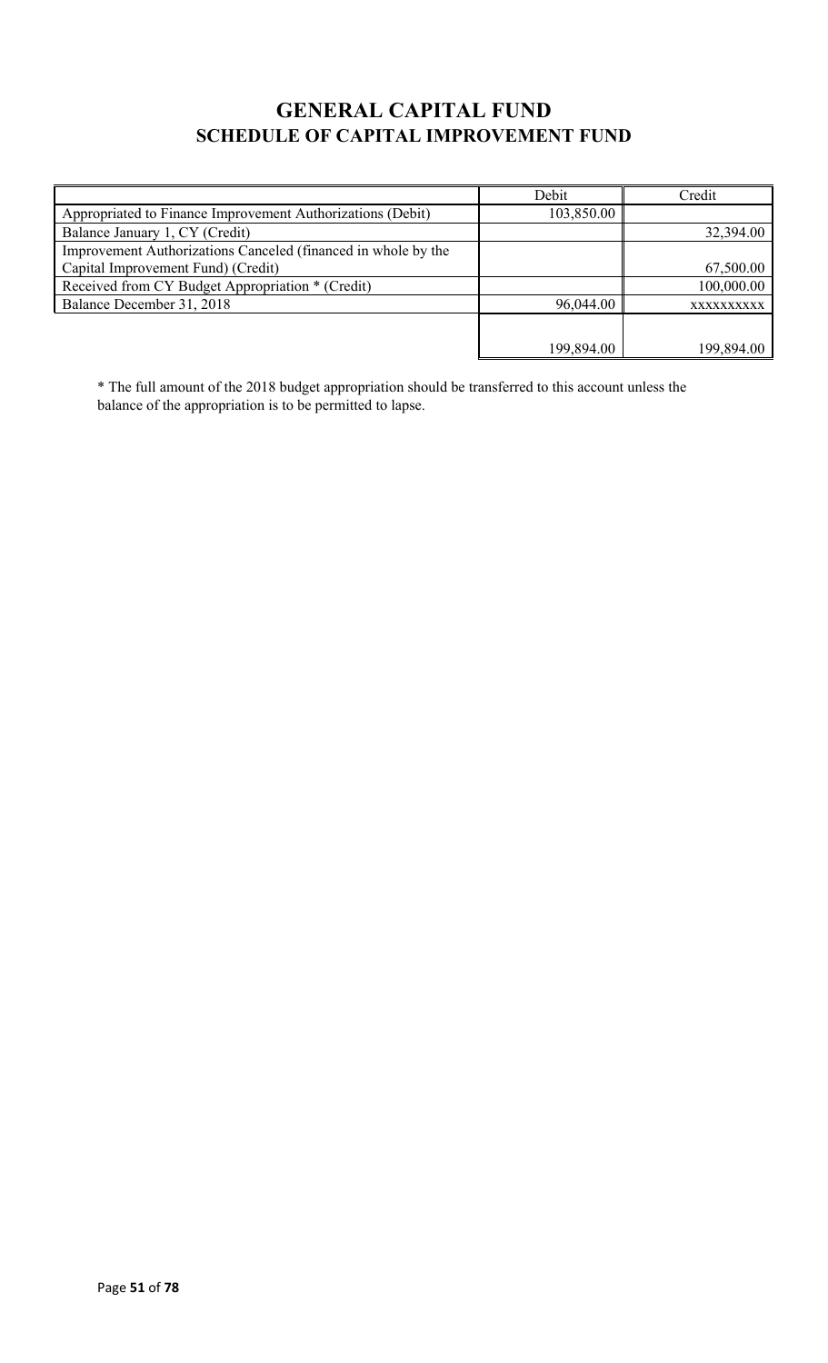# **GENERAL CAPITAL FUND SCHEDULE OF CAPITAL IMPROVEMENT FUND**

|                                                               | Debit      | Credit     |
|---------------------------------------------------------------|------------|------------|
| Appropriated to Finance Improvement Authorizations (Debit)    | 103,850.00 |            |
| Balance January 1, CY (Credit)                                |            | 32,394.00  |
| Improvement Authorizations Canceled (financed in whole by the |            |            |
| Capital Improvement Fund) (Credit)                            |            | 67,500.00  |
| Received from CY Budget Appropriation * (Credit)              |            | 100,000.00 |
| Balance December 31, 2018                                     | 96,044.00  | XXXXXXXXXX |
|                                                               |            |            |
|                                                               | 199,894.00 | 199,894.00 |

\* The full amount of the 2018 budget appropriation should be transferred to this account unless the balance of the appropriation is to be permitted to lapse.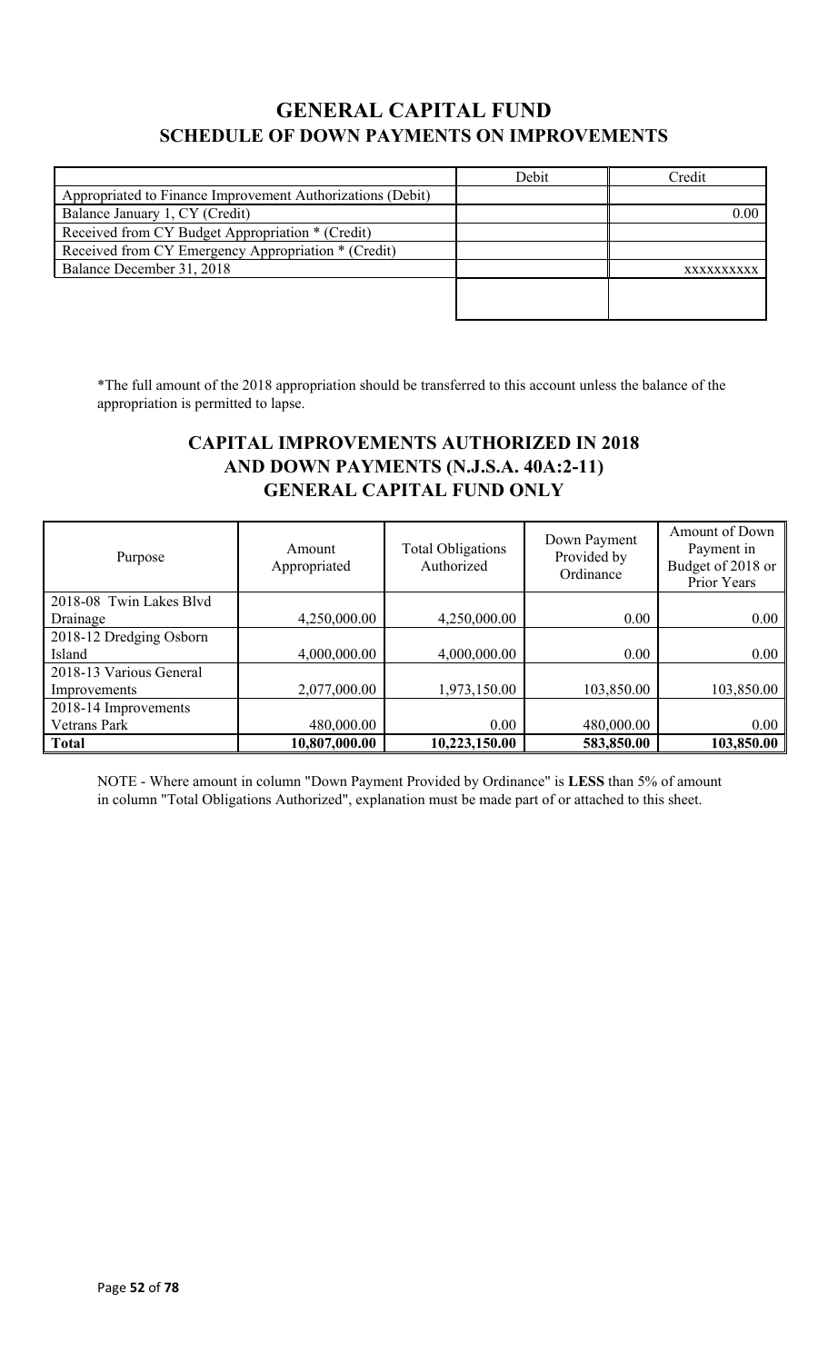# **GENERAL CAPITAL FUND SCHEDULE OF DOWN PAYMENTS ON IMPROVEMENTS**

|                                                            | Debit | Credit     |
|------------------------------------------------------------|-------|------------|
| Appropriated to Finance Improvement Authorizations (Debit) |       |            |
| Balance January 1, CY (Credit)                             |       | 0.00       |
| Received from CY Budget Appropriation * (Credit)           |       |            |
| Received from CY Emergency Appropriation * (Credit)        |       |            |
| Balance December 31, 2018                                  |       | XXXXXXXXXX |
|                                                            |       |            |
|                                                            |       |            |

\*The full amount of the 2018 appropriation should be transferred to this account unless the balance of the appropriation is permitted to lapse.

# **CAPITAL IMPROVEMENTS AUTHORIZED IN 2018 AND DOWN PAYMENTS (N.J.S.A. 40A:2-11) GENERAL CAPITAL FUND ONLY**

| Purpose                 | Amount<br>Appropriated | <b>Total Obligations</b><br>Authorized | Down Payment<br>Provided by<br>Ordinance | Amount of Down<br>Payment in<br>Budget of 2018 or<br>Prior Years |
|-------------------------|------------------------|----------------------------------------|------------------------------------------|------------------------------------------------------------------|
| 2018-08 Twin Lakes Blvd |                        |                                        |                                          |                                                                  |
| Drainage                | 4,250,000.00           | 4,250,000.00                           | 0.00                                     | 0.00                                                             |
| 2018-12 Dredging Osborn |                        |                                        |                                          |                                                                  |
| Island                  | 4,000,000.00           | 4,000,000.00                           | 0.00                                     | 0.00                                                             |
| 2018-13 Various General |                        |                                        |                                          |                                                                  |
| Improvements            | 2,077,000.00           | 1,973,150.00                           | 103,850.00                               | 103,850.00                                                       |
| 2018-14 Improvements    |                        |                                        |                                          |                                                                  |
| Vetrans Park            | 480,000.00             | 0.00                                   | 480,000.00                               | 0.00                                                             |
| <b>Total</b>            | 10,807,000.00          | 10,223,150.00                          | 583,850.00                               | 103,850.00                                                       |

NOTE - Where amount in column "Down Payment Provided by Ordinance" is **LESS** than 5% of amount in column "Total Obligations Authorized", explanation must be made part of or attached to this sheet.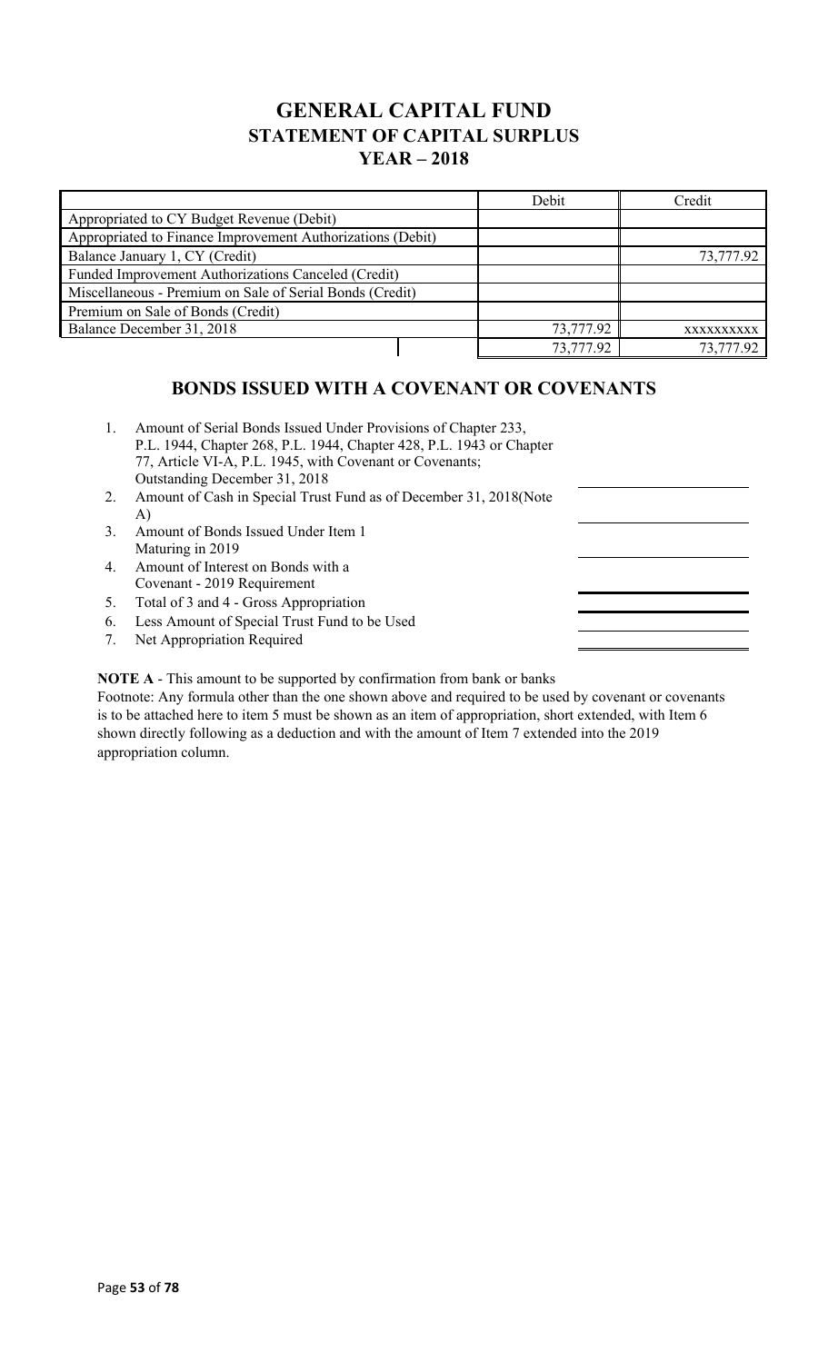# **GENERAL CAPITAL FUND STATEMENT OF CAPITAL SURPLUS YEAR – 2018**

|                                                            |           | Debit      | Credit    |
|------------------------------------------------------------|-----------|------------|-----------|
| Appropriated to CY Budget Revenue (Debit)                  |           |            |           |
| Appropriated to Finance Improvement Authorizations (Debit) |           |            |           |
| Balance January 1, CY (Credit)                             |           |            | 73,777.92 |
| Funded Improvement Authorizations Canceled (Credit)        |           |            |           |
| Miscellaneous - Premium on Sale of Serial Bonds (Credit)   |           |            |           |
| Premium on Sale of Bonds (Credit)                          |           |            |           |
| Balance December 31, 2018                                  | 73,777.92 | XXXXXXXXXX |           |
|                                                            |           | 73,777.92  | 73,777.92 |

### **BONDS ISSUED WITH A COVENANT OR COVENANTS**

- 1. Amount of Serial Bonds Issued Under Provisions of Chapter 233, P.L. 1944, Chapter 268, P.L. 1944, Chapter 428, P.L. 1943 or Chapter 77, Article VI-A, P.L. 1945, with Covenant or Covenants; Outstanding December 31, 2018
- 2. Amount of Cash in Special Trust Fund as of December 31, 2018(Note A)
- 3. Amount of Bonds Issued Under Item 1 Maturing in 2019
- 4. Amount of Interest on Bonds with a Covenant - 2019 Requirement
- 5. Total of 3 and 4 Gross Appropriation
- 6. Less Amount of Special Trust Fund to be Used
- 7. Net Appropriation Required

**NOTE A** - This amount to be supported by confirmation from bank or banks

Footnote: Any formula other than the one shown above and required to be used by covenant or covenants is to be attached here to item 5 must be shown as an item of appropriation, short extended, with Item 6 shown directly following as a deduction and with the amount of Item 7 extended into the 2019 appropriation column.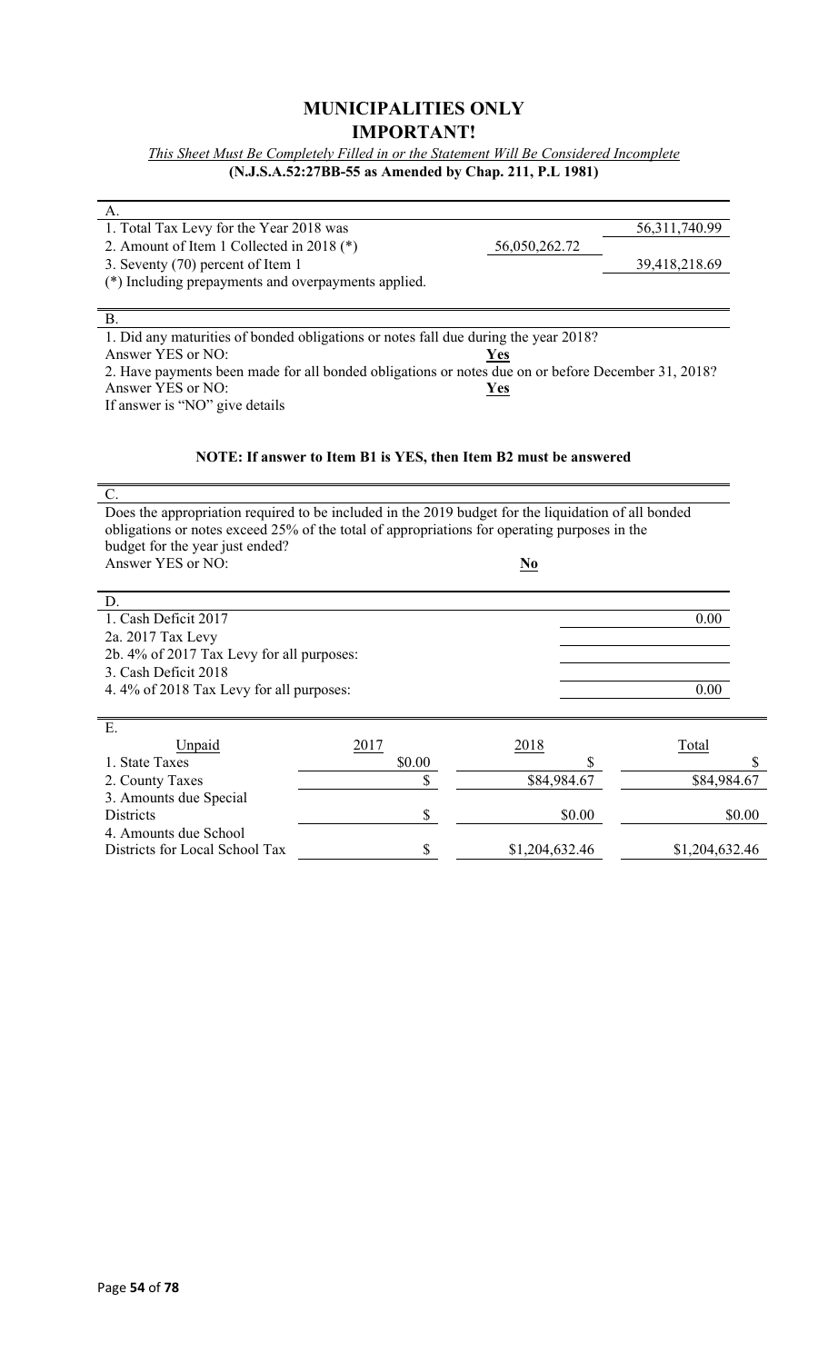### **MUNICIPALITIES ONLY IMPORTANT!**

*This Sheet Must Be Completely Filled in or the Statement Will Be Considered Incomplete* **(N.J.S.A.52:27BB-55 as Amended by Chap. 211, P.L 1981)**

| A.                                                                                                  |                                                                  |                        |                  |
|-----------------------------------------------------------------------------------------------------|------------------------------------------------------------------|------------------------|------------------|
| 1. Total Tax Levy for the Year 2018 was                                                             |                                                                  |                        | 56, 311, 740. 99 |
| 2. Amount of Item 1 Collected in 2018 (*)                                                           |                                                                  | 56,050,262.72          |                  |
| 3. Seventy (70) percent of Item 1                                                                   |                                                                  |                        | 39,418,218.69    |
| (*) Including prepayments and overpayments applied.                                                 |                                                                  |                        |                  |
|                                                                                                     |                                                                  |                        |                  |
| В.                                                                                                  |                                                                  |                        |                  |
| 1. Did any maturities of bonded obligations or notes fall due during the year 2018?                 |                                                                  |                        |                  |
| Answer YES or NO:                                                                                   |                                                                  | Yes                    |                  |
| 2. Have payments been made for all bonded obligations or notes due on or before December 31, 2018?  |                                                                  |                        |                  |
| Answer YES or NO:                                                                                   |                                                                  | Yes                    |                  |
| If answer is "NO" give details                                                                      |                                                                  |                        |                  |
|                                                                                                     |                                                                  |                        |                  |
|                                                                                                     |                                                                  |                        |                  |
|                                                                                                     | NOTE: If answer to Item B1 is YES, then Item B2 must be answered |                        |                  |
|                                                                                                     |                                                                  |                        |                  |
| $C_{\cdot}$                                                                                         |                                                                  |                        |                  |
| Does the appropriation required to be included in the 2019 budget for the liquidation of all bonded |                                                                  |                        |                  |
| obligations or notes exceed 25% of the total of appropriations for operating purposes in the        |                                                                  |                        |                  |
| budget for the year just ended?                                                                     |                                                                  |                        |                  |
| Answer YES or NO:                                                                                   |                                                                  | $\mathbf{N}\mathbf{0}$ |                  |
| D.                                                                                                  |                                                                  |                        |                  |
| 1. Cash Deficit 2017                                                                                |                                                                  |                        | 0.00             |
| 2a. 2017 Tax Levy                                                                                   |                                                                  |                        |                  |
| 2b. 4% of 2017 Tax Levy for all purposes:                                                           |                                                                  |                        |                  |
| 3. Cash Deficit 2018                                                                                |                                                                  |                        |                  |
| 4.4% of 2018 Tax Levy for all purposes:                                                             |                                                                  |                        | 0.00             |
|                                                                                                     |                                                                  |                        |                  |
| Ε.                                                                                                  |                                                                  |                        |                  |
| Unpaid                                                                                              | 2017                                                             | 2018                   | Total            |
| 1. State Taxes                                                                                      | \$0.00                                                           | S                      |                  |
| 2. County Taxes                                                                                     | \$                                                               | \$84,984.67            | \$84,984.67      |
| 3. Amounts due Special                                                                              |                                                                  |                        |                  |
| Districts                                                                                           | \$                                                               | \$0.00                 | \$0.00           |
| 4. Amounts due School                                                                               |                                                                  |                        |                  |
| Districts for Local School Tax                                                                      | \$                                                               | \$1,204,632.46         | \$1,204,632.46   |
|                                                                                                     |                                                                  |                        |                  |

L,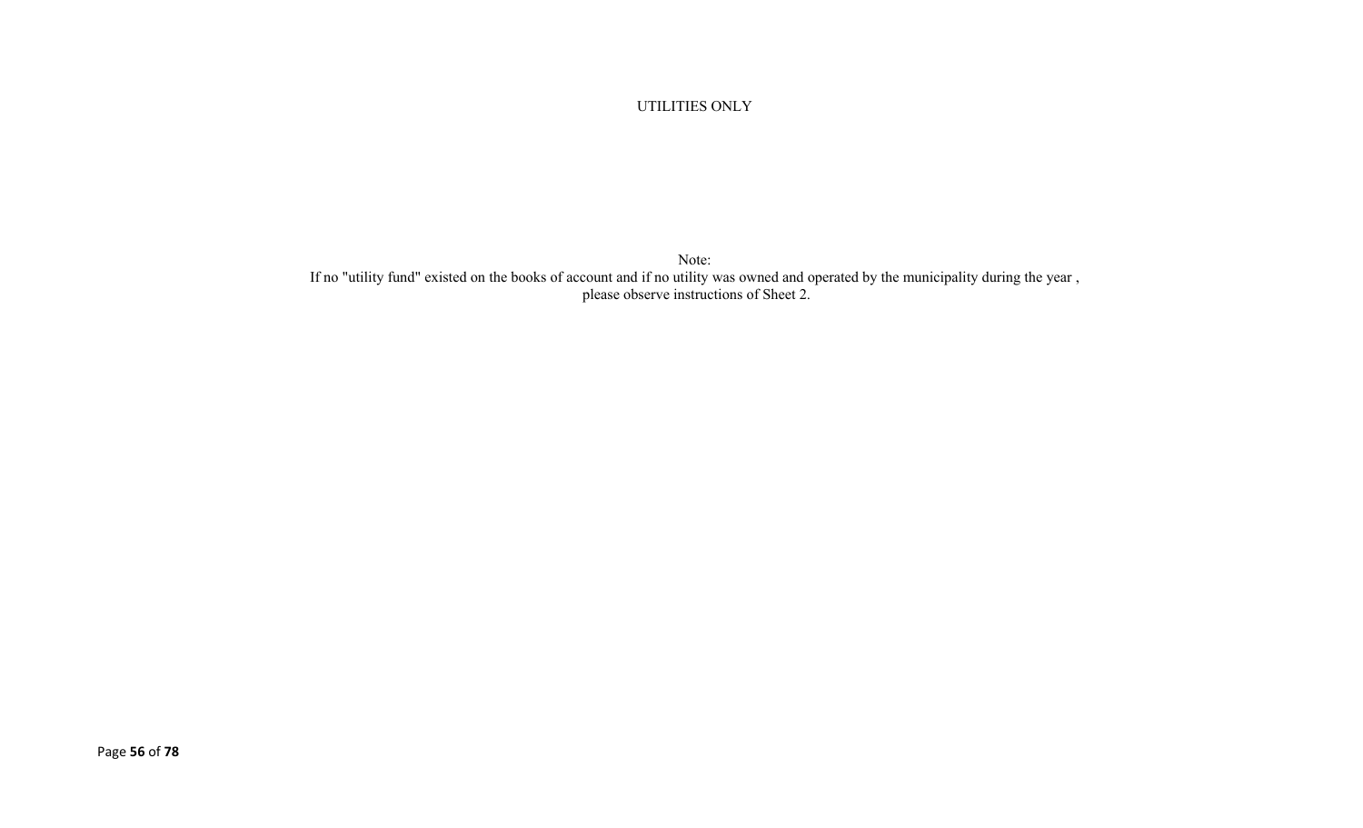#### UTILITIES ONLY

Note: If no "utility fund" existed on the books of account and if no utility was owned and operated by the municipality during the year , please observe instructions of Sheet 2.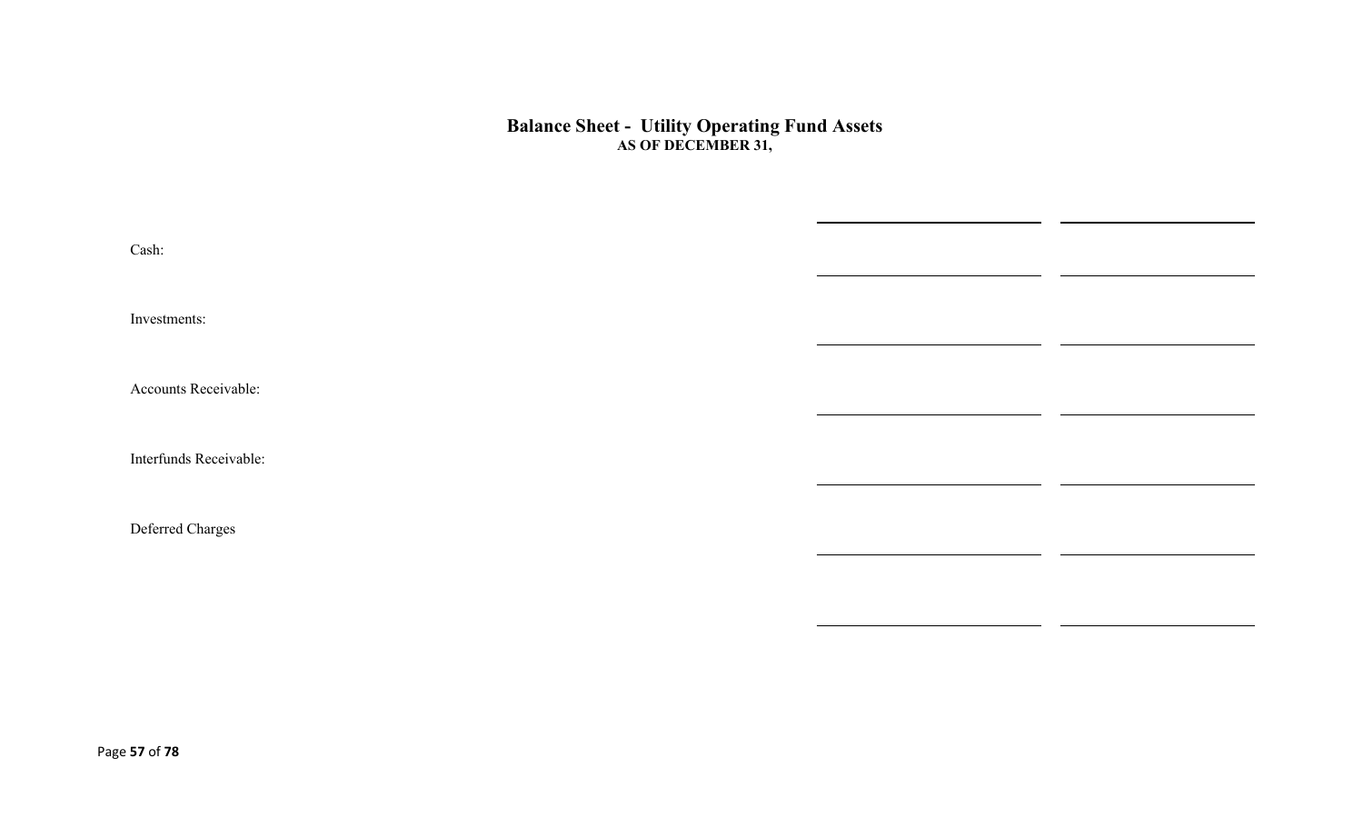#### **Balance Sheet - Utility Operating Fund Assets AS OF DECEMBER 31,**

| Cash:                  |  |
|------------------------|--|
| Investments:           |  |
| Accounts Receivable:   |  |
| Interfunds Receivable: |  |
| Deferred Charges       |  |
|                        |  |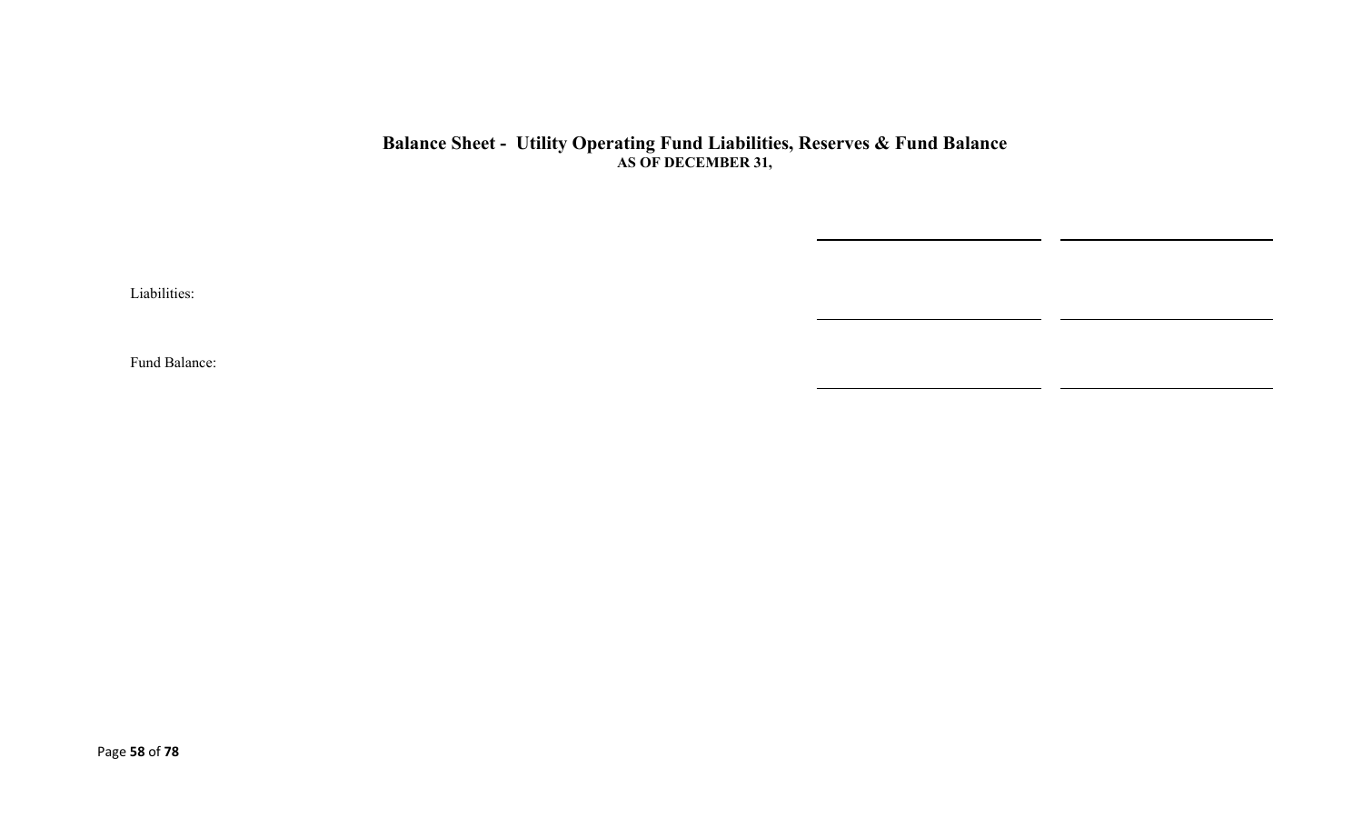#### **Balance Sheet - Utility Operating Fund Liabilities, Reserves & Fund Balance AS OF DECEMBER 31,**

Liabilities:

Fund Balance: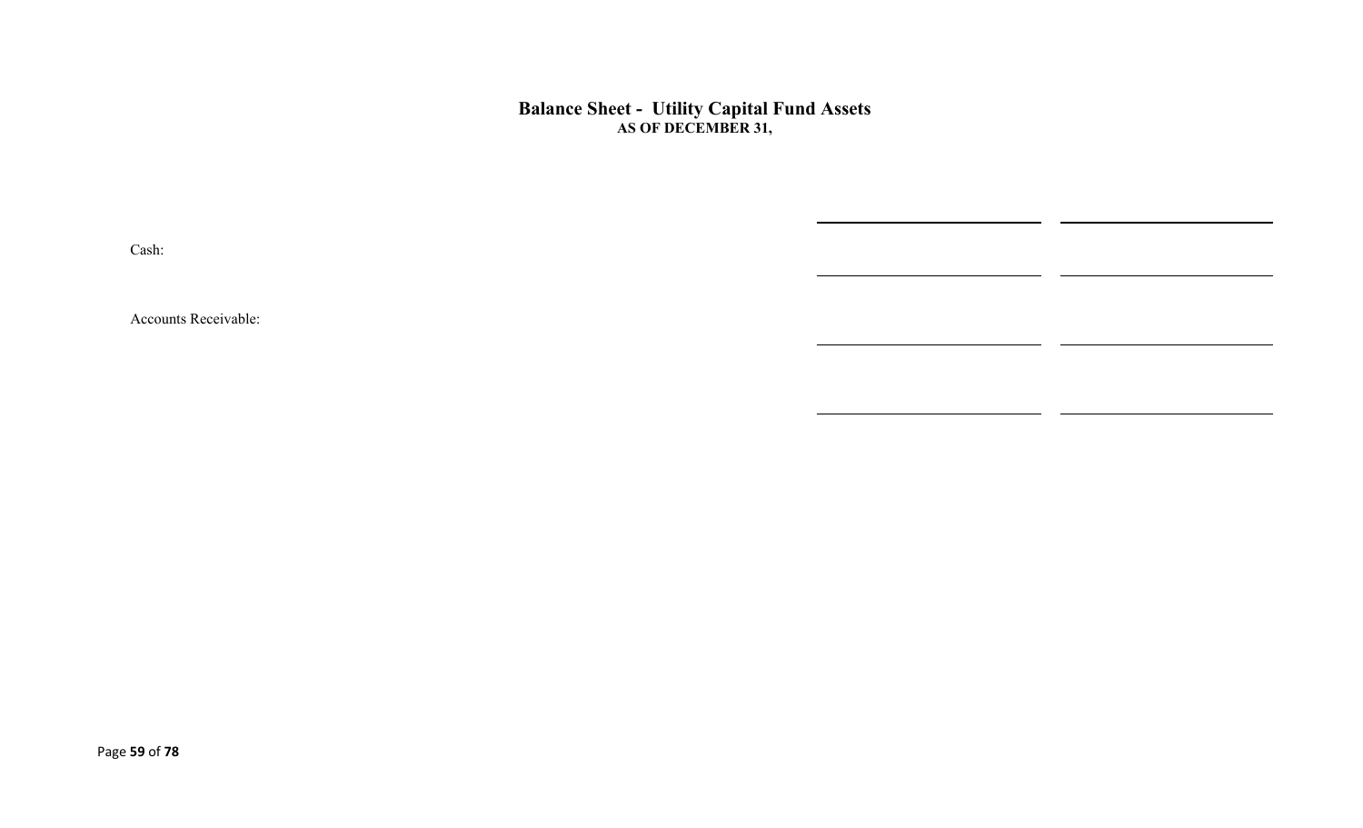#### **Balance Sheet - Utility Capital Fund Assets AS OF DECEMBER 31,**

 $\overline{\phantom{0}}$ 

Cash:

Accounts Receivable: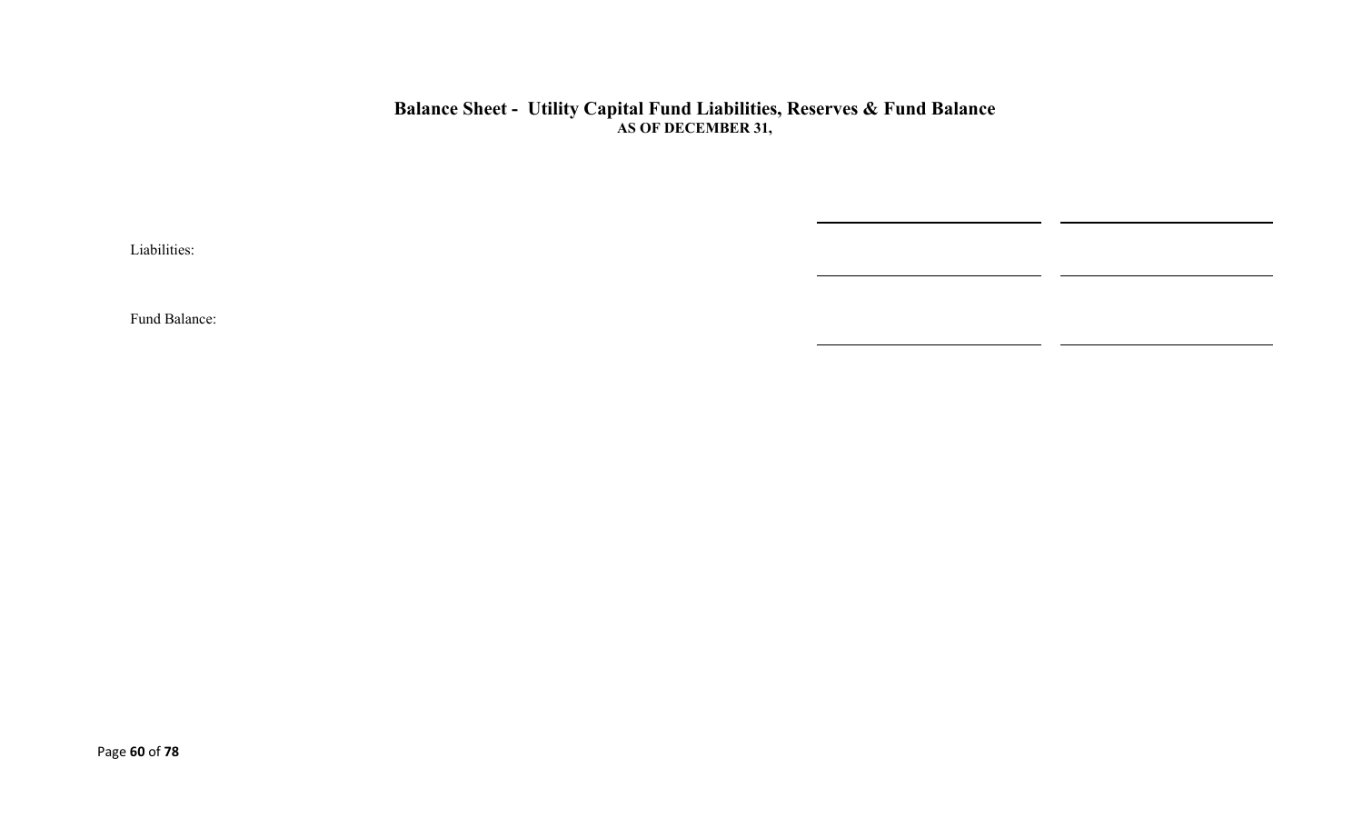### **Balance Sheet - Utility Capital Fund Liabilities, Reserves & Fund Balance AS OF DECEMBER 31,**

 $\overline{\phantom{0}}$ 

Liabilities:

Fund Balance: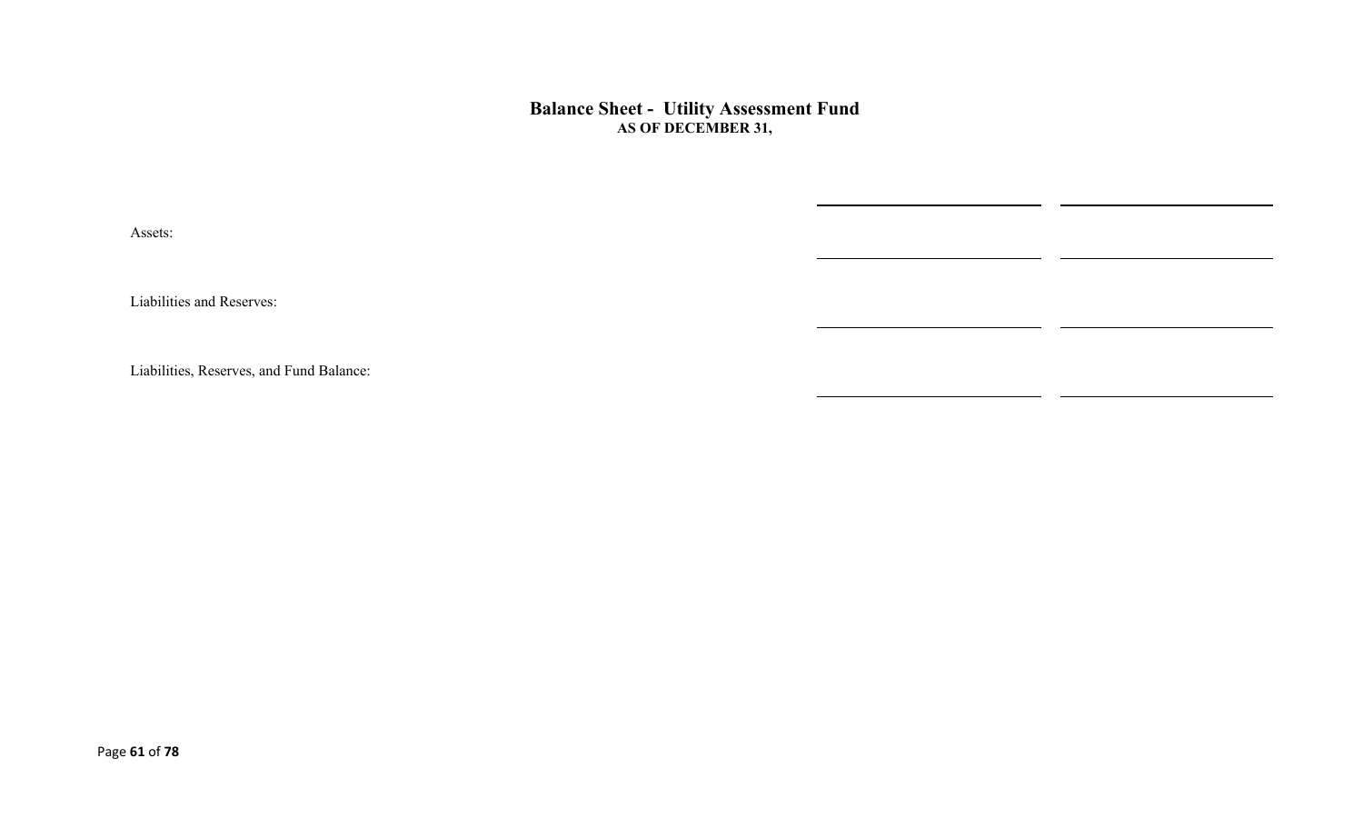**Balance Sheet - Utility Assessment Fund AS OF DECEMBER 31,** 

Assets:

Liabilities and Reserves:

Liabilities, Reserves, and Fund Balance: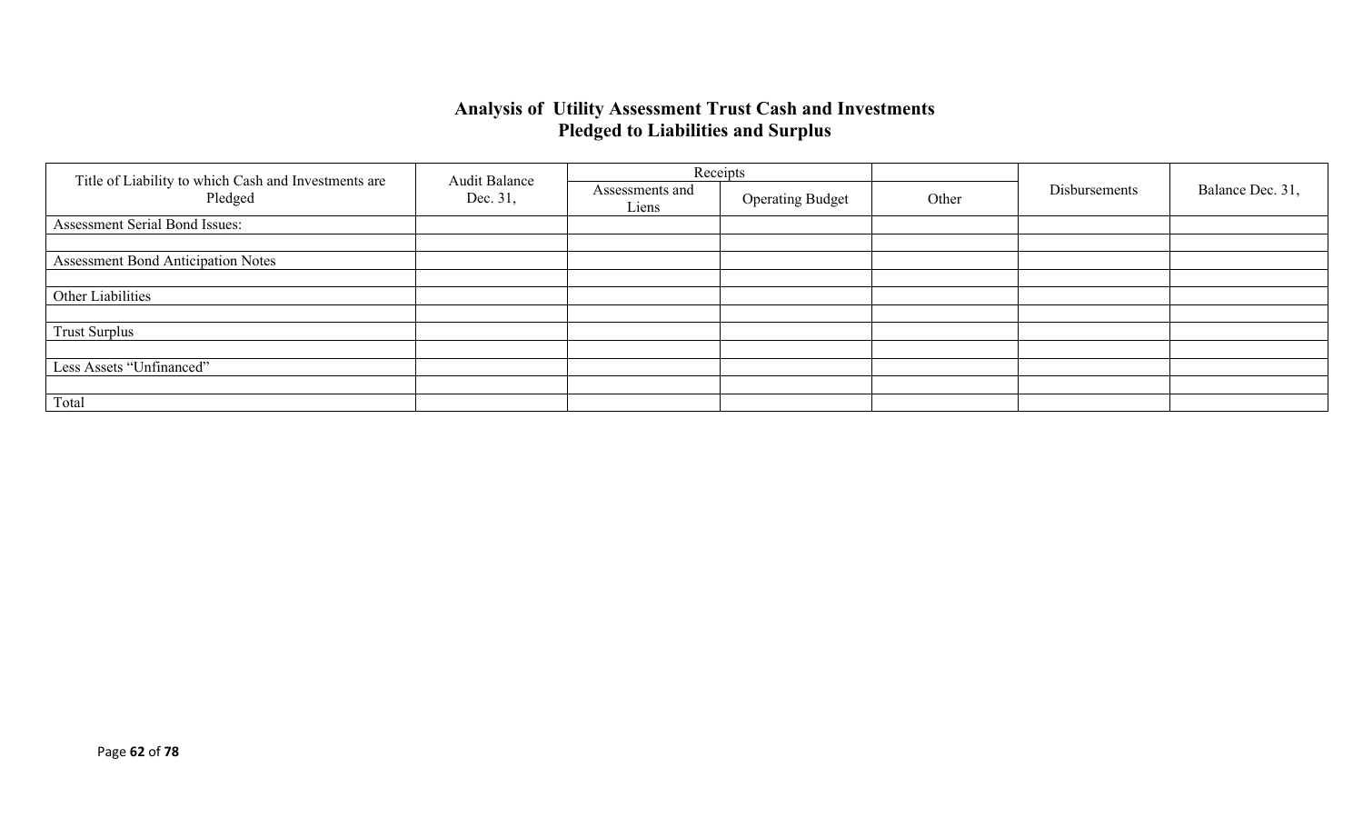### **Analysis of Utility Assessment Trust Cash and Investments Pledged to Liabilities and Surplus**

|                                                                             | <b>Audit Balance</b>     |                         | Receipts |               |                  |  |
|-----------------------------------------------------------------------------|--------------------------|-------------------------|----------|---------------|------------------|--|
| Title of Liability to which Cash and Investments are<br>Pledged<br>Dec. 31, | Assessments and<br>Liens | <b>Operating Budget</b> | Other    | Disbursements | Balance Dec. 31, |  |
| Assessment Serial Bond Issues:                                              |                          |                         |          |               |                  |  |
|                                                                             |                          |                         |          |               |                  |  |
| <b>Assessment Bond Anticipation Notes</b>                                   |                          |                         |          |               |                  |  |
|                                                                             |                          |                         |          |               |                  |  |
| Other Liabilities                                                           |                          |                         |          |               |                  |  |
|                                                                             |                          |                         |          |               |                  |  |
| <b>Trust Surplus</b>                                                        |                          |                         |          |               |                  |  |
|                                                                             |                          |                         |          |               |                  |  |
| Less Assets "Unfinanced"                                                    |                          |                         |          |               |                  |  |
|                                                                             |                          |                         |          |               |                  |  |
| Total                                                                       |                          |                         |          |               |                  |  |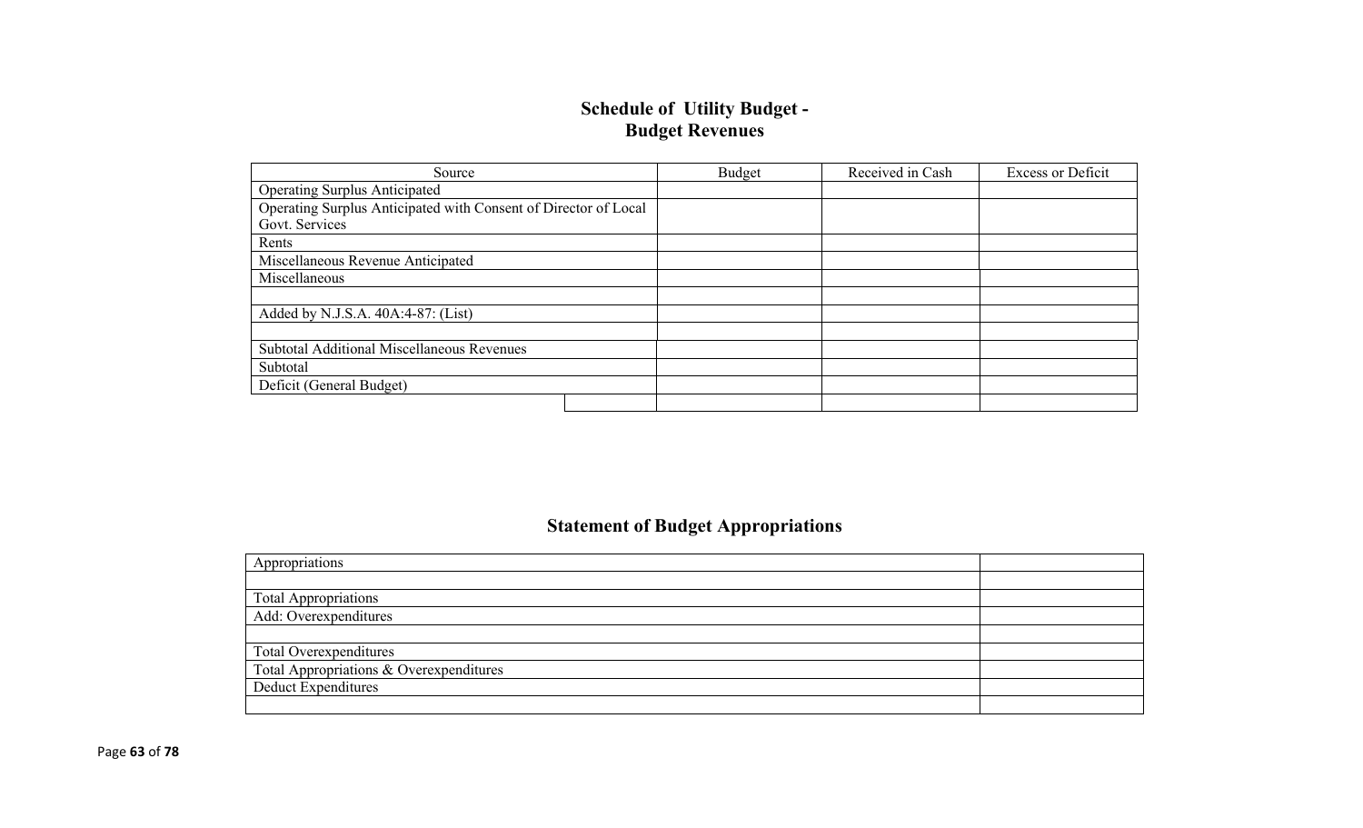### **Schedule of Utility Budget - Budget Revenues**

| Source                                                          | Budget | Received in Cash | <b>Excess or Deficit</b> |
|-----------------------------------------------------------------|--------|------------------|--------------------------|
| <b>Operating Surplus Anticipated</b>                            |        |                  |                          |
| Operating Surplus Anticipated with Consent of Director of Local |        |                  |                          |
| Govt. Services                                                  |        |                  |                          |
| Rents                                                           |        |                  |                          |
| Miscellaneous Revenue Anticipated                               |        |                  |                          |
| Miscellaneous                                                   |        |                  |                          |
|                                                                 |        |                  |                          |
| Added by N.J.S.A. 40A:4-87: (List)                              |        |                  |                          |
|                                                                 |        |                  |                          |
| <b>Subtotal Additional Miscellaneous Revenues</b>               |        |                  |                          |
| Subtotal                                                        |        |                  |                          |
| Deficit (General Budget)                                        |        |                  |                          |
|                                                                 |        |                  |                          |

# **Statement of Budget Appropriations**

| Appropriations                          |  |
|-----------------------------------------|--|
|                                         |  |
| Total Appropriations                    |  |
| Add: Overexpenditures                   |  |
|                                         |  |
| Total Overexpenditures                  |  |
| Total Appropriations & Overexpenditures |  |
| Deduct Expenditures                     |  |
|                                         |  |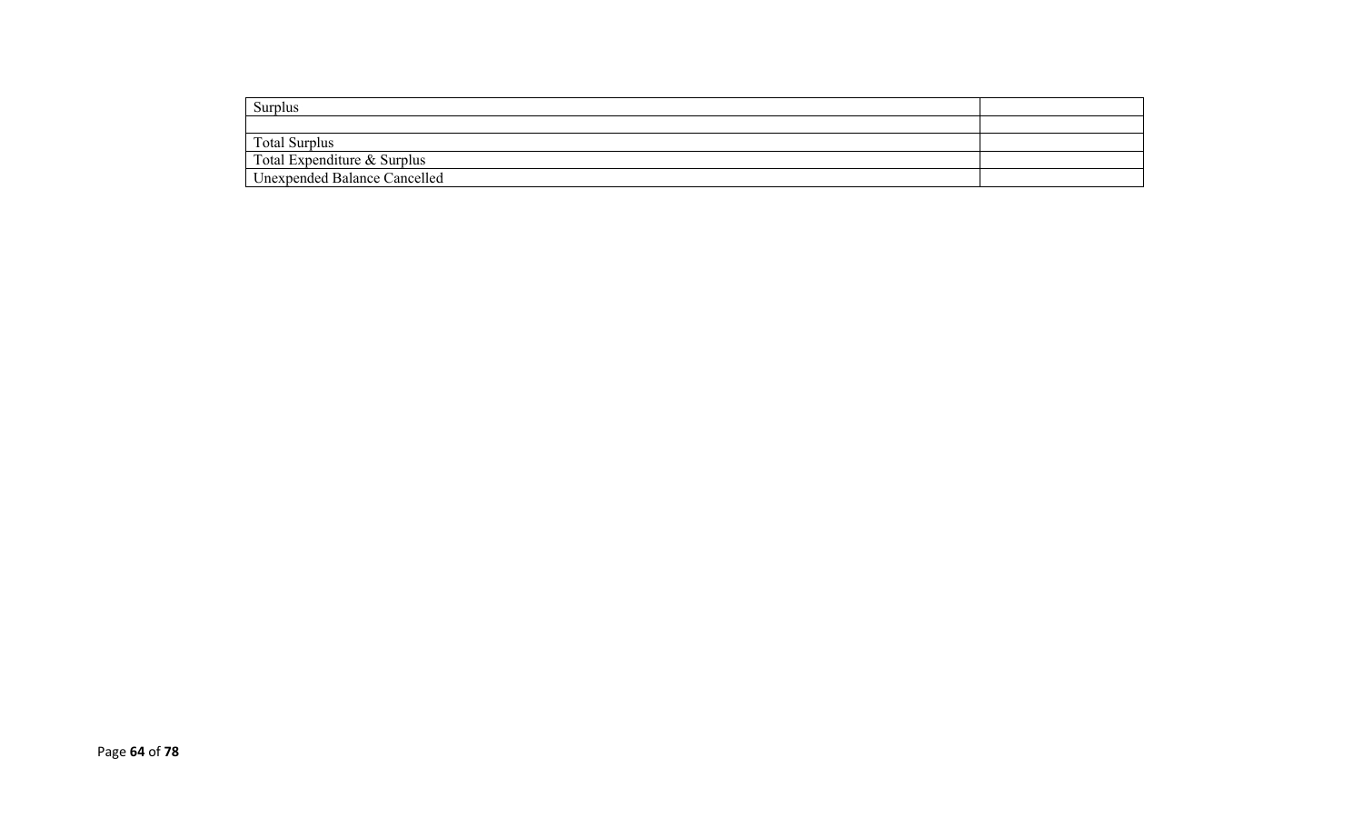| Surplus                             |  |
|-------------------------------------|--|
|                                     |  |
| <b>Total Surplus</b>                |  |
| Total Expenditure & Surplus         |  |
| <b>Unexpended Balance Cancelled</b> |  |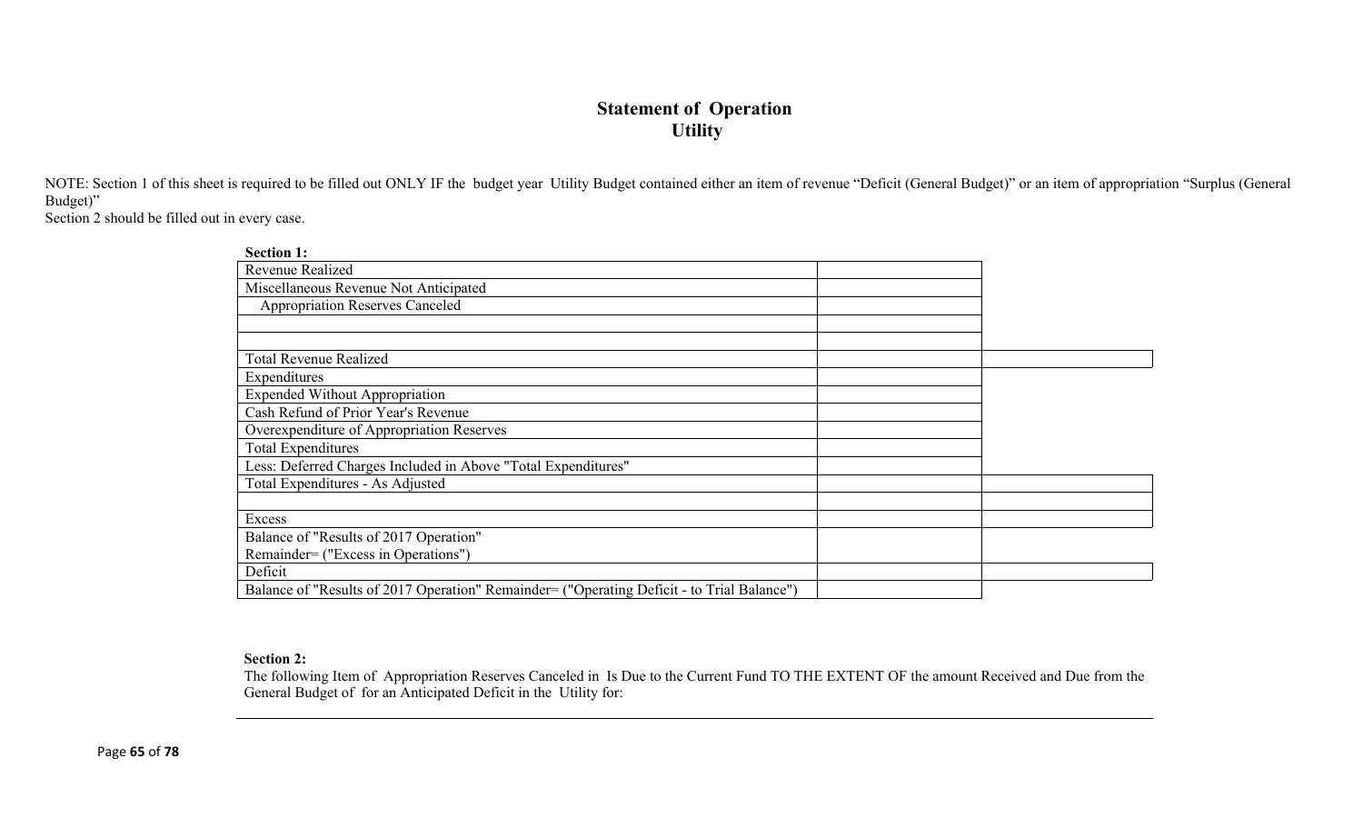### **Statement of Operation Utility**

NOTE: Section 1 of this sheet is required to be filled out ONLY IF the budget year Utility Budget contained either an item of revenue "Deficit (General Budget)" or an item of appropriation "Surplus (General Budget)"

Section 2 should be filled out in every case.

| <b>Section 1:</b>                                                                          |  |
|--------------------------------------------------------------------------------------------|--|
| Revenue Realized                                                                           |  |
| Miscellaneous Revenue Not Anticipated                                                      |  |
| <b>Appropriation Reserves Canceled</b>                                                     |  |
|                                                                                            |  |
|                                                                                            |  |
| <b>Total Revenue Realized</b>                                                              |  |
| Expenditures                                                                               |  |
| <b>Expended Without Appropriation</b>                                                      |  |
| Cash Refund of Prior Year's Revenue                                                        |  |
| Overexpenditure of Appropriation Reserves                                                  |  |
| <b>Total Expenditures</b>                                                                  |  |
| Less: Deferred Charges Included in Above "Total Expenditures"                              |  |
| Total Expenditures - As Adjusted                                                           |  |
|                                                                                            |  |
| Excess                                                                                     |  |
| Balance of "Results of 2017 Operation"                                                     |  |
| Remainder= ("Excess in Operations")                                                        |  |
| Deficit                                                                                    |  |
| Balance of "Results of 2017 Operation" Remainder= ("Operating Deficit - to Trial Balance") |  |

#### **Section 2:**

The following Item of Appropriation Reserves Canceled in Is Due to the Current Fund TO THE EXTENT OF the amount Received and Due from the General Budget of for an Anticipated Deficit in the Utility for: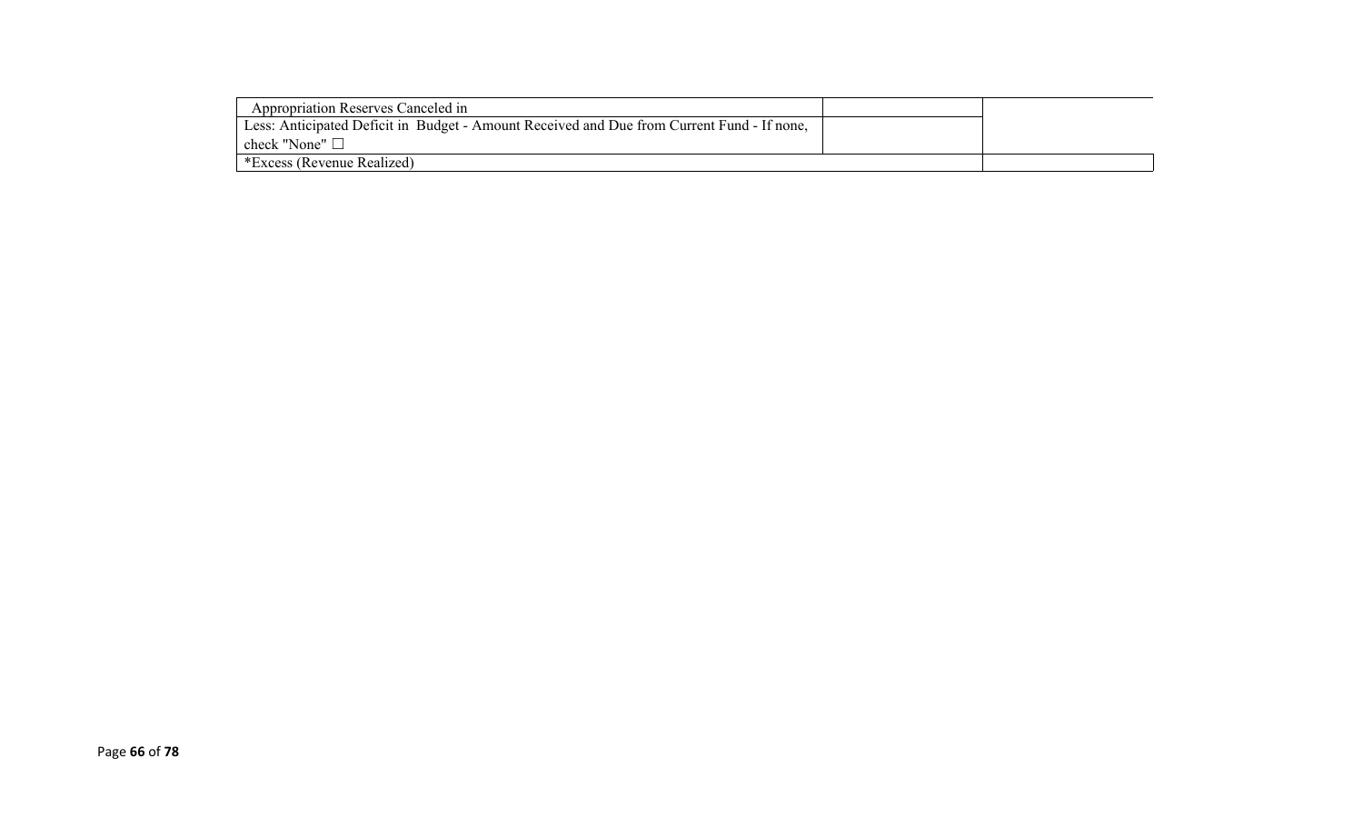| Appropriation Reserves Canceled in                                                         |  |
|--------------------------------------------------------------------------------------------|--|
| Less: Anticipated Deficit in Budget - Amount Received and Due from Current Fund - If none, |  |
| check "None" $\Box$                                                                        |  |
| *Excess (Revenue Realized)                                                                 |  |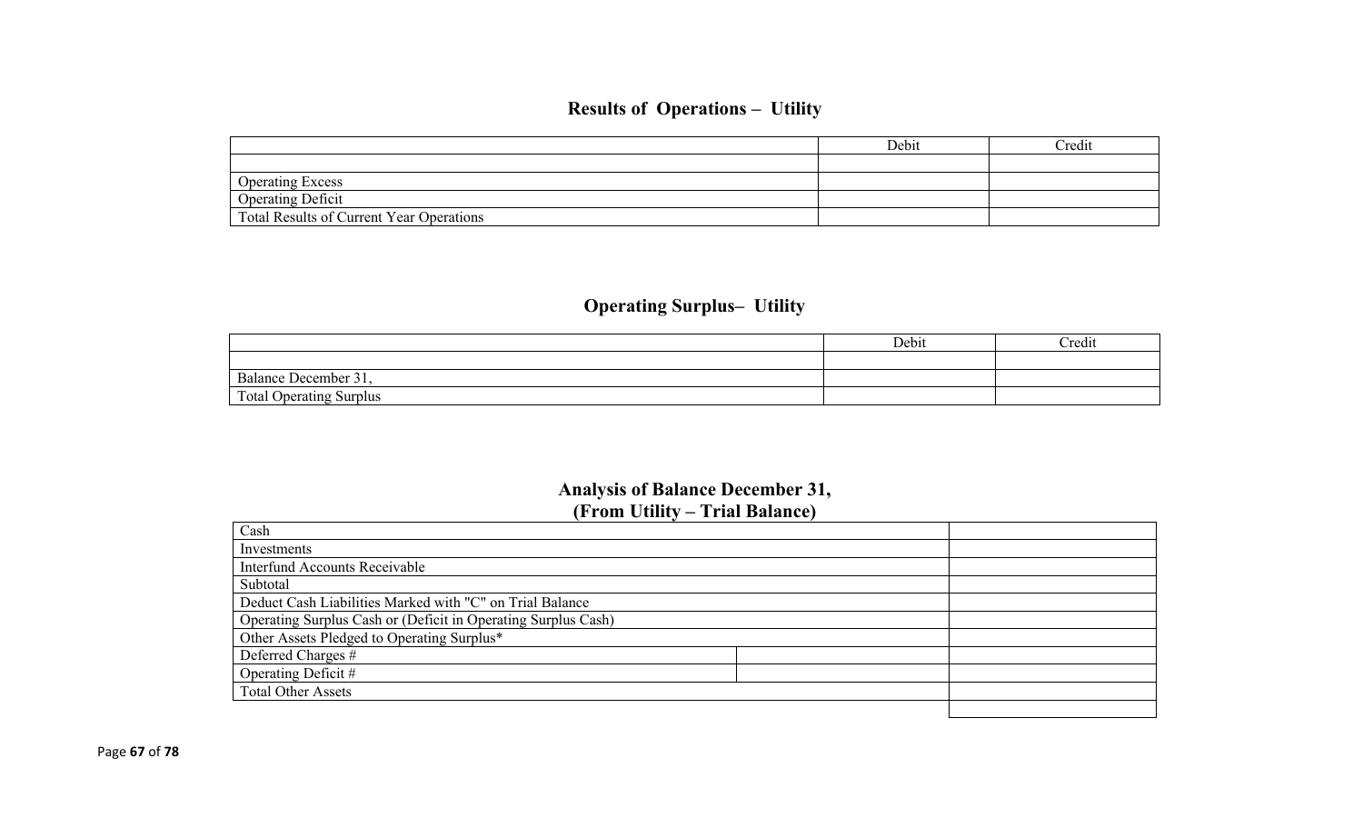# **Results of Operations – Utility**

|                                          | Debit | Credit |
|------------------------------------------|-------|--------|
|                                          |       |        |
| <b>Operating Excess</b>                  |       |        |
| <b>Operating Deficit</b>                 |       |        |
| Total Results of Current Year Operations |       |        |

# **Operating Surplus– Utility**

|                                | Debit | Credit |
|--------------------------------|-------|--------|
|                                |       |        |
| Balance December 31,           |       |        |
| <b>Total Operating Surplus</b> |       |        |

# **Analysis of Balance December 31, (From Utility – Trial Balance)**

| Cash                                                          |  |
|---------------------------------------------------------------|--|
| Investments                                                   |  |
| <b>Interfund Accounts Receivable</b>                          |  |
| Subtotal                                                      |  |
| Deduct Cash Liabilities Marked with "C" on Trial Balance      |  |
| Operating Surplus Cash or (Deficit in Operating Surplus Cash) |  |
| Other Assets Pledged to Operating Surplus*                    |  |
| Deferred Charges #                                            |  |
| Operating Deficit #                                           |  |
| <b>Total Other Assets</b>                                     |  |
|                                                               |  |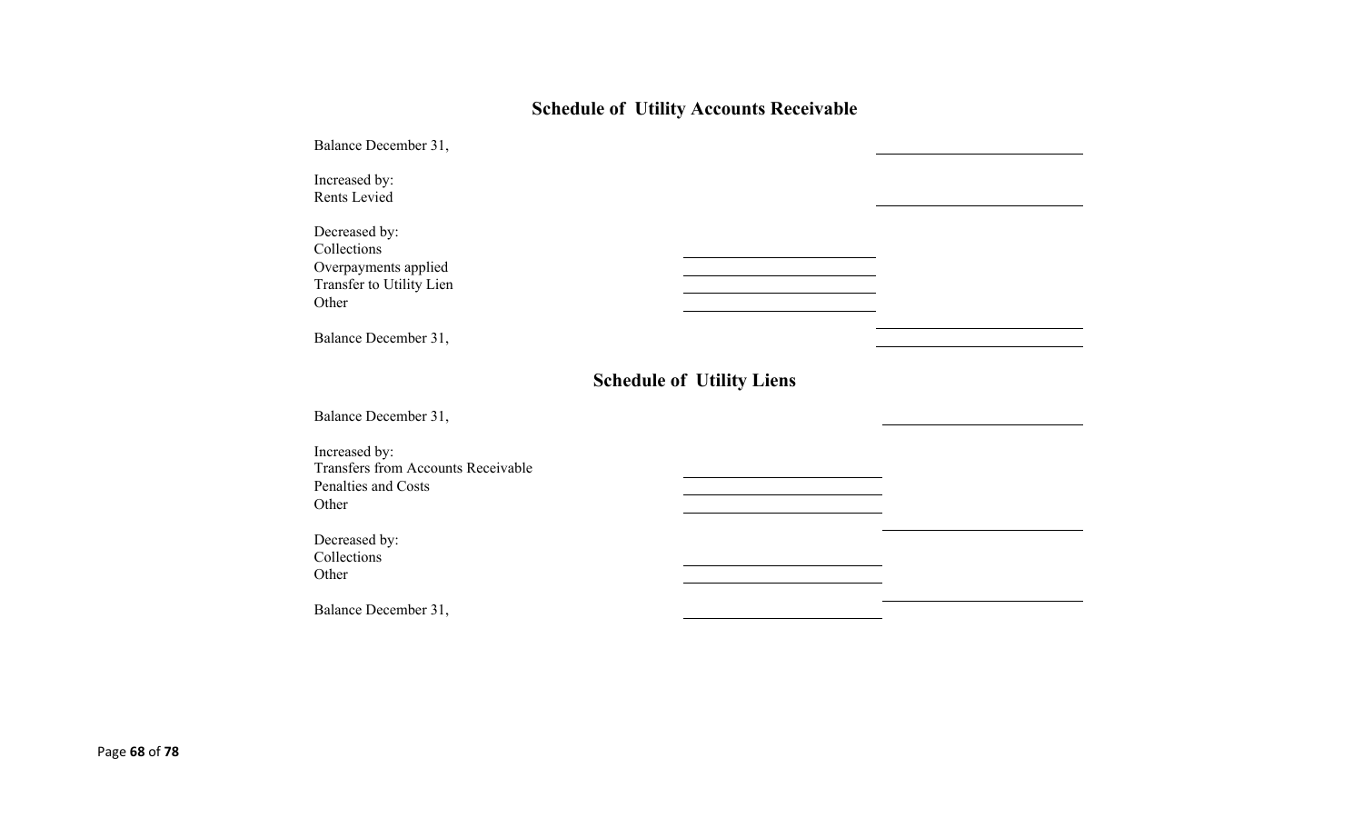# **Schedule of Utility Accounts Receivable**

| Balance December 31,                                                                       |                                  |  |
|--------------------------------------------------------------------------------------------|----------------------------------|--|
| Increased by:<br>Rents Levied                                                              |                                  |  |
| Decreased by:<br>Collections<br>Overpayments applied<br>Transfer to Utility Lien<br>Other  |                                  |  |
| Balance December 31,                                                                       |                                  |  |
|                                                                                            | <b>Schedule of Utility Liens</b> |  |
| Balance December 31,                                                                       |                                  |  |
| Increased by:<br><b>Transfers from Accounts Receivable</b><br>Penalties and Costs<br>Other |                                  |  |
| Decreased by:<br>Collections<br>Other                                                      |                                  |  |
| Balance December 31,                                                                       |                                  |  |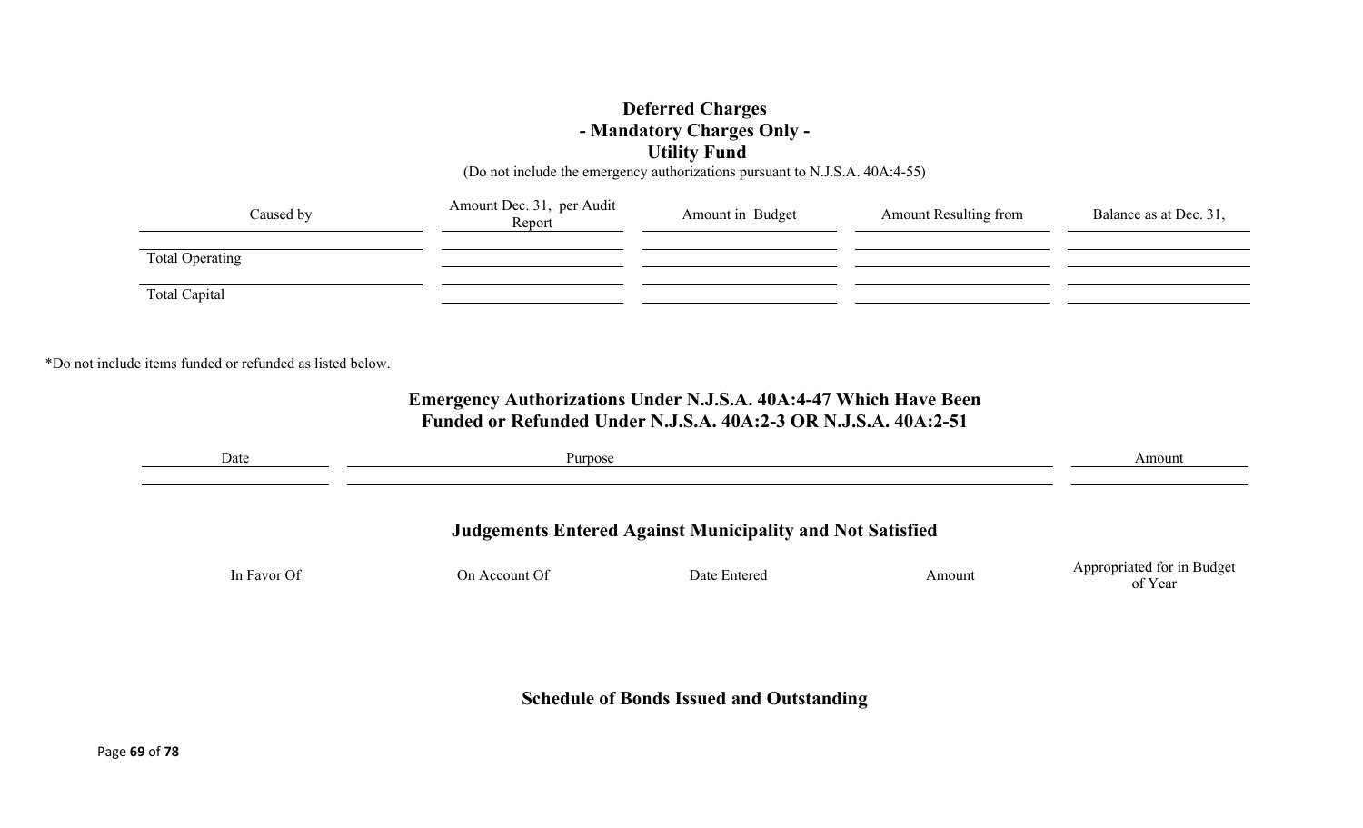### **Deferred Charges - Mandatory Charges Only - Utility Fund**

(Do not include the emergency authorizations pursuant to N.J.S.A. 40A:4-55)

| Caused by              | Amount Dec. 31, per Audit<br>Report | Amount in Budget | <b>Amount Resulting from</b> | Balance as at Dec. 31, |
|------------------------|-------------------------------------|------------------|------------------------------|------------------------|
| <b>Total Operating</b> |                                     |                  |                              |                        |
| Total Capital          |                                     |                  |                              |                        |

\*Do not include items funded or refunded as listed below.

# **Emergency Authorizations Under N.J.S.A. 40A:4-47 Which Have Been Funded or Refunded Under N.J.S.A. 40A:2-3 OR N.J.S.A. 40A:2-51**

| Date        | Purpose       | Amount                                                           |        |                                       |
|-------------|---------------|------------------------------------------------------------------|--------|---------------------------------------|
|             |               | <b>Judgements Entered Against Municipality and Not Satisfied</b> |        |                                       |
| In Favor Of | On Account Of | Date Entered                                                     | Amount | Appropriated for in Budget<br>of Year |
|             |               |                                                                  |        |                                       |

**Schedule of Bonds Issued and Outstanding**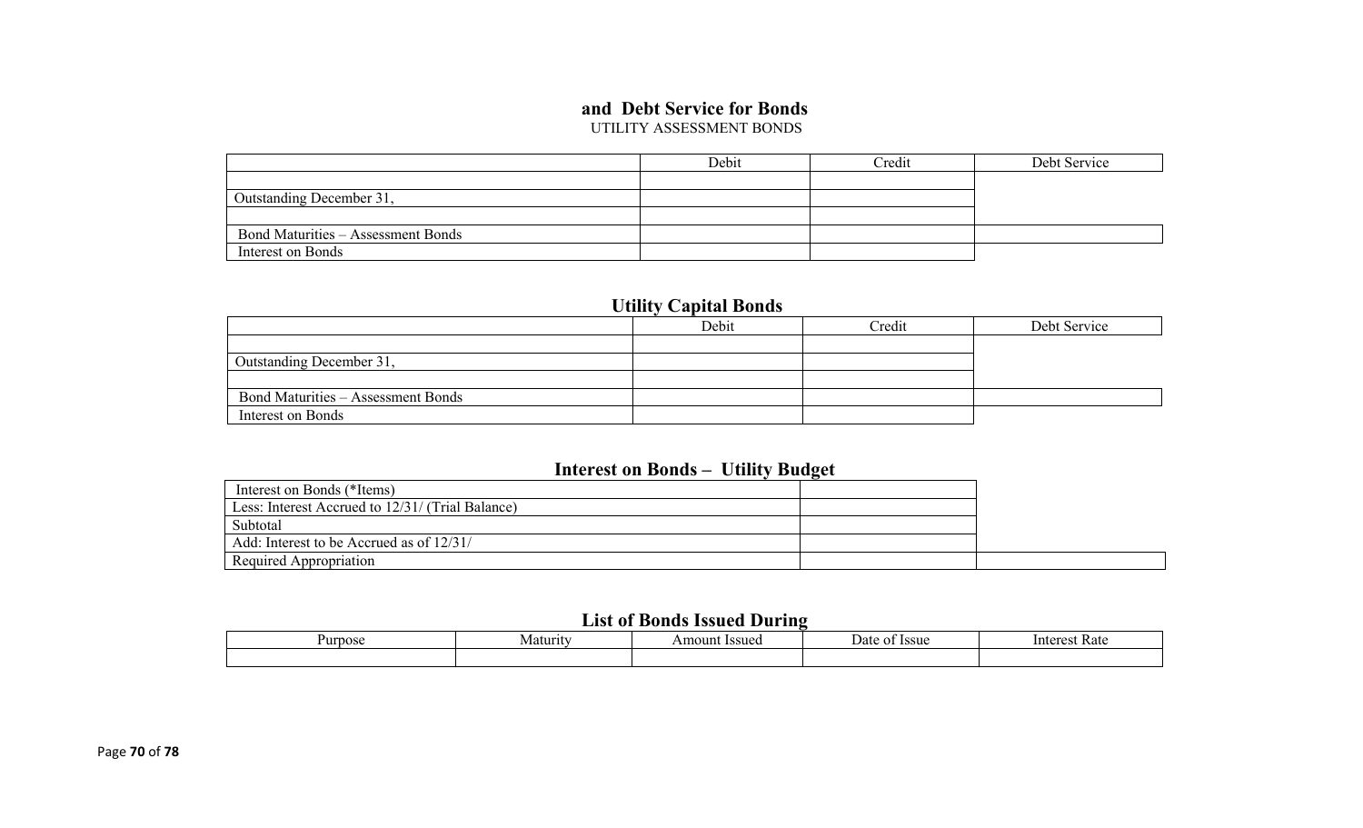### **and Debt Service for Bonds**

UTILITY ASSESSMENT BONDS

|                                           | Debit | Credit | Debt Service |
|-------------------------------------------|-------|--------|--------------|
|                                           |       |        |              |
| Outstanding December 31,                  |       |        |              |
|                                           |       |        |              |
| <b>Bond Maturities – Assessment Bonds</b> |       |        |              |
| Interest on Bonds                         |       |        |              |

## **Utility Capital Bonds**

|                                           | Debit | Credit | Debt Service |
|-------------------------------------------|-------|--------|--------------|
|                                           |       |        |              |
| Outstanding December 31,                  |       |        |              |
|                                           |       |        |              |
| <b>Bond Maturities – Assessment Bonds</b> |       |        |              |
| Interest on Bonds                         |       |        |              |

### **Interest on Bonds – Utility Budget**

| Interest on Bonds (*Items)                       |  |  |
|--------------------------------------------------|--|--|
| Less: Interest Accrued to 12/31/ (Trial Balance) |  |  |
| Subtotal                                         |  |  |
| Add: Interest to be Accrued as of 12/31/         |  |  |
| Required Appropriation                           |  |  |

## **List of Bonds Issued During**

| <b>Purpose</b><br>Maturity |  | Issued<br>Amount | : Issue<br>Jate<br>$\mathbf{u}$ | Rate<br>Interest |
|----------------------------|--|------------------|---------------------------------|------------------|
|                            |  |                  |                                 |                  |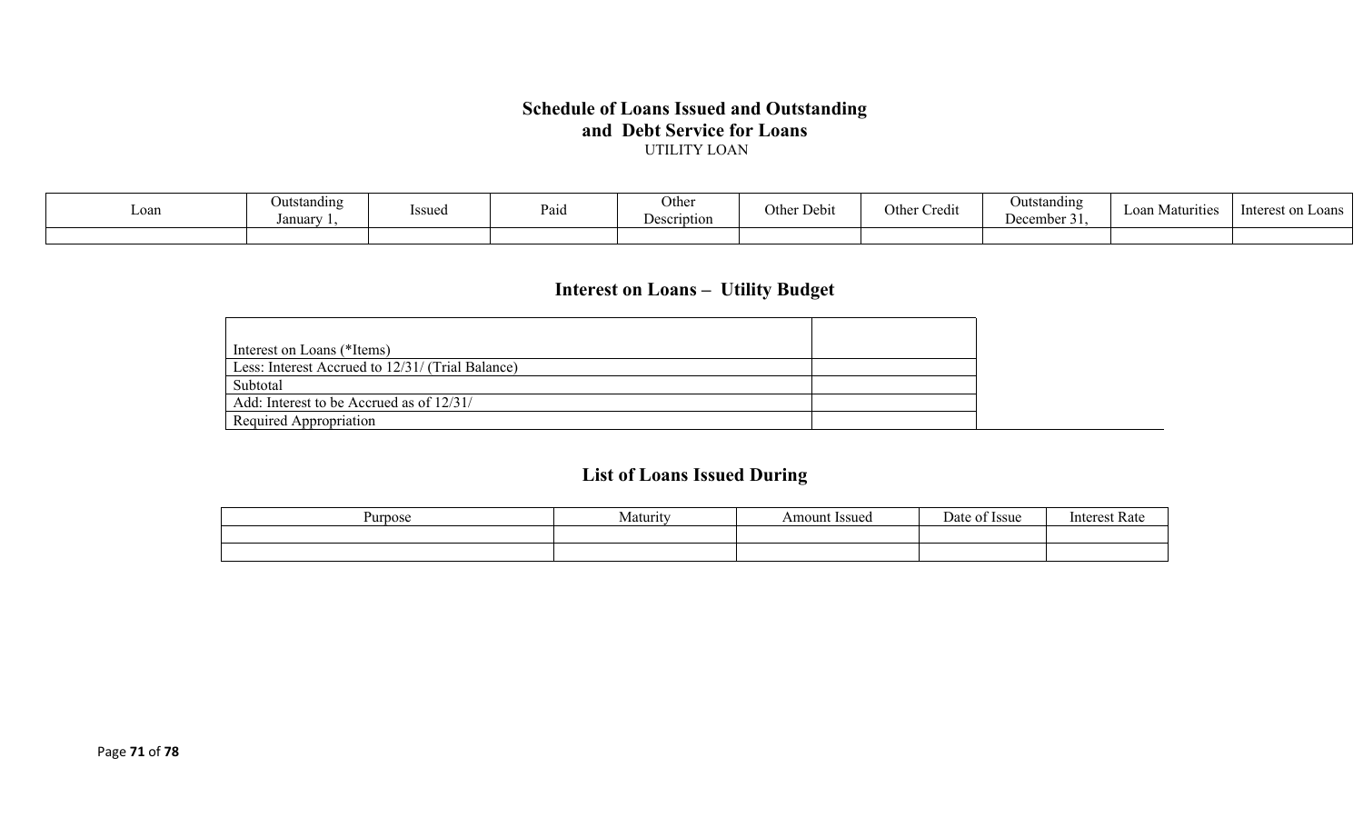#### **Schedule of Loans Issued and Outstanding and Debt Service for Loans** UTILITY LOAN

| Loan | <b>Outstanding</b><br>Januar | Issued | Paid | Other<br><b>Description</b> | $\mathbf{r}$<br>⌒<br>Other Debit | $\bullet$ .<br>Othe<br>Credit | Outstanding<br>December 31. | Loan Matv<br>irities | - Interest or<br>∟oans |
|------|------------------------------|--------|------|-----------------------------|----------------------------------|-------------------------------|-----------------------------|----------------------|------------------------|
|      |                              |        |      |                             |                                  |                               |                             |                      |                        |

# **Interest on Loans – Utility Budget**

| Interest on Loans (*Items)                       |
|--------------------------------------------------|
| Less: Interest Accrued to 12/31/ (Trial Balance) |
| Subtotal                                         |
| Add: Interest to be Accrued as of 12/31/         |
| Required Appropriation                           |

# **List of Loans Issued During**

| nos<br>1 I I | .4 otunut<br>$\sim$ | ssue<br>$\Omega$ in | $\alpha$<br>-554c | $\sim$<br>. |
|--------------|---------------------|---------------------|-------------------|-------------|
|              |                     |                     |                   |             |
|              |                     |                     |                   |             |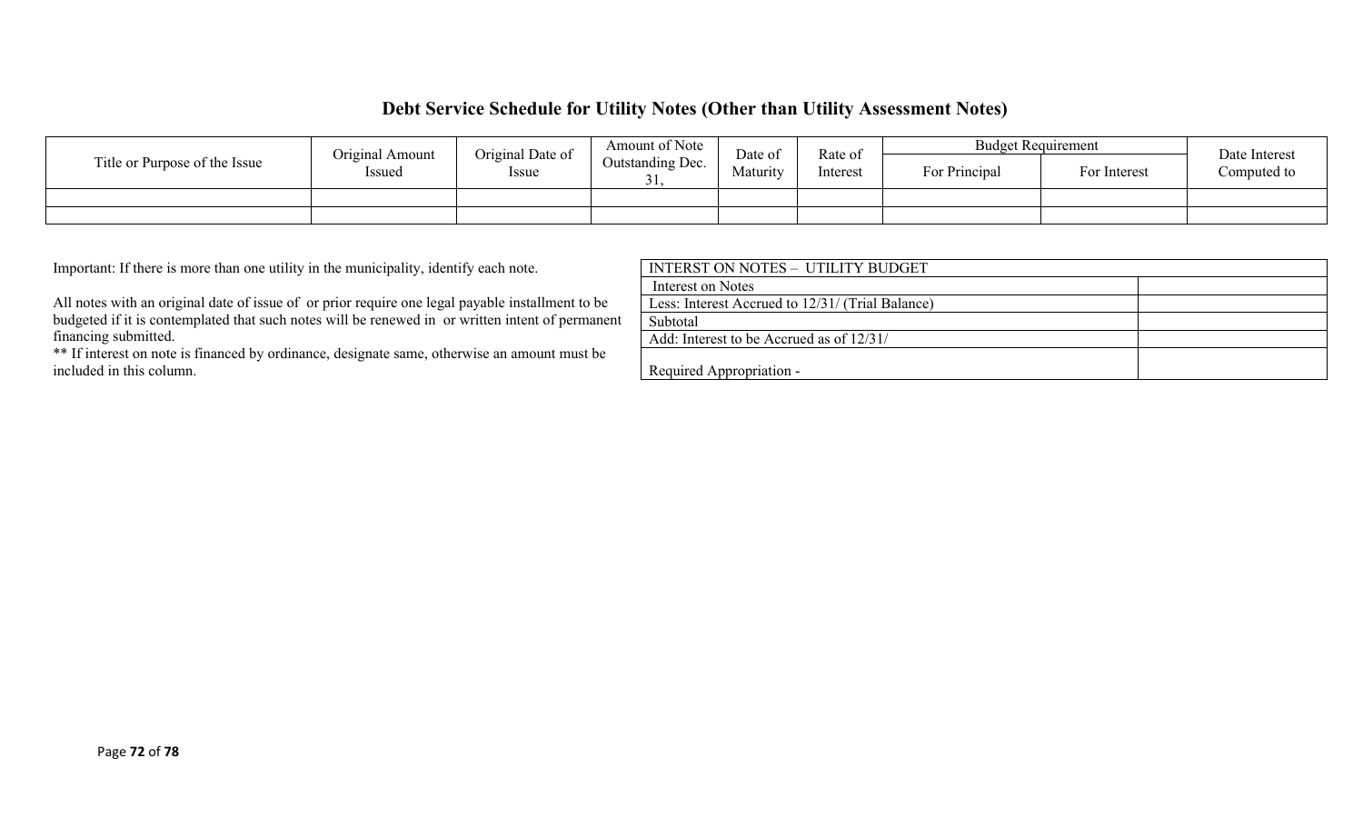## **Debt Service Schedule for Utility Notes (Other than Utility Assessment Notes)**

|                               | Original Amount | Original Date of | Amount of Note          | Date of  | Rate of  | <b>Budget Requirement</b> |              | Date Interest |
|-------------------------------|-----------------|------------------|-------------------------|----------|----------|---------------------------|--------------|---------------|
| Title or Purpose of the Issue | Issued          | <i>Issue</i>     | <b>Outstanding Dec.</b> | Maturity | Interest | For Principal             | For Interest | Computed to   |
|                               |                 |                  |                         |          |          |                           |              |               |
|                               |                 |                  |                         |          |          |                           |              |               |

Important: If there is more than one utility in the municipality, identify each note.

All notes with an original date of issue of or prior require one legal payable installment to be budgeted if it is contemplated that such notes will be renewed in or written intent of permanent financing submitted.

\*\* If interest on note is financed by ordinance, designate same, otherwise an amount must be included in this column.

| INTERST ON NOTES - UTILITY BUDGET                |  |
|--------------------------------------------------|--|
| Interest on Notes                                |  |
| Less: Interest Accrued to 12/31/ (Trial Balance) |  |
| Subtotal                                         |  |
| Add: Interest to be Accrued as of 12/31/         |  |
|                                                  |  |
| Required Appropriation -                         |  |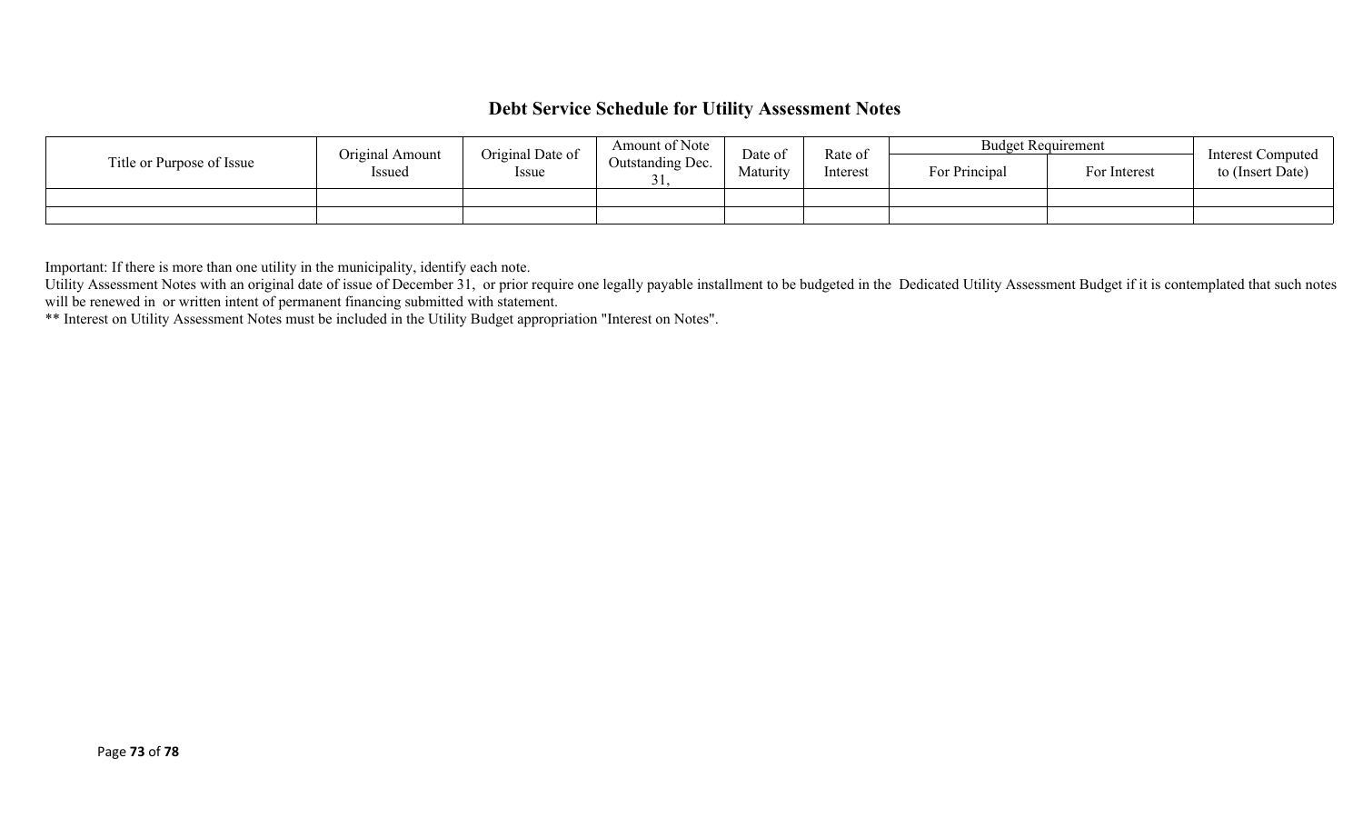## **Debt Service Schedule for Utility Assessment Notes**

|                           | Original Amount | Original Date of | Amount of Note   | Date of  | Rate of<br>Interest | <b>Budget Requirement</b> |              | Interest Computed |
|---------------------------|-----------------|------------------|------------------|----------|---------------------|---------------------------|--------------|-------------------|
| Title or Purpose of Issue | Issued          | Issue            | Outstanding Dec. | Maturity |                     | For Principal             | For Interest | to (Insert Date)  |
|                           |                 |                  |                  |          |                     |                           |              |                   |
|                           |                 |                  |                  |          |                     |                           |              |                   |

Important: If there is more than one utility in the municipality, identify each note.

Utility Assessment Notes with an original date of issue of December 31, or prior require one legally payable installment to be budgeted in the Dedicated Utility Assessment Budget if it is contemplated that such notes will be renewed in or written intent of permanent financing submitted with statement.

\*\* Interest on Utility Assessment Notes must be included in the Utility Budget appropriation "Interest on Notes".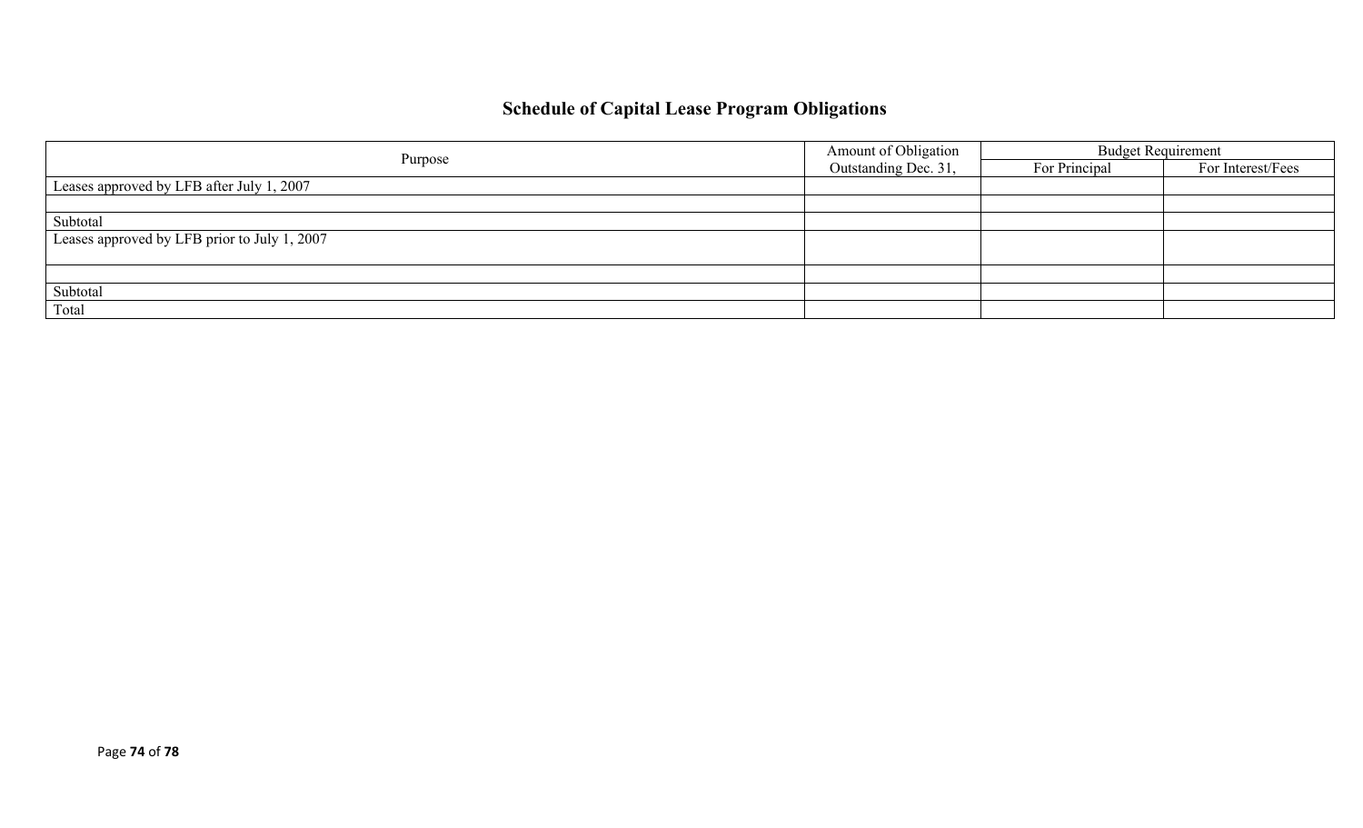## **Schedule of Capital Lease Program Obligations**

|                                              | Amount of Obligation | <b>Budget Requirement</b> |                   |  |
|----------------------------------------------|----------------------|---------------------------|-------------------|--|
| Purpose                                      | Outstanding Dec. 31, | For Principal             | For Interest/Fees |  |
| Leases approved by LFB after July 1, 2007    |                      |                           |                   |  |
|                                              |                      |                           |                   |  |
| Subtotal                                     |                      |                           |                   |  |
| Leases approved by LFB prior to July 1, 2007 |                      |                           |                   |  |
|                                              |                      |                           |                   |  |
|                                              |                      |                           |                   |  |
| Subtotal                                     |                      |                           |                   |  |
| Total                                        |                      |                           |                   |  |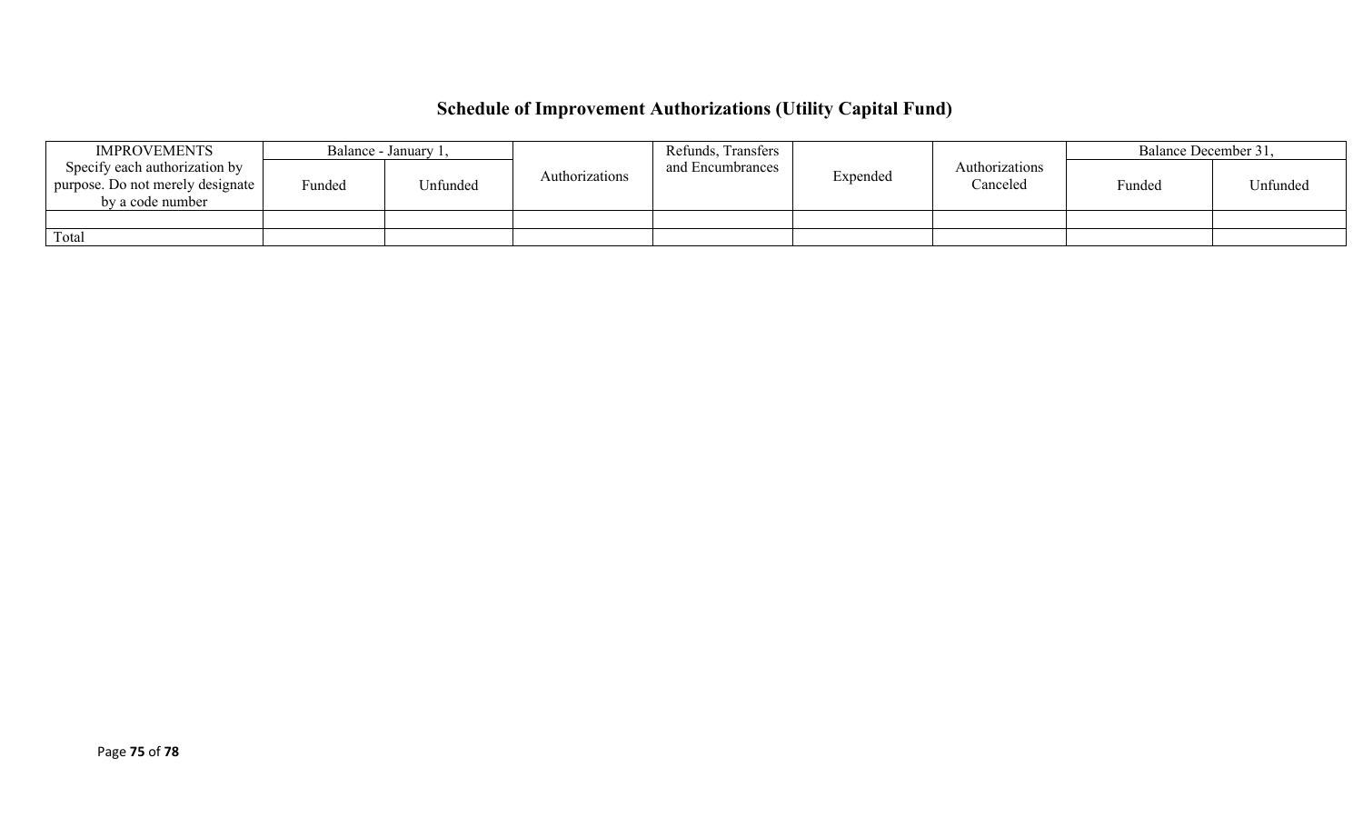# **Schedule of Improvement Authorizations (Utility Capital Fund)**

| <b>IMPROVEMENTS</b>                                                                   |        | Balance - January 1, |                | Refunds, Transfers |          |                            | Balance December 31, |          |
|---------------------------------------------------------------------------------------|--------|----------------------|----------------|--------------------|----------|----------------------------|----------------------|----------|
| Specify each authorization by<br>purpose. Do not merely designate<br>by a code number | Funded | <b>Jnfunded</b>      | Authorizations | and Encumbrances   | Expended | Authorizations<br>Canceled | Funded               | Unfunded |
|                                                                                       |        |                      |                |                    |          |                            |                      |          |
| Total                                                                                 |        |                      |                |                    |          |                            |                      |          |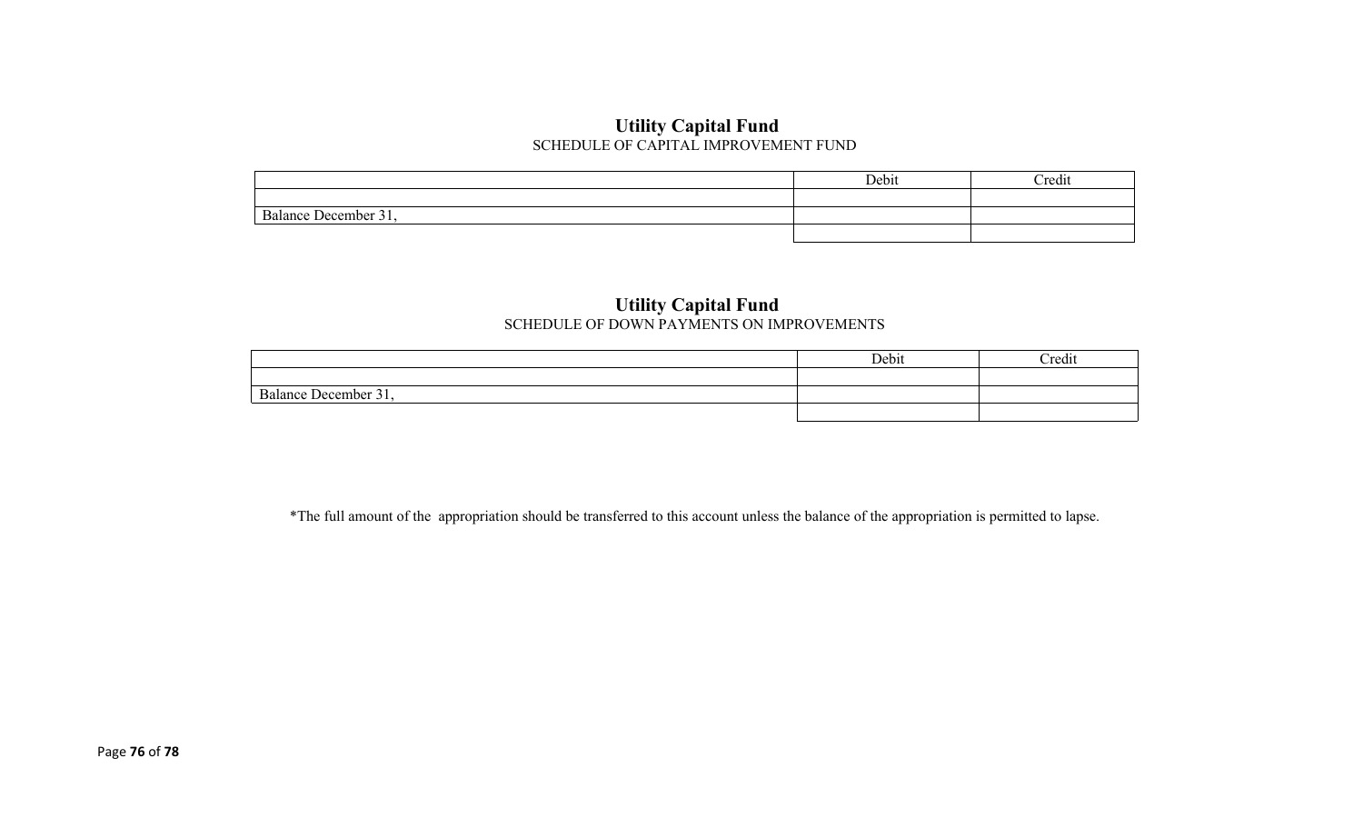#### **Utility Capital Fund** SCHEDULE OF CAPITAL IMPROVEMENT FUND

|                                | Debit | Credit |
|--------------------------------|-------|--------|
|                                |       |        |
| $\sim$<br>Balance December 31, |       |        |
|                                |       |        |

#### **Utility Capital Fund** SCHEDULE OF DOWN PAYMENTS ON IMPROVEMENTS

|                                                                        | Debit | <b>Tredit</b> |
|------------------------------------------------------------------------|-------|---------------|
|                                                                        |       |               |
| $\overline{\phantom{a}}$<br>$\sim$ $\sim$<br>l Jecember 3<br>Ralance L |       |               |
|                                                                        |       |               |

\*The full amount of the appropriation should be transferred to this account unless the balance of the appropriation is permitted to lapse.